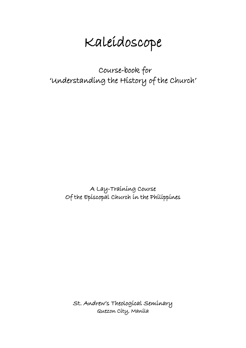# Kaleidoscope

 Course-book for 'Understanding the History of the Church'

> A Lay-Training Course Of the Episcopal Church in the Philippines

St. Andrew's Theological Seminary Quezon City, Manila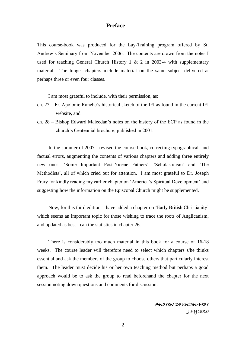#### **Preface**

This course-book was produced for the Lay-Training program offered by St. Andrew's Seminary from November 2006. The contents are drawn from the notes I used for teaching General Church History 1  $\&$  2 in 2003-4 with supplementary material. The longer chapters include material on the same subject delivered at perhaps three or even four classes.

I am most grateful to include, with their permission, as:

- ch. 27 Fr. Apolonio Ranche's historical sketch of the IFI as found in the current IFI website, and
- ch. 28 Bishop Edward Malecdan's notes on the history of the ECP as found in the church's Centennial brochure, published in 2001.

In the summer of 2007 I revised the course-book, correcting typographical and factual errors, augmenting the contents of various chapters and adding three entirely new ones: 'Some Important Post-Nicene Fathers', 'Scholasticism' and 'The Methodists', all of which cried out for attention. I am most grateful to Dr. Joseph Frary for kindly reading my earlier chapter on 'America's Spiritual Development' and suggesting how the information on the Episcopal Church might be supplemented.

Now, for this third edition, I have added a chapter on 'Early British Christianity' which seems an important topic for those wishing to trace the roots of Anglicanism, and updated as best I can the statistics in chapter 26.

There is considerably too much material in this book for a course of 16-18 weeks. The course leader will therefore need to select which chapters s/he thinks essential and ask the members of the group to choose others that particularly interest them. The leader must decide his or her own teaching method but perhaps a good approach would be to ask the group to read beforehand the chapter for the next session noting down questions and comments for discussion.

> Andrew Daunton-Fear July 2010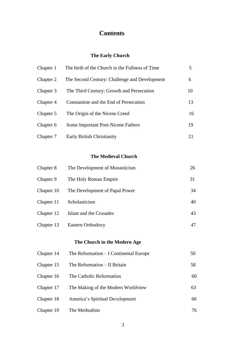# **Contents**

## **The Early Church**

| Chapter 1 | The birth of the Church in the Fullness of Time | 5. |
|-----------|-------------------------------------------------|----|
| Chapter 2 | The Second Century: Challenge and Development   | 6  |
| Chapter 3 | The Third Century: Growth and Persecution       | 10 |
| Chapter 4 | Constantine and the End of Persecution          | 13 |
| Chapter 5 | The Origin of the Nicene Creed                  | 16 |
| Chapter 6 | <b>Some Important Post-Nicene Fathers</b>       | 19 |
| Chapter 7 | Early British Christianity                      | 21 |

## **The Medieval Church**

| Chapter 8  | The Development of Monasticism | 26 |
|------------|--------------------------------|----|
| Chapter 9  | The Holy Roman Empire          | 31 |
| Chapter 10 | The Development of Papal Power | 34 |
| Chapter 11 | Scholasticism                  | 40 |
| Chapter 12 | Islam and the Crusades         | 43 |
| Chapter 13 | Eastern Orthodoxy              | 47 |

## **The Church in the Modern Age**

| Chapter 14 | The Reformation $-I$ Continental Europe | 50 |
|------------|-----------------------------------------|----|
| Chapter 15 | The Reformation – II Britain            | 58 |
| Chapter 16 | The Catholic Reformation                | 60 |
| Chapter 17 | The Making of the Modern Worldview      | 63 |
| Chapter 18 | America's Spiritual Development         | 66 |
| Chapter 19 | The Methodists                          | 76 |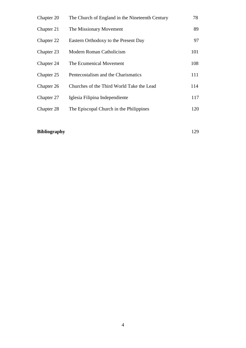| Chapter 20 | The Church of England in the Nineteenth Century | 78  |
|------------|-------------------------------------------------|-----|
| Chapter 21 | The Missionary Movement                         | 89  |
| Chapter 22 | Eastern Orthodoxy to the Present Day            | 97  |
| Chapter 23 | Modern Roman Catholicism                        | 101 |
| Chapter 24 | The Ecumenical Movement                         | 108 |
| Chapter 25 | Pentecostalism and the Charismatics             | 111 |
| Chapter 26 | Churches of the Third World Take the Lead       | 114 |
| Chapter 27 | Iglesia Filipina Independiente                  | 117 |
| Chapter 28 | The Episcopal Church in the Philippines         | 120 |
|            |                                                 |     |

# **Bibliography** 129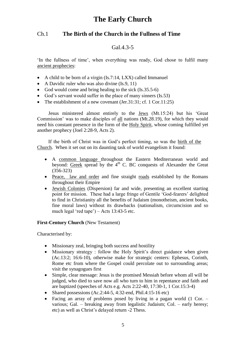# **The Early Church**

## Ch.1 **The Birth of the Church in the Fullness of Time**

## Gal.4.3-5

'In the fullness of time', when everything was ready, God chose to fulfil many ancient prophecies:

- A child to be born of a virgin (Is.7:14, LXX) called Immanuel
- A Davidic ruler who was also divine (Is.9, 11)
- God would come and bring healing to the sick  $(Is.35.5-6)$
- God's servant would suffer in the place of many sinners (Is.53)
- The establishment of a new covenant (Jer. 31:31; cf. 1 Cor. 11:25)

Jesus ministered almost entirely to the Jews (Mt.15:24) but his 'Great Commission' was to make disciples of all nations (Mt.28.19), for which they would need his constant presence in the form of the Holy Spirit, whose coming fulfilled yet another prophecy (Joel 2:28-9, Acts 2).

If the birth of Christ was in God's perfect timing, so was the birth of the Church. When it set out on its daunting task of world evangelism it found:

- A common language throughout the Eastern Mediterranean world and beyond: Greek spread by the  $4<sup>th</sup>$  C. BC conquests of Alexander the Great (356-323)
- Peace, law and order and fine straight roads established by the Romans throughout their Empire
- Jewish Colonies (Dispersion) far and wide, presenting an excellent starting point for mission. These had a large fringe of Gentile 'God-fearers' delighted to find in Christianity all the benefits of Judaism (monotheism, ancient books, fine moral laws) without its drawbacks (nationalism, circumcision and so much legal 'red tape') – Acts 13:43-5 etc.

## **First-Century Church (New Testament)**

Characterised by:

- Missionary zeal, bringing both success and hostility
- Missionary strategy : follow the Holy Spirit's direct guidance when given (Ac.13:2; 16:6-10), otherwise make for strategic centers: Ephesus, Corinth, Rome etc from where the Gospel could percolate out to surrounding areas; visit the synagogues first
- Simple, clear message: Jesus is the promised Messiah before whom all will be judged, who died to save now all who turn to him in repentance and faith and are baptized (speeches of Acts e.g. Acts 2:22-40, 17:30-1, 1 Cor.15:3-4)
- Shared possessions  $(Ac.2:44-5, 4:32-end, Phil.4:15-16 etc)$
- Facing an array of problems posed by living in a pagan world (1 Cor. various; Gal. – breaking away from legalistic Judaism; Col. – early heresy; etc) as well as Christ's delayed return -2 Thess.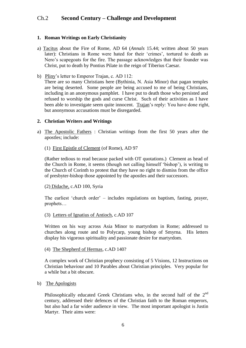## Ch.2 **Second Century – Challenge and Development**

## **1. Roman Writings on Early Christianity**

- a) Tacitus about the Fire of Rome, AD 64 (*Annals* 15.44; written about 50 years later): Christians in Rome were hated for their 'crimes', tortured to death as Nero's scapegoats for the fire. The passage acknowledges that their founder was Christ, put to death by Pontius Pilate in the reign of Tiberius Caesar.
- b) Pliny's letter to Emperor Trajan, c. AD 112:

There are so many Christians here (Bythinia, N. Asia Minor) that pagan temples are being deserted. Some people are being accused to me of being Christians, including in an anonymous pamphlet. I have put to death those who persisted and refused to worship the gods and curse Christ. Such of their activities as I have been able to investigate seem quite innocent. Trajan's reply: You have done right, but anonymous accusations must be disregarded.

#### **2. Christian Writers and Writings**

a) The Apostolic Fathers : Christian writings from the first 50 years after the apostles; include:

#### (1) First Epistle of Clement (of Rome), AD 97

(Rather tedious to read because packed with OT quotations.) Clement as head of the Church in Rome, it seems (though not calling himself 'bishop'), is writing to the Church of Corinth to protest that they have no right to dismiss from the office of presbyter-bishop those appointed by the apostles and their successors.

#### (2) Didache, c.AD 100, Syria

The earliest 'church order' – includes regulations on baptism, fasting, prayer, prophets…

#### (3) Letters of Ignatius of Antioch, c.AD 107

Written on his way across Asia Minor to martyrdom in Rome; addressed to churches along route and to Polycarp, young bishop of Smyrna. His letters display his vigorous spirituality and passionate desire for martyrdom.

#### (4) The Shepherd of Hermas, c.AD 140?

 A complex work of Christian prophecy consisting of 5 Visions, 12 Instructions on Christian behaviour and 10 Parables about Christian principles. Very popular for a while but a bit obscure.

## b) The Apologists

Philosophically educated Greek Christians who, in the second half of the  $2<sup>nd</sup>$ century, addressed their defences of the Christian faith to the Roman emperors, but also had a far wider audience in view. The most important apologist is Justin Martyr. Their aims were: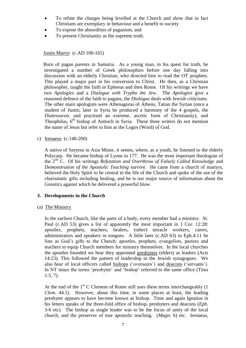- To refute the charges being levelled at the Church and show that in fact Christians are exemplary in behaviour and a benefit to society
- To expose the absurdities of paganism, and
- To present Christianity as the supreme truth.

Justin Martyr (c.AD 100-165)

 Born of pagan parents in Samaria. As a young man, in his quest for truth, he investigated a number of Greek philosophies before one day falling into discussion with an elderly Christian, who directed him to read the OT prophets. This played a major part in his conversion to Christ. He then, as a Christian philosopher, taught the faith in Ephesus and then Rome. Of his writings we have two *Apologies* and a *Dialogue with Trypho the Jew*. The *Apologies* give a reasoned defence of the faith to pagans, the *Dialogue* deals with Jewish criticisms. The other main apologists were Athenagoras of Athens, Tatian the Syrian (once a student of Justin; later in Syria he produced a harmony of the 4 gospels, the *Diatessaron*, and practised an extreme, ascetic form of Christianity), and Theophilus,  $6<sup>th</sup>$  bishop of Antioch in Syria. These three writers do not mention the name of Jesus but refer to him as the Logos (Word) of God.

c) Irenaeus (c.140-200)

A native of Smyrna in Asia Minor, it seems, where, as a youth, he listened to the elderly Polycarp. He became bishop of Lyons in 177. He was the most important theologian of the 2nd C. Of his writings *Refutation and Overthrow of Falsely Called Knowledge* and *Demonstration of the Apostolic Teaching* survive. He came from a church of martyrs, believed the Holy Spirit to be central to the life of the Church and spoke of the use of the charismatic gifts including healing, and he is our major source of information about the Gnostics against which he delivered a powerful blow.

## **3. Developments in the Church**

(a) The Ministry

In the earliest Church, like the parts of a body, every member had a ministry. St. Paul (c.AD 53) gives a list of apparently the most important in 1 Cor. 12:28: apostles, prophets, teachers, healers, (other) miracle workers, carers, administrators and speakers in tongues. A little later (c.AD 63) in Eph.4:11 he lists as God's gifts to the Church: apostles, prophets, evangelists, pastors and teachers to equip Church members for ministry themselves. In the local churches the apostles founded we hear they appointed presbyters (elders) as leaders (Acts 14:23). This followed the pattern of leadership in the Jewish synagogues. We also hear of local officers called bishops ('overseers') and deacons ('servants'). In NT times the terms 'presbyter' and 'bishop' referred to the same office (Titus 1:5, 7).

At the end of the  $1<sup>st</sup>$  C Clement of Rome still uses these terms interchangeably (1) *Clem.* 44.1). However, about this time, in some places at least, the leading presbyter appears to have become known as bishop. Time and again Ignatius in his letters speaks of the three-fold office of bishop, presbyters and deacons (*Eph.* 3-6 etc). The bishop as single leader was to be the focus of unity of the local church, and the preserver of true apostolic teaching. (*Magn.* 6) etc. Irenaeus,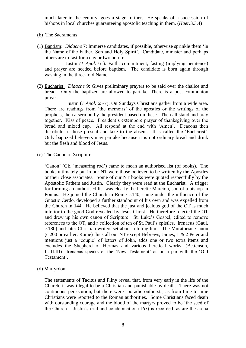much later in the century, goes a stage further. He speaks of a succession of bishops in local churches guaranteeing apostolic teaching in them. (*Haer.*3.3.4)

- (b) The Sacraments
- (1) Baptism: *Didache* 7: Immerse candidates, if possible, otherwise sprinkle them 'in the Name of the Father, Son and Holy Spirit'. Candidate, minister and perhaps others are to fast for a day or two before.

 Justin *(1 Apol.* 61): Faith, commitment, fasting (implying penitence) and prayer are needed before baptism. The candidate is born again through washing in the three-fold Name.

(2) Eucharist: *Didache* 9: Gives preliminary prayers to be said over the chalice and bread. Only the baptized are allowed to partake. There is a post-communion prayer.

 Justin (*1 Apol.* 65-7): On Sundays Christians gather from a wide area. There are readings from 'the memoirs' of the apostles or the writings of the prophets, then a sermon by the president based on these. Then all stand and pray together. Kiss of peace. President's extempore prayer of thanksgiving over the bread and mixed cup. All respond at the end with 'Amen'. Deacons then distribute to those present and take to the absent. It is called the 'Eucharist'. Only baptized believers may partake because it is not ordinary bread and drink but the flesh and blood of Jesus.

(c) The Canon of Scripture

'Canon' (Gk. 'measuring rod') came to mean an authorised list (of books). The books ultimately put in our NT were those believed to be written by the Apostles or their close associates. Some of our NT books were quoted respectfully by the Apostolic Fathers and Justin. Clearly they were read at the Eucharist. A trigger for forming an authorised list was clearly the heretic Marcion, son of a bishop in Pontus. He joined the Church in Rome c.140, came under the influence of the Gnostic Cerdo, developed a further standpoint of his own and was expelled from the Church in 144. He believed that the just and jealous god of the OT is much inferior to the good God revealed by Jesus Christ. He therefore rejected the OT and drew up his own canon of Scripture: St. Luke's Gospel, edited to remove references to the OT, and a collection of ten of St. Paul's epistles. Irenaeus (Gaul, c.180) and later Christian writers set about refuting him. The Muratorian Canon (c.200 or earlier, Rome) lists all our NT except Hebrews, James, 1 & 2 Peter and mentions just a 'couple' of letters of John, adds one or two extra items and excludes the Shepherd of Hermas and various heretical works. (Bettenson, II.III.III) Irenaeus speaks of the 'New Testament' as on a par with the 'Old Testament'.

(d) Martyrdom

The statements of Tacitus and Pliny reveal that, from very early in the life of the Church, it was illegal to be a Christian and punishable by death. There was not continuous persecution, but there were sporadic outbursts, as from time to time Christians were reported to the Roman authorities. Some Christians faced death with outstanding courage and the blood of the martyrs proved to be 'the seed of the Church'. Justin's trial and condemnation (165) is recorded, as are the arena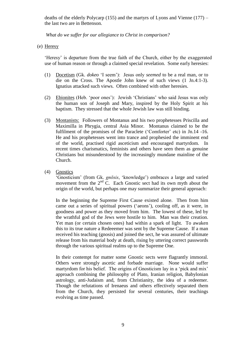deaths of the elderly Polycarp (155) and the martyrs of Lyons and Vienne (177) – the last two are in Bettenson.

*What do we suffer for our allegiance to Christ in comparison?*

(e) Heresy

'Heresy' is departure from the true faith of the Church, either by the exaggerated use of human reason or through a claimed special revelation. Some early heresies:

- (1) Docetism (Gk. *dokeo* 'I seem'): Jesus only *seemed* to be a real man, or to die on the Cross. The Apostle John knew of such views (1 Jn.4:1-3). Ignatius attacked such views. Often combined with other heresies.
- (2) Ebionites (Heb. 'poor ones'): Jewish 'Christians' who said Jesus was only the human son of Joseph and Mary, inspired by the Holy Spirit at his baptism. They stressed that the whole Jewish law was still binding.
- (3) Montanists: Followers of Montanus and his two prophetesses Priscilla and Maximilla in Phrygia, central Asia Minor. Montanus claimed to be the fulfilment of the promises of the Paraclete ('Comforter' etc) in Jn.14 -16. He and his prophetesses went into trance and prophesied the imminent end of the world, practised rigid asceticism and encouraged martyrdom. In recent times charismatics, feminists and others have seen them as genuine Christians but misunderstood by the increasingly mundane mainline of the Church.
- (4) Gnostics

'Gnosticism' (from Gk. *gnōsis*, 'knowledge') embraces a large and varied movement from the  $2<sup>nd</sup>$  C. Each Gnostic sect had its own myth about the origin of the world, but perhaps one may summarize their general approach:

In the beginning the Supreme First Cause existed alone. Then from him came out a series of spiritual powers ('aeons'), cooling off, as it were, in goodness and power as they moved from him. The lowest of these, led by the wrathful god of the Jews were hostile to him. Man was their creation. Yet man (or certain chosen ones) had within a spark of light. To awaken this to its true nature a Redeeemer was sent by the Supreme Cause. If a man received his teaching (gnosis) and joined the sect, he was assured of ultimate release from his material body at death, rising by uttering correct passwords through the various spiritual realms up to the Supreme One.

 In their contempt for matter some Gnostic sects were flagrantly immoral. Others were strongly ascetic and forbade marriage. None would suffer martyrdom for his belief. The origins of Gnosticism lay in a 'pick and mix' approach combining the philosophy of Plato, Iranian religion, Babylonian astrology, anti-Judaism and, from Christianity, the idea of a redeemer. Though the refutations of Irenaeus and others effectively separated them from the Church, they persisted for several centuries, their teachings evolving as time passed.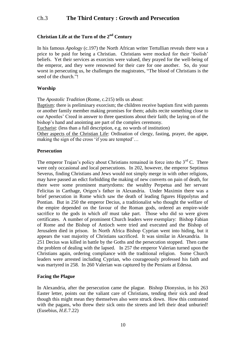## Ch.3 **The Third Century : Growth and Persecution**

## **Christian Life at the Turn of the 2nd Century**

In his famous *Apology* (c.197) the North African writer Tertullian reveals there was a price to be paid for being a Christian. Christians were mocked for their 'foolish' beliefs. Yet their services as exorcists were valued, they prayed for the well-being of the emperor, and they were renowned for their care for one another. So, do your worst in persecuting us, he challenges the magistrates, "The blood of Christians is the seed of the church."!

#### **Worship**

The *Apostolic Tradition* (Rome, c.215) tells us about:

Baptism: there is preliminary exorcism; the children receive baptism first with parents or another family member making promises for them; adults recite something close to our Apostles' Creed in answer to three questions about their faith; the laying on of the bishop's hand and anointing are part of the complex ceremony.

Eucharist: (less than a full description, e.g. no words of institution)

Other aspects of the Christian Life: Ordination of clergy, fasting, prayer, the agape, making the sign of the cross 'if you are tempted'…

#### **Persecution**

The emperor Trajan's policy about Christians remained in force into the  $3<sup>rd</sup>$  C. There were only occasional and local persecutions. In 202, however, the emperor Septimus Severus, finding Christians and Jews would not simply merge in with other religions, may have passed an edict forbidding the making of new converts on pain of death, for there were some prominent martyrdoms: the wealthy Perpetua and her servant Felicitas in Carthage, Origen's father in Alexandria. Under Maximin there was a brief persecution in Rome which saw the death of leading figures Hippolytus and Pontian. But in 250 the emperor Decius, a traditionalist who thought the welfare of the empire depended on the favour of the Roman gods, ordered an empire-wide sacrifice to the gods in which *all* must take part. Those who did so were given certificates. A number of prominent Church leaders were exemplary: Bishop Fabian of Rome and the Bishop of Antioch were tried and executed and the Bishop of Jerusalem died in prison. In North Africa Bishop Cyprian went into hiding, but it appears the vast majority of Christians sacrificed. It was similar in Alexandria. In 251 Decius was killed in battle by the Goths and the persecution stopped. Then came the problem of dealing with the lapsed. In 257 the emperor Valerian turned upon the Christians again, ordering compliance with the traditional religion. Some Church leaders were arrested including Cyprian, who courageously professed his faith and was martyred in 258. In 260 Valerian was captured by the Persians at Edessa.

#### **Facing the Plague**

In Alexandria, after the persecution came the plague. Bishop Dionysius, in his 263 Easter letter, points out the valiant care of Christians, tending their sick and dead though this might mean they themselves also were struck down. How this contrasted with the pagans, who threw their sick onto the streets and left their dead unburied! (Eusebius, *H.E.*7.22)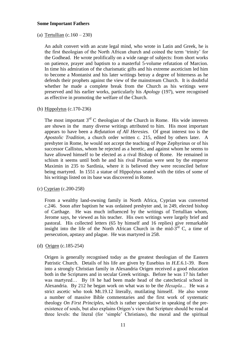#### **Some Important Fathers**

(a) Tertullian  $(c.160 - 230)$ 

An adult convert with an acute legal mind, who wrote in Latin and Greek, he is the first theologian of the North African church and coined the term 'trinity' for the Godhead. He wrote prolifically on a wide range of subjects: from short works on patience, prayer and baptism to a masterful 5-volume refutation of Marcion. In time his admiration of the charismatic gifts and his extreme asceticism led him to become a Montanist and his later writings betray a degree of bitterness as he defends their prophets against the view of the mainstream Church. It is doubtful whether he made a complete break from the Church as his writings were preserved and his earlier works, particularly his *Apology* (197), were recognised as effective in promoting the welfare of the Church.

(b) Hippolytus (c.170-236)

The most important  $3<sup>rd</sup>$  C theologian of the Church in Rome. His wide interests are shown in the many diverse writings attributed to him. His most important appears to have been a *Refutation of All Heresies.* Of great interest too is the *Apostolic Tradition*, a church order written c. 215, edited by others later. A presbyter in Rome, he would not accept the teaching of Pope Zephyrinus or of his successor Callistus, whom he rejected as a heretic, and against whom he seems to have allowed himself to be elected as a rival Bishop of Rome. He remained in schism it seems until both he and his rival Pontian were sent by the emperor Maximin in 235 to Sardinia, where it is believed they were reconciled before being martyred. In 1551 a statue of Hippolytus seated with the titles of some of his writings listed on its base was discovered in Rome.

(c) Cyprian (c.200-258)

From a wealthy land-owning family in North Africa, Cyprian was converted c.246. Soon after baptism he was ordained presbyter and, in 249, elected bishop of Carthage. He was much influenced by the writings of Tertullian whom, Jerome says, he viewed as his teacher. His own writings were largely brief and pastoral. His collected letters (65 by himself and 16 replies) give remarkable insight into the life of the North African Church in the mid- $3^{rd}$  C, a time of persecution, apstasy and plague. He was martyred in 258.

(d) Origen (c.185-254)

Origen is generally recognised today as the greatest theologian of the Eastern Patristic Church. Details of his life are given by Eusebius in *H.E*.6.1-39. Born into a strongly Christian family in Alexandria Origen received a good education both in the Scriptures and in secular Greek writings. Before he was 17 his father was martyred… By 18 he had been made head of the catechetical school in Alexandria. By 212 he began work on what was to be the *Hexapla…* He was a strict ascetic who took Mt.19.12 literally, mutilating himself. He also wrote a number of massive Bible commentaries and the first work of systematic theology *On First Principles,* which is rather speculative in speaking of the preexistence of souls, but also explains Origen's view that Scripture should be read at three levels: the literal (for 'simple' Christians), the moral and the spiritual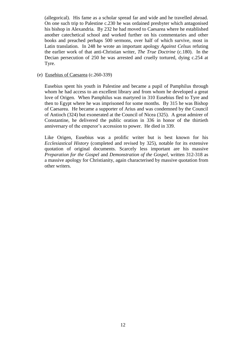(allegorical). His fame as a scholar spread far and wide and he travelled abroad. On one such trip to Palestine c.230 he was ordained presbyter which antagonised his bishop in Alexandria. By 232 he had moved to Caesarea where he established another catechetical school and worked further on his commentaries and other books and preached perhaps 500 sermons, over half of which survive, most in Latin translation. In 248 he wrote an important apology *Against Celsus* refuting the earlier work of that anti-Christian writer, *The True Doctrine* (c.180). In the Decian persecution of 250 he was arrested and cruelly tortured, dying c.254 at Tyre.

#### (e) Eusebius of Caesarea (c.260-339)

Eusebius spent his youth in Palestine and became a pupil of Pamphilus through whom he had access to an excellent library and from whom he developed a great love of Origen. When Pamphilus was martyred in 310 Eusebius fled to Tyre and then to Egypt where he was imprisoned for some months. By 315 he was Bishop of Caesarea. He became a supporter of Arius and was condemned by the Council of Antioch (324) but exonerated at the Council of Nicea (325). A great admirer of Constantine, he delivered the public oration in 336 in honor of the thirtieth anniversary of the emperor's accession to power. He died in 339.

Like Origen, Eusebius was a prolific writer but is best known for his *Ecclesiastical History* (completed and revised by 325), notable for its extensive quotation of original documents. Scarcely less important are his massive *Preparation for the Gospel* and *Demonstration of the Gospel,* written 312-318 as a massive apology for Christianity, again characterised by massive quotation from other writers.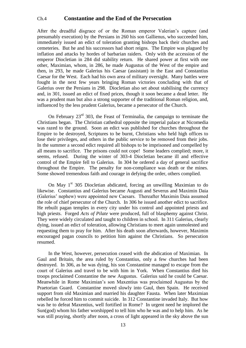## Ch.4 **Constantine and the End of the Persecution**

After the dreadful disgrace of or the Roman emperor Valerian's capture (and presumably execution) by the Persians in 260 his son Gallienus, who succeeded him, immediately issued an edict of toleration granting bishops back their churches and cemeteries. But he and his successors had short reigns. The Empire was plagued by inflation and attacks by hordes of barbarian raiders. Only with the accession of the emperor Diocletian in 284 did stability return. He shared power at first with one other, Maximian, whom, in 286, he made Augustus of the West of the empire and then, in 293, he made Galerius his Caesar (assistant) in the East and Constantius Caesar for the West. Each had his own area of military oversight. Many battles were fought in the next few years bringing Roman victories concluding with that of Galerius over the Persians in 298. Diocletian also set about stabilising the currency and, in 301, issued an edict of fixed prices, though it soon became a dead letter. He was a prudent man but also a strong supporter of the traditional Roman religion, and, influenced by the less prudent Galerius, became a persecutor of the Church.

On February  $23<sup>rd</sup>$  303, the Feast of Terminalia, the campaign to terminate the Christians began. The Christian cathedral opposite the imperial palace at Nicomedia was razed to the ground. Soon an edict was published for churches throughout the Empire to be destroyed, Scriptures to be burnt, Christians who held high offices to lose their privileges, and others in the public service to be removed from their jobs. In the summer a second edict required all bishops to be imprisoned and compelled by all means to sacrifice. The prisons could not cope! Some leaders complied; more, it seems, refused. During the winter of 303-4 Diocletian became ill and effective control of the Empire fell to Galerius. In 304 he ordered a day of general sacrifice throughout the Empire. The penalty for non-compliance was death or the mines. Some showed tremendous faith and courage in defying the order, others complied.

On May  $1<sup>st</sup>$  305 Diocletian abdicated, forcing an unwilling Maximian to do likewise. Constantius and Galerius became Augusti and Severus and Maximin Daia (Galerius' nephew) were appointed new Caesars. Thereafter Maximin Daia assumed the role of chief persecutor of the Church. In 306 he issued another edict to sacrifice. He rebuilt pagan temples in every city under his control and appointed priests and high priests. Forged *Acts of Pilate* were produced, full of blasphemy against Christ. They were widely circulated and taught to children in school. In 311 Galerius, clearly dying, issued an edict of toleration, allowing Christians to meet again unmolested and requesting them to pray for him. After his death soon afterwards, however, Maximin encouraged pagan councils to petition him against the Christians. So persecution resumed.

In the West, however, persecution ceased with the abdication of Maximian. In Gaul and Britain, the area ruled by Constantius, only a few churches had been destroyed. In 306, as he was dying, his son Constantine managed to escape from the court of Galerius and travel to be with him in York. When Constantius died his troops proclaimed Constantine the new Augustus. Galerius said he could be Caesar. Meanwhile in Rome Maximian's son Maxentius was proclaimed Augustus by the Praetorian Guard. Constantine moved slowly into Gaul, then Spain. He received support from old Maximian and married his daughter Fausta. When later Maximian rebelled he forced him to commit suicide. In 312 Constantine invaded Italy. But how was he to defeat Maxentius, well fortified in Rome? In urgent need he implored the Sun(god) whom his father worshipped to tell him who he was and to help him. As he was still praying, shortly after noon, a cross of light appeared in the sky above the sun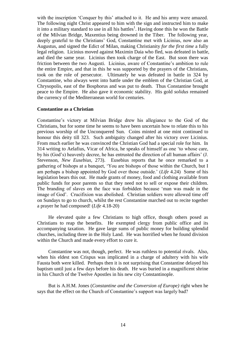with the inscription 'Conquer by this' attached to it. He and his army were amazed. The following night Christ appeared to him with the sign and instructed him to make it into a military standard to use in all his battles<sup>1</sup>. Having done this he won the Battle of the Milvian Bridge, Maxentius being drowned in the Tiber. The following year, deeply grateful to the Christians' God, Constantine met with Licinius, now also an Augustus, and signed the Edict of Milan, making Christianity *for the first time* a fully legal religion. Licinius moved against Maximin Daia who fled, was defeated in battle, and died the same year. Licinius then took charge of the East. But soon there was friction between the two Augusti. Licinius, aware of Constantine's ambition to rule the entire Empire, and that in this he was supported by the prayers of the Christians, took on the role of persecutor. Ultimately he was defeated in battle in 324 by Constantine, who always went into battle under the emblem of the Christian God, at Chrysopolis, east of the Bosphorus and was put to death. Thus Constantine brought peace to the Empire. He also gave it economic stability. His gold *solidus* remained the currency of the Mediterranean world for centuries.

#### **Constantine as a Christian**

Constantine's victory at Milvian Bridge drew his allegiance to the God of the Christians, but for some time he seems to have been uncertain how to relate this to his previous worship of the Unconquered Sun. Coins minted at one mint continued to honour this deity till 323. Such ambiguity changed after his victory over Licinius. From much earlier he was convinced the Christian God had a special role for him. In 314 writing to Aelafius, Vicar of Africa, he speaks of himself as one 'to whose care, by his (God's) heavenly decree, he has entrusted the direction of all human affairs' (J. Stevenson, *New Eusebius,* 273). Eusebius reports that he once remarked to a gathering of bishops at a banquet, 'You are bishops of those within the Church, but I am perhaps a bishop appointed by God over those outside.' (*Life* 4.24) Some of his legislation bears this out. He made grants of money, food and clothing available from public funds for poor parents so that they need not to sell or expose their children. The branding of slaves on the face was forbidden because 'man was made in the image of God'. Crucifixion was abolished. Christian soldiers were allowed time off on Sundays to go to church, whilst the rest Constantine marched out to recite together a prayer he had composed! (*Life* 4.18-20)

He elevated quite a few Christians to high office, though others posed as Christians to reap the benefits. He exempted clergy from public office and its accompanying taxation. He gave large sums of public money for building splendid churches, including three in the Holy Land. He was horrified when he found division within the Church and made every effort to cure it.

Constantine was not, though, perfect. He was ruthless to potential rivals. Also, when his eldest son Crispus was implicated in a charge of adultery with his wife Fausta both were killed. Perhaps then it is not surprising that Constantine delayed his baptism until just a few days before his death. He was buried in a magnificent shrine in his Church of the Twelve Apostles in his new city Constantinople.

But is A.H.M. Jones (*Constantine and the Conversion of Europe)* right when he says that the effect on the Church of Constantine's support was largely bad?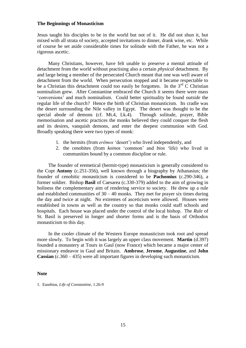#### **The Beginnings of Monasticism**

Jesus taught his disciples to be in the world but not of it. He did not shun it, but mixed with all strata of society, accepted invitations to dinner, drank wine, etc. While of course he set aside considerable times for solitude with the Father, he was not a rigorous ascetic.

Many Christians, however, have felt unable to preserve a mental attitude of detachment from the world without practising also a certain *physical* detachment. By and large being a member of the persecuted Church meant that one was well aware of detachment from the world. When persecution stopped and it became respectable to be a Christian this detachment could too easily be forgotten. In the  $3<sup>rd</sup>$  C Christian nominalism grew. After Constantine embraced the Church it seems there were mass 'conversions' and much nominalism. Could better spirituality be found *outside* the regular life of the church? Hence the birth of Christian monasticism. Its cradle was the desert surrounding the Nile valley in Egypt. The desert was thought to be the special abode of demons (cf. Mt.4, Lk.4). Through solitude, prayer, Bible memorisation and ascetic practices the monks believed they could conquer the flesh and its desires, vanquish demons, and enter the deepest communion with God. Broadly speaking there were two types of monk:

- 1. the hermits (from *erēmos* 'desert') who lived independently, and
- 2. the cenobites (from *koinos* 'common' and *bios* 'life) who lived in communities bound by a common discipline or rule.

The founder of eremetical (hermit-type) monasticism is generally considered to the Copt **Antony** (c.251-356), well known through a biography by Athanasius; the founder of cenobitic monasticism is considered to be **Pachomius** (c.290-346), a former soldier. Bishop **Basil** of Caesarea (c.330-379) added to the aim of growing in holiness the complementary aim of rendering service to society. He drew up a rule and established communities of  $30 - 40$  monks. They met for prayer six times during the day and twice at night. No extremes of asceticism were allowed. Houses were established in towns as well as the country so that monks could staff schools and hospitals. Each house was placed under the control of the local bishop. The *Rule* of St. Basil is preserved in longer and shorter forms and is the basis of Orthodox monasticism to this day.

In the cooler climate of the Western Europe monasticism took root and spread more slowly. To begin with it was largely an upper class movement. **Martin** (d.397) founded a monastery at Tours in Gaul (now France) which became a major center of missionary endeavor in Gaul and Britain. **Ambrose**, **Jerome**, **Augustine**, and **John Cassian** (c.360 – 435) were all important figures in developing such monasticism.

#### **Note**

1. Eusebius, *Life of Constantine*, 1.26-9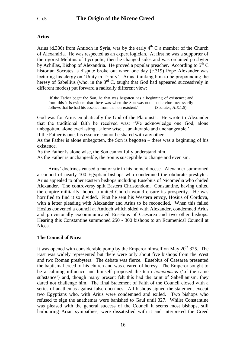#### **Arius**

Arius (d.336) from Antioch in Syria, was by the early  $4<sup>th</sup>$  C a member of the Church of Alexandria. He was respected as an expert logician. At first he was a supporter of the rigorist Melitius of Lycopolis, then he changed sides and was ordained presbyter by Achillas, Bishop of Alexandria. He proved a popular preacher. According to  $5<sup>th</sup>$  C historian Socrates, a dispute broke out when one day (c.319) Pope Alexander was lecturing his clergy on 'Unity in Trinity'. Arius, thinking him to be propounding the heresy of Sabellius (who, in the  $3<sup>rd</sup>$  C, taught that God had appeared successively in different modes) put forward a radically different view:

'If the Father begat the Son, he that was begotten has a beginning of existence; and from this it is evident that there was when the Son was not. It therefore necessarily follows that he had his essence from the non-existent.' (Socrates, *H.E.*1.5)

God was for Arius emphatically the God of the Platonists. He wrote to Alexander that the traditional faith he received was: 'We acknowledge one God, alone unbegotten, alone everlasting…alone wise …unalterable and unchangeable.'

If the Father is one, his essence cannot be shared with any other.

As the Father is alone unbegotten, the Son is begotten – there was a beginning of his existence.

As the Father is alone wise, the Son cannot fully understand him.

As the Father is unchangeable, the Son is susceptible to change and even sin.

Arius' doctrines caused a major stir in his home diocese. Alexander summoned a council of nearly 100 Egyptian bishops who condemned the obdurate presbyter. Arius appealed to other Eastern bishops including Eusebius of Nicomedia who chided Alexander. The controversy split Eastern Christendom. Constantine, having united the empire militarily, hoped a united Church would ensure its prosperity. He was horrified to find it so divided. First he sent his Western envoy, Hosius of Cordova, with a letter pleading with Alexander and Arius to be reconciled. When this failed Hosius convened a council at Antioch which sided with Alexander, condemned Arius and provisionally excommunicated Eusebius of Caesarea and two other bishops. Hearing this Constantine summoned 250 - 300 bishops to an Ecumenical Council at Nicea.

#### **The Council of Nicea**

It was opened with considerable pomp by the Emperor himself on May  $20<sup>th</sup> 325$ . The East was widely represented but there were only about five bishops from the West and two Roman presbyters. The debate was fierce. Eusebius of Caesarea presented the baptismal creed of his church and was cleared of heresy. The Emperor sought to be a calming influence and himself proposed the term *homoousios* ('of the same substance') and, though many present felt this had the taint of Sabellianism, they dared not challenge him. The final Statement of Faith of the Council closed with a series of anathemas against false doctrines. All bishops signed the statement except two Egyptians who, with Arius were condemned and exiled. Two bishops who refused to sign the anathemas were banished to Gaul until 327. Whilst Constantine was pleased with the general success of the Council it seems most bishops, still harbouring Arian sympathies, were dissatisfied with it and interpreted the Creed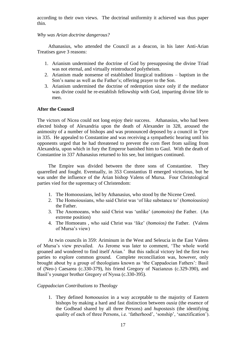according to their own views. The doctrinal uniformity it achieved was thus paper thin.

## *Why was Arian doctrine dangerous?*

Athanasius, who attended the Council as a deacon, in his later Anti-Arian Treatises gave 3 reasons:

- 1. Arianism undermined the doctrine of God by presupposing the divine Triad was not eternal, and virtually reintroduced polytheism.
- 2. Arianism made nonsense of established liturgical traditions baptism in the Son's name as well as the Father's; offering prayer to the Son.
- 3. Arianism undermined the doctrine of redemption since only if the mediator was divine could he re-establish fellowship with God, imparting divine life to men.

#### **After the Council**

The victors of Nicea could not long enjoy their success. Athanasius, who had been elected bishop of Alexandria upon the death of Alexander in 328, aroused the animosity of a number of bishops and was pronounced deposed by a council in Tyre in 335. He appealed to Constantine and was receiving a sympathetic hearing until his opponents urged that he had threatened to prevent the corn fleet from sailing from Alexandria, upon which in fury the Emperor banished him to Gaul. With the death of Constantine in 337 Athanasius returned to his see, but intrigues continued.

The Empire was divided between the three sons of Constantine. They quarrelled and fought. Eventually, in 353 Constantius II emerged victorious, but he was under the influence of the Arian bishop Valens of Mursa. Four Christological parties vied for the supremacy of Christendom:

- 1. The Homoousians, led by Athanasius, who stood by the Nicene Creed.
- 2. The Homoiousians, who said Christ was 'of like substance to' (*homoiousios)* the Father.
- 3. The Anomoeans, who said Christ was 'unlike' (*anomoios)* the Father. (An extreme position)
- 4. The Homoeans , who said Christ was 'like' (*homoios)* the Father. (Valens of Mursa's view)

At twin councils in 359: Ariminum in the West and Seleucia in the East Valens of Mursa's view prevailed. As Jerome was later to comment, 'The whole world groaned and wondered to find itself Arian.' But this radical victory led the first two parties to explore common ground. Complete reconciliation was, however, only brought about by a group of theologians known as 'the Cappadocian Fathers': Basil of (Neo-) Caesarea (c.330-379), his friend Gregory of Nazianzus (c.329-390), and Basil's younger brother Gregory of Nyssa (c.330-395).

#### *Cappadocian Contributions to Theology*

1. They defined *homoousios* in a way acceptable to the majority of Eastern bishops by making a hard and fast distinction between *ousia* (the essence of the Godhead shared by all three Persons) and *hupostasis* (the identifying quality of each of three Persons, i.e. 'fatherhood', 'sonship', 'sanctification').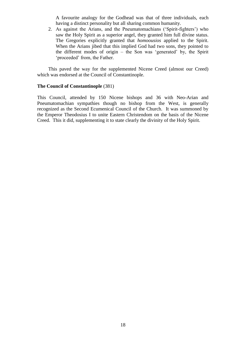A favourite analogy for the Godhead was that of three individuals, each having a distinct personality but all sharing common humanity.

2. As against the Arians, and the Pneumatomachians ('Spirit-fighters') who saw the Holy Spirit as a superior angel, they granted him full divine status. The Gregories explicitly granted that *homoousios* applied to the Spirit. When the Arians jibed that this implied God had two sons, they pointed to the different modes of origin – the Son was 'generated' by, the Spirit 'proceeded' from, the Father.

This paved the way for the supplemented Nicene Creed (almost our Creed) which was endorsed at the Council of Constantinople.

#### **The Council of Constantinople** (381)

This Council, attended by 150 Nicene bishops and 36 with Neo-Arian and Pneumatomachian sympathies though no bishop from the West, is generally recognized as the Second Ecumenical Council of the Church. It was summoned by the Emperor Theodosius I to unite Eastern Christendom on the basis of the Nicene Creed. This it did, supplementing it to state clearly the divinity of the Holy Spirit.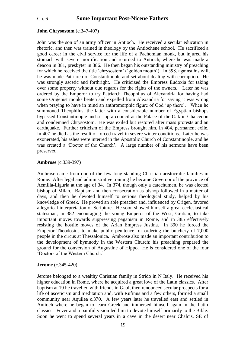## Ch. 6 **Some Important Post-Nicene Fathers**

#### **John Chrysostom** (c.347-407)

John was the son of an army officer in Antioch. He received a secular education in rhetoric, and then was trained in theology by the Antiochene school. He sacrificed a good career in the civil service for the life of a Pachomian monk, but injured his stomach with severe mortification and returned to Antioch, where he was made a deacon in 381, presbyter in 386. He then began his outstanding ministry of preaching for which he received the title 'chrysostom' ('golden mouth'). In 398, against his will, he was made Patriarch of Constantinople and set about dealing with corruption. He was strongly ascetic and forthright. He criticized the Empress Eudoxia for taking over some property without due regards for the rights of the owners. Later he was ordered by the Emperor to try Patriarch Theophilus of Alexandria for having had some Origenist monks beaten and expelled from Alexandria for saying it was wrong when praying to have in mind an anthromorphic figure of God 'up there'. When he summoned Theophilus, the latter with a considerable number of Egyptian bishops bypassed Constantinople and set up a council at the Palace of the Oak in Chalcedon and condemned Chrysostom. He was exiled but restored after mass protests and an earthquake. Further criticism of the Empress brought him, in 404, permanent exile. In 407 he died as the result of forced travel in severe winter conditions. Later he was exonerated, his ashes were interred in the Apostolic Church of Constantinople, and he was created a 'Doctor of the Church'. A large number of his sermons have been preserved.

#### **Ambrose** (c.339-397)

Ambrose came from one of the few long-standing Christian aristocratic families in Rome. After legal and administrative training he became Governor of the province of Aemilia-Liguria at the age of 34. In 374, though only a catechumen, he was elected bishop of Milan. Baptism and then consecration as bishop followed in a matter of days, and then he devoted himself to serious theological study, helped by his knowledge of Greek. He proved an able preacher and, influenced by Origen, favored allegorical interpretation of Scripture. He soon showed himself a great ecclesiastical statesman, in 382 encouraging the young Emperor of the West, Gratian, to take important moves towards suppressing paganism in Rome, and in 385 effectively resisting the hostile moves of the Arian Empress Justina. In 390 he forced the Emperor Theodosius to make public penitence for ordering the butchery of 7,000 people in the circus at Thessalonica. Ambrose also made an important contribution to the development of hymnody in the Western Church; his preaching prepared the ground for the conversion of Augustine of Hippo. He is considered one of the four 'Doctors of the Western Church.'

#### **Jerome** (c.345-420)

Jerome belonged to a wealthy Christian family in Strido in N Italy. He received his higher education in Rome, where he acquired a great love of the Latin classics. After baptism at 19 he travelled with friends in Gaul, then renounced secular prospects for a life of asceticism and meditation and, with Rufinus and a few others, formed a small community near Aquilea c.370. A few years later he travelled east and settled in Antioch where he began to learn Greek and immersed himself again in the Latin classics. Fever and a painful vision led him to devote himself primarily to the Bible. Soon he went to spend several years in a cave in the desert near Chalcis, SE of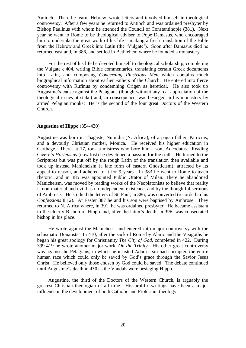Antioch. There he learnt Hebrew, wrote letters and involved himself in theological controversy. After a few years he returned to Antioch and was ordained presbyter by Bishop Paulinus with whom he attended the Council of Constantinople (381). Next year he went to Rome to be theological adviser to Pope Damasus, who encouraged him to undertake the great work of his life – making a fresh translation of the Bible from the Hebrew and Greek into Latin (the 'Vulgate'). Soon after Damasus died he returned east and, in 386, and settled in Bethlehem where he founded a monastery.

For the rest of his life he devoted himself to theological scholarship, completing the Vulgate c.404, writing Bible commentaries, translating certain Greek documents into Latin, and composing *Concerning Illustrious Men* which contains much biographical information about earlier Fathers of the Church. He entered into fierce controversy with Rufinus by condemning Origen as heretical. He also took up Augustine's cause against the Pelagians (though without any real appreciation of the theological issues at stake) and, in consequence, was besieged in his monastery by armed Pelagian monks! He is the second of the four great Doctors of the Western Church.

#### **Augustine of Hippo** (354-430)

Augustine was born in Thagaste, Numidia (N. Africa), of a pagan father, Patricius, and a devoutly Christian mother, Monica. He received his higher education in Carthage. There, at 17, took a mistress who bore him a son, Adeodatus. Reading Cicero's *Hortensius* (now lost) he developed a passion for the truth. He turned to the Scriptures but was put off by the rough Latin of the translation then available and took up instead Manicheism (a late form of eastern Gnosticism), attracted by its appeal to reason, and adhered to it for 9 years. In 383 he went to Rome to teach rhetoric, and in 385 was appointed Public Orator of Milan. There he abandoned Manicheism, was moved by reading works of the Neoplatonists to believe that reality is non-material and evil has no independent existence, and by the thoughtful sermons of Ambrose. He studied the letters of St. Paul, in 386, was converted (recorded in his *Confessions* 8.12). At Easter 387 he and his son were baptised by Ambrose. They returned to N. Africa where, in 391, he was ordained presbyter. He became assistant to the elderly Bishop of Hippo and, after the latter's death, in 396, was consecrated bishop in his place.

He wrote against the Manichees, and entered into major controversy with the schismatic Donatists. In 410, after the sack of Rome by Alaric and the Visigoths he began his great apology for Christianity *The City of God,* completed in 422. During 399-419 he wrote another major work, *On the Trinity*. His other great controversy was against the Pelagians, in which he insisted Adam's sin had corrupted the entire human race which could only be saved by God's grace through the Savior Jesus Christ. He believed only those chosen by God could be saved. The debate continued until Augustine's death in 430 as the Vandals were besieging Hippo.

Augustine, the third of the Doctors of the Western Church, is arguably the greatest Christian theologian of all time. His prolific writings have been a major influence in the development of both Catholic and Protestant theology.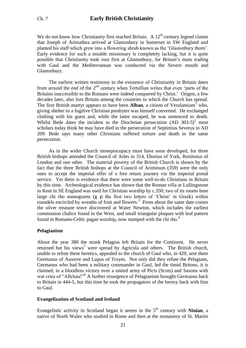We do not know how Christianity first reached Britain. A  $12<sup>th</sup>$ -century legend claims that Joseph of Arimathea arrived at Glastonbury in Somerset in SW England and planted his staff which grew into a flowering shrub known as the 'Glastonbury thorn'. Early evidence for such a notable missionary is completely lacking, but it is quite possible that Christianity took root first at Glastonbury, for Britain's main trading with Gaul and the Mediterranean was conducted via the Severn mouth and Glastonbury.

The earliest written testimony to the existence of Christianity in Britain dates from around the end of the  $2<sup>nd</sup>$  century when Tertullian writes that even 'parts of the Britains inaccessible to the Romans were indeed conquered by Christ.' Origen, a few decades later, also lists Britain among the countries to which the Church has spread. The first British martyr appears to have been **Alban**, a citizen of Verulamium<sup>1</sup> who, giving shelter to a fugitive Christian presbyter was himself converted. He exchanged clothing with his guest and, while the latter escaped, he was sentenced to death. Whilst Bede dates the incident to the Diocletian persecution (AD  $303-5$ )<sup>2</sup> most scholars today think he may have died in the persecution of Septimius Severus in AD 209. Bede says many other Christians suffered torture and death in the same persecution.

As in the wider Church monepiscopacy must have soon developed, for three British bishops attended the Council of Arles in 314, Eborius of York, Restitutus of London and one other. The material poverty of the British Church is shown by the fact that the three British bishops at the Council of Ariminum (359) were the only ones to accept the imperial offer of a free return journey via the imperial postal service. Yet there is evidence that there were some well-to-do Christians in Britain by this time. Archeological evidence has shown that the Roman villa at Lullingstone in Kent in SE England was used for Christian worship by c.350; two of its rooms bore large chi rho monograms (χ ρ the first two letters of 'Christ' in Greek) within roundels encircled by wreaths of fruit and flowers.<sup>3</sup> From about the same date comes the silver treasure trove discovered at Water Newton, which includes the earliest communion chalice found in the West, and small triangular plaques with leaf pattern found in Romano-Celtic pagan worship, now stamped with the chi rho.<sup>4</sup>

#### **Pelagianism**

About the year 380 the monk Pelagius left Britain for the Continent. He never returned but his views<sup>5</sup> were spread by Agricola and others. The British church, unable to refute these heretics, appealed to the church of Gaul who, in 429, sent them Germanus of Auxerre and Lupus of Troyes. Not only did they refute the Pelagians, Germanus who had been a military commander in Gaul, led the timid Britons, it is claimed, to a bloodless victory over a united army of Picts (Scots) and Saxons with war cries of "Alleluia!"<sup>6</sup> A further resurgence of Pelagianism brought Germanus back to Britain in 444-5, but this time he took the propagators of the heresy back with him to Gaul.

#### **Evangelization of Scotland and Ireland**

Evangelistic activity in Scotland began it seems in the  $5<sup>th</sup>$  century with **Ninian**, a native of North Wales who studied in Rome and then at the monastery of St. Martin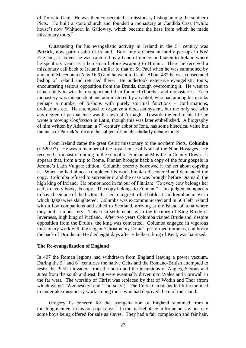of Tours in Gaul. He was then consecrated as missionary bishop among the southern Picts. He built a stone church and founded a monastery at Candida Casa ('white house') now Whithorn in Galloway, which became the base from which he made missionary tours.<sup>7</sup>

Outstanding for his evangelistic activity in Ireland in the  $5<sup>th</sup>$  century was **Patrick**, now patron saint of Ireland. Born into a Christian family perhaps in NW England, at sixteen he was captured by a band of raiders and taken to Ireland where he spent six years as a herdsman before escaping to Britain. There he received a missionary call back to Ireland similar to that of St. Paul when he was summoned by a man of Macedonia (Acts 16:9) and he went to Gaul. About 432 he was consecrated bishop of Ireland and returned there. He undertook extensive evangelistic tours, encountering serious opposition from the Druids, though overcoming it. He went to tribal chiefs to win their support and then founded churches and monasteries. Each monastery was independent and administered by an abbot, who had among his monks perhaps a number of bishops with purely spiritual functions – confirmations, ordinations etc. He attempted to organize a diocesan system, but the only see with any degree of permanence was his own at Armagh. Towards the end of his life he wrote a moving *Confession* in Latin, though this was later embellished. A biography of him written by Adamnan, a  $7<sup>th</sup>$ -century abbot of Iona, has some historical value but the facts of Patrick's life are the subject of much scholarly debate today.

From Ireland came the great Celtic missionary to the northern Picts, **Columba** (c.520-97). He was a member of the royal house of Niall of the Nine Hostages. He received a monastic training in the school of Finnian at Moville in County Down. It appears that, from a trip to Rome, Finnian brought back a copy of the four gospels in Jerome's Latin Vulgate edition. Columba secretly borrowed it and set about copying it. When he had almost completed his work Finnian discovered and demanded the copy. Columba refused to surrender it and the case was brought before Diamaid, the high king of Ireland. He pronounced in favour of Finnian: "To every cow belongs her calf, to every book, its copy. The copy belongs to Finnian." This judgement appears to have been one of the factors that led to a great tribal battle at Culdreimhne in 561in which 3,000 were slaughtered. Columba was excommunicated and in 563 left Ireland with a few companions and sailed to Scotland, arriving at the island of Iona where they built a monastery. This Irish settlement lay in the territory of King Brude of Inverness, high king of Pictland. After two years Columba visited Brude and, despite opposition from the Druids, the king was converted. Columba engaged in vigorous missionary work with the slogan 'Christ is my Druid', performed miracles, and broke the back of Druidism. He died eight days after Ethelbert, king of Kent, was baptized.

#### **The Re-evangelization of England**

In 407 the Roman legions had withdrawn from England leaving a power vacuum. During the  $5<sup>th</sup>$  and  $6<sup>th</sup>$  centuries the native Celts and the Romano-British attempted to resist the Pictish invaders from the north and the incursions of Angles, Saxons and Jutes from the south and east, but were eventually driven into Wales and Cornwall in the far west. The worship of Christ was replaced by that of Wodin and Thor (from which we get 'Wednesday' and 'Thursday'). The Celtic Christians felt little inclined to undertake missionary work among those who had deprived them of their land.

Gregory I's concern for the evangelization of England stemmed from a touching incident in his pre-papal days.<sup>8</sup> In the market place in Rome he saw one day some boys being offered for sale as slaves. They had a fair complexion and fair hair.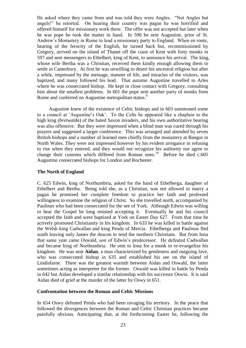He asked where they came from and was told they were Angles. "Not Angles but angels!" he retorted. On hearing their country was pagan he was horrified and offered himself for missionary work there. The offer was not accepted but later when he was pope he took the matter in hand. In 596 he sent Augustine, prior of St. Andrew's Monastery in Rome to lead a missionary party to England. When en route, hearing of the ferocity of the English, he turned back but, recommissioned by Gregory, arrived on the island of Thanet off the coast of Kent with forty monks in 597 and sent messengers to Ethelbert, king of Kent, to announce his arrival. The king, whose wife Bertha was a Christian, received them kindly enough allowing them to settle in Canterbury. At first he was unwilling to desert his ancestral religion but after a while, impressed by the message, manner of life, and miracles of the visitors, was baptized, and many followed his lead. That autumn Augustine travelled to Arles where he was consecrated bishop. He kept in close contact with Gregory, consulting him about the smallest problems. In 601 the pope sent another party of monks from Rome and conferred on Augustine metropolitan status.<sup>9</sup>

Augustine knew of the existence of Celtic bishops and in 603 summoned some to a council at 'Augustine's Oak'. To the Celts he appeared like a chaplain to the high king (*bretwalda*) of the hated Saxon invaders, and his own authoritative bearing was also offensive. But they were impressed when a blind man was cured through his prayers and suggested a larger conference. This was arranged and attended by seven British bishops and a number of learned men chiefly from the monastery at Bangor in North Wales. They were not impressed however by his evident arrogance in refusing to rise when they entered, and they would not recognize his authority nor agree to change their customs which differed from Roman ones.<sup>10</sup> Before he died c.605 Augustine consecrated bishops for London and Rochester.

#### **The North of England**

C. 625 Edwin, king of Northumbria, asked for the hand of Ethelberga, daughter of Ethelbert and Bertha. Being told she, as a Christian, was not allowed to marry a pagan he promised her complete freedom to practice her faith and professed willingness to examine the religion of Christ. So she travelled north, accompanied by Paulinus who had been consecrated for the see of York. Although Edwin was willing to hear the Gospel he long resisted accepting it. Eventually he and his council accepted the faith and were baptized at York on Easter Day 627. From that time he actively promoted Christianity in his kingdom. In 633 he was killed in battle against the Welsh king Cadwallan and king Penda of Mercia. Ethelberga and Paulinus fled south leaving only James the deacon to tend the northern Christians. But from Iona that same year came Oswald, son of Edwin's predecessor. He defeated Cadwallan and became king of Northumbria. He sent to Iona for a monk to re-evangelize his kingdom. He was sent **Aidan**, a man characterized by gentleness and outgoing love, who was consecrated bishop in 635 and established his see on the island of Lindisfarne. There was the greatest warmth between Aidan and Oswald, the latter sometimes acting as interpreter for the former. Oswald was killed in battle by Penda in 642 but Aidan developed a similar relationship with his successor Oswin. It is said Aidan died of grief at the murder of the latter by Oswy in 651.

#### **Confrontation between the Roman and Celtic Missions**

In 654 Oswy defeated Penda who had been ravaging his territory. In the peace that followed the divergences between the Roman and Celtic Christian practices became painfully obvious. Anticipating that, at the forthcoming Easter he, following the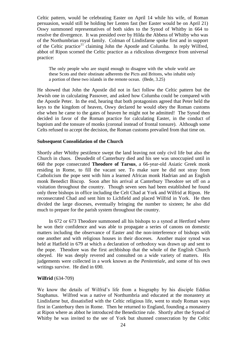Celtic pattern, would be celebrating Easter on April 14 while his wife, of Roman persuasion, would still be holding her Lenten fast (her Easter would be on April 21) Oswy summoned representatives of both sides to the Synod of Whitby in 664 to resolve the divergence. It was presided over by Hilda the Abbess of Whitby who was of the Northumbrian royal family. Colman of Lindisfarne spoke first and in support of the Celtic practice<sup>11</sup> claiming John the Apostle and Columba. In reply Wilfred, abbot of Ripon scorned the Celtic practice as a ridiculous divergence from universal practice:

The only people who are stupid enough to disagree with the whole world are these Scots and their obstinate adherents the Picts and Britons, who inhabit only a portion of these two islands in the remote ocean. (Bede, 3.25)

He showed that John the Apostle did not in fact follow the Celtic pattern but the Jewish one in calculating Passover, and asked how Columba could be compared with the Apostle Peter. In the end, hearing that both protagonists agreed that Peter held the keys to the kingdom of heaven, Oswy declared he would obey the Roman customs else when he came to the gates of heaven he might not be admitted! The Synod then decided in favor of the Roman practice for calculating Easter, in the conduct of baptism and the tonsure of monks (coronal instead of frontal tonsure). Although some Celts refused to accept the decision, the Roman customs prevailed from that time on.

#### **Subsequent Consolidation of the Church**

Shortly after Whitby pestilence swept the land leaving not only civil life but also the Church in chaos. Deusdedit of Canterbury died and his see was unoccupied until in 668 the pope consecrated **Theodore of Tarsus**, a 66-year-old Asiatic Greek monk residing in Rome, to fill the vacant see. To make sure he did not stray from Catholicism the pope sent with him a learned African monk Hadrian and an English monk Benedict Biscop. Soon after his arrival at Canterbury Theodore set off on a visitation throughout the country. Though seven sees had been established he found only three bishops in office including the Celt Chad at York and Wilfrid at Ripon. He reconsecrated Chad and sent him to Lichfield and placed Wilfrid in York. He then divided the large dioceses, eventually bringing the number to sixteen; he also did much to prepare for the parish system throughout the country.

In 672 or 673 Theodore summoned all his bishops to a synod at Hertford where he won their confidence and was able to propagate a series of canons on domestic matters including the observance of Easter and the non-interference of bishops with one another and with religious houses in their dioceses. Another major synod was held at Hatfield in 679 at which a declaration of orthodoxy was drawn up and sent to the pope. Theodore was the first archbishop that the whole of the English Church obeyed. He was deeply revered and consulted on a wide variety of matters. His judgements were collected in a work known as the *Penitentiale*, and some of his own writings survive. He died in 690.

#### **Wilfrid** (634-709)

We know the details of Wilfrid's life from a biography by his disciple Eddius Staphanus. Wilfred was a native of Northumbria and educated at the monastery at Lindisfarne but, dissatisfied with the Celtic religious life, went to study Roman ways first in Canterbury then in Rome. Then he returned to England, founding a monastery at Ripon where as abbot he introduced the Benedictine rule. Shortly after the Synod of Whitby he was invited to the see of York but shunned consecration by the Celtic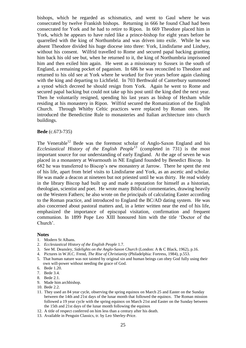bishops, which he regarded as schismatics, and went to Gaul where he was consecrated by twelve Frankish bishops. Returning in 666 he found Chad had been consecrated for York and he had to retire to Ripon. In 669 Theodore placed him in York, which he appears to have ruled like a prince-bishop for eight years before he quarrelled with the king of Northumbria and was driven into exile. While he was absent Theodore divided his huge diocese into three: York, Lindisfarne and Lindsey, without his consent. Wilfrid travelled to Rome and secured papal backing granting him back his old see but, when he returned to it, the king of Northumbria imprisoned him and then exiled him again. He went as a missionary to Sussex in the south of England, a remaining pocket of paganism. In 686 he was reconciled to Theodore and returned to his old see at York where he worked for five years before again clashing with the king and departing to Lichfield. In 703 Berthwald of Canterbury summoned a synod which decreed he should resign from York. Again he went to Rome and secured papal backing but could not take up his post until the king died the next year. Then he voluntarily resigned, spending his last years as bishop of Hexham while residing at his monastery in Ripon. Wilfrid secured the Romanization of the English Church. Through Whitby Celtic practices were replaced by Roman ones. He introduced the Benedictine Rule to monasteries and Italian architecture into church buildings.

#### **Bede** (c.673-735)

The Venerable<sup>12</sup> Bede was the foremost scholar of Anglo-Saxon England and his *Ecclesiastical History of the English People*<sup>13</sup> (completed in 731) is the most important source for our understanding of early England. At the age of seven he was placed in a monastery at Wearmouth in NE England founded by Benedict Biscop. In 682 he was transferred to Biscop's new monastery at Jarrow. There he spent the rest of his life, apart from brief visits to Lindisfarne and York, as an ascetic and scholar. He was made a deacon at nineteen but not priested until he was thirty. He read widely in the library Biscop had built up and made a reputation for himself as a historian, theologian, scientist and poet. He wrote many Biblical commentaries, drawing heavily on the Western Fathers; he also wrote on the principals of calculating Easter according to the Roman practice, and introduced to England the BC/AD dating system. He was also concerned about pastoral matters and, in a letter written near the end of his life, emphasized the importance of episcopal visitation, confirmation and frequent communion. In 1899 Pope Leo XIII honoured him with the title 'Doctor of the Church'.

#### **Notes**

- 1. Modern St Albans.
- 2. *Ecclesiastical History of the English People* 1.7.
- 3. See M. Deansley, *Sidelights on the Anglo-Saxon Church* (London: A & C Black, 1962), p.16.
- 4. Pictures in W.H.C. Frend, *The Rise of Christianity* (Philadelphia: Fortress, 1984), p.553.
- 5. That human nature was not tainted by original sin and human beings can obey God fully using their own will-power without needing the grace of God.
- 6. Bede 1.20.
- 7. Bede 3.4.
- 8. Bede 2.1.
- 9. Made him archbishop.
- 10. Bede 2.2.
- 11. They used an 84 year cycle, observing the spring equinox on March 25 and Easter on the Sunday between the 14th and 21st days of the lunar month that followed the equinox. The Roman mission followed a 19 year cycle with the spring equinox on March 21st and Easter on the Sunday between the 15th and 21st days of the lunar month following the equinox
- 12. A title of respect conferred on him less than a century after his death.
- 13. Available in Penguin Classics, tr. by Leo Sherley-Price.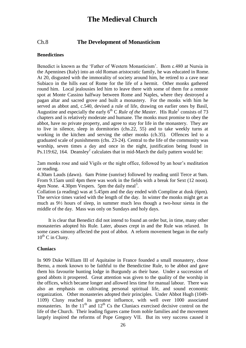# **The Medieval Church**

## Ch.8 **The Development of Monasticism**

#### **Benedictines**

Benedict is known as the 'Father of Western Monasticism'. Born c.480 at Nursia in the Apennines (Italy) into an old Roman aristocratic family, he was educated in Rome. At 20, disgusted with the immorality of society around him, he retired to a cave near Subiaco in the hills east of Rome for the life of a hermit. Other monks gathered round him. Local jealousies led him to leave there with some of them for a remote spot at Monte Cassino halfway between Rome and Naples, where they destroyed a pagan altar and sacred grove and built a monastery. For the monks with him he served as abbot and, c.540, devised a rule of life, drawing on earlier ones by Basil, Augustine and especially the early  $6<sup>th</sup>$  C *Rule of the Master*. His Rule<sup>1</sup> consists of 73 chapters and is relatively moderate and humane. The monks must promise to obey the abbot, have no private property, and agree to stay for life in the monastery. They are to live in silence, sleep in dormitories (chs.22, 55) and to take weekly turns at working in the kitchen and serving the other monks (ch.35). Offences led to a graduated scale of punishments (chs. 23-24). Central to the life of the community was worship, seven times a day and once in the night, justification being found in Ps.119:62, 164. Deansley<sup>2</sup> calculates that in mid-March the daily pattern would be:

2am monks rose and said Vigils or the night office, followed by an hour's meditation or reading.

4.30am Lauds (dawn). 6am Prime (sunrise) followed by reading until Terce at 9am. From 9.15am until 4pm there was work in the fields with a break for Sext (12 noon).  $4 \text{pm}$  None.  $4.30 \text{pm}$  Vespers. 5pm the daily meal<sup>3</sup>.

Collation (a reading) was at 5.45pm and the day ended with Compline at dusk (6pm). The service times varied with the length of the day. In winter the monks might get as much as 9½ hours of sleep, in summer much less though a two-hour siesta in the middle of the day. Mass was only on Sundays and holy days.

It is clear that Benedict did not intend to found an order but, in time, many other monasteries adopted his Rule*.* Later, abuses crept in and the Rule was relaxed. In some cases simony affected the post of abbot. A reform movement began in the early  $10^{th}$  C in Cluny.

#### **Cluniacs**

In 909 Duke William III of Aquitaine in France founded a small monastery, chose Berno, a monk known to be faithful to the Benedictine Rule*,* to be abbot and gave them his favourite hunting lodge in Burgundy as their base. Under a succession of good abbots it prospered. Great attention was given to the quality of the worship in the offices, which became longer and allowed less time for manual labour. There was also an emphasis on cultivating personal spiritual life, and sound economic organization. Other monasteries adopted their principles. Under Abbot Hugh (1049- 1109) Cluny reached its greatest influence, with well over 1000 associated monasteries. In the  $11<sup>th</sup>$  and  $12<sup>th</sup>$  Cs the Cluniacs exercised decisive control on the life of the Church. Their leading figures came from noble families and the movement largely inspired the reforms of Pope Gregory VII. But its very success caused it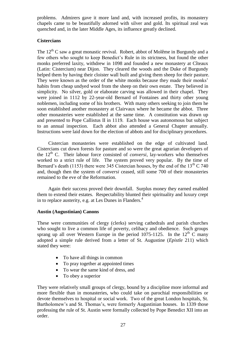problems. Admirers gave it more land and, with increased profits, its monastery chapels came to be beautifully adorned with silver and gold. Its spiritual zeal was quenched and, in the later Middle Ages, its influence greatly declined.

## **Cistercians**

The  $12^{th}$  C saw a great monastic revival. Robert, abbot of Molême in Burgundy and a few others who sought to keep Benedict's Rule in its strictness, but found the other monks preferred laxity, withdrew in 1098 and founded a new monastery at Cîteaux (Latin: Cistercium) near Dijon. They cleared the woods and the Duke of Burgundy helped them by having their cloister wall built and giving them sheep for their pasture. They were known as the order of the white monks because they made their monks' habits from cheap undyed wool from the sheep on their own estate. They believed in simplicity. No silver, gold or elaborate carving was allowed in their chapel. They were joined in 1112 by 22-year-old Bernard of Fontaines and thirty other young noblemen, including some of his brothers. With many others seeking to join them he soon established another monastery at Clairvaux where he became the abbot. Three other monasteries were established at the same time. A constitution was drawn up and presented to Pope Callistus II in 1119. Each house was autonomous but subject to an annual inspection. Each abbot also attended a General Chapter annually. Instructions were laid down for the election of abbots and for disciplinary procedures.

Cistercian monasteries were established on the edge of cultivated land. Cistercians cut down forests for pasture and so were the great agrarian developers of the  $12<sup>th</sup>$  C. Their labour force consisted of *conversi*, lay-workers who themselves worked to a strict rule of life. The system proved very popular. By the time of Bernard's death (1153) there were 345 Cistercian houses, by the end of the  $13<sup>th</sup>$  C 740 and, though then the system of *conversi* ceased, still some 700 of their monasteries remained to the eve of the Reformation.

Again their success proved their downfall. Surplus money they earned enabled them to extend their estates. Respectability blunted their spirituality and luxury crept in to replace austerity, e.g. at Les Dunes in Flanders.<sup>4</sup>

## **Austin (Augustinian) Canons**

These were communities of clergy (clerks) serving cathedrals and parish churches who sought to live a common life of poverty, celibacy and obedience. Such groups sprang up all over Western Europe in the period 1075-1125. In the  $12<sup>th</sup>$  C many adopted a simple rule derived from a letter of St. Augustine (*Epistle* 211) which stated they were:

- To have all things in common
- To pray together at appointed times
- To wear the same kind of dress, and
- To obey a superior

They were relatively small groups of clergy, bound by a discipline more informal and more flexible than in monasteries, who could take on parochial responsibilities or devote themselves to hospital or social work. Two of the great London hospitals, St. Bartholomew's and St. Thomas's, were formerly Augustinian houses. In 1339 those professing the rule of St. Austin were formally collected by Pope Benedict XII into an order.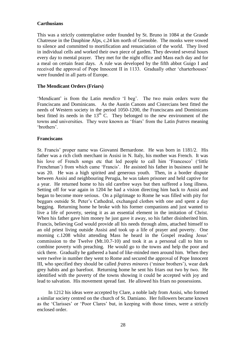#### **Carthusians**

This was a strictly contemplative order founded by St. Bruno in 1084 at the Grande Chatreuse in the Dauphine Alps, c.24 km north of Grenoble. The monks were vowed to silence and committed to mortification and renunciation of the world. They lived in individual cells and worked their own piece of garden. They devoted several hours every day to mental prayer. They met for the night office and Mass each day and for a meal on certain feast days. A rule was developed by the fifth abbot Guigo I and received the approval of Pope Innocent II in 1133. Gradually other 'charterhouses' were founded in all parts of Europe.

#### **The Mendicant Orders (Friars)**

'Mendicant' is from the Latin *mendico* 'I beg'. The two main orders were the Franciscans and Dominicans. As the Austin Canons and Cistercians best fitted the needs of Western society in the period 1050-1200, the Franciscans and Dominicans best fitted its needs in the  $13<sup>th</sup>$  C. They belonged to the new environment of the towns and universities. They were known as 'friars' from the Latin *fratres* meaning 'brothers'.

#### **Franciscans**

St. Francis' proper name was Giovanni Bernardone. He was born in 1181/2. His father was a rich cloth merchant in Assisi in N. Italy, his mother was French. It was his love of French songs etc that led people to call him 'Francesco' ('little Frenchman') from which came 'Francis'. He assisted his father in business until he was 20. He was a high spirited and generous youth. Then, in a border dispute between Assisi and neighbouring Perugia, he was taken prisoner and held captive for a year. He returned home to his old carefree ways but then suffered a long illness. Setting off for war again in 1204 he had a vision directing him back to Assisi and began to become more serious. On a pilgrimage to Rome he was filled with pity for beggars outside St. Peter's Cathedral, exchanged clothes with one and spent a day begging. Returning home he broke with his former companions and just wanted to live a life of poverty, seeing it as an essential element in the imitation of Christ. When his father gave him money he just gave it away, so his father disinherited him. Francis, believing God would provide all his needs through alms, attached himself to an old priest living outside Assisi and took up a life of prayer and poverty. One morning c.1208 whilst attending Mass he heard in the Gospel reading Jesus' commission to the Twelve (Mt.10.7-10) and took it as a personal call to him to combine poverty with preaching. He would go to the towns and help the poor and sick there. Gradually he gathered a band of like-minded men around him. When they were twelve in number they went to Rome and secured the approval of Pope Innocent III, who specified they should be called *fratres minores* ('minor brothers'), wear dark grey habits and go barefoot. Returning home he sent his friars out two by two. He identified with the poverty of the towns showing it could be accepted with joy and lead to salvation. His movement spread fast. He allowed his friars no possessions.

In 1212 his ideas were accepted by Clare, a noble lady from Assisi, who formed a similar society centred on the church of St. Damiano. Her followers became known as the 'Clarisses' or 'Poor Clares' but, in keeping with those times, were a strictly enclosed order.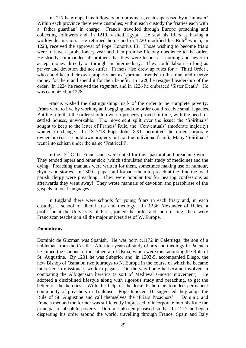In 1217 he grouped his followers into provinces, each supervised by a 'minister'. Within each province there were custodies; within each custody the friaries each with a 'father guardian' in charge. Francis travelled through Europe preaching and collecting followers and, in 1219, visited Egypt. He saw his friars as having a worldwide mission. He returned home and in 1220 modified his Rule<sup>5</sup> which, in 1223, received the approval of Pope Honorius III. Those wishing to become friars were to have a probationary year and then promise lifelong obedience to the order. He strictly commanded all brothers that they were to possess nothing and never to accept money directly or through an intermediary. They could labour so long as prayer and devotion did not suffer. Francis also drew up rules for a 'Third Order', who could keep their own property, act as 'spiritual friends' to the friars and receive money for them and spend it for their benefit. In 1220 he resigned leadership of the order. In 1224 he received the *stigmata*, and in 1226 he embraced 'Sister Death'. He was canonized in 1228.

Francis wished the distinguishing mark of the order to be complete poverty. Friars were to live by working and begging and the order could receive small legacies. But the rule that the order should own no property proved in time, with the need for settled houses, unworkable. The movement split over the issue: the 'Spirituals' sought to keep to the letter of Francis' Rule, the 'Conventuals' (moderate majority) wanted to change. In 1317/18 Pope John XXII permitted the order corporate ownership (i.e. it could own property but not the individual friars). Many 'Spirituals' went into schism under the name 'Fratricelli'.

In the  $13<sup>th</sup>$  C the Franciscans were noted for their pastoral and preaching work. They tended lepers and other sick (which stimulated their study of medicine) and the dying. Preaching manuals were written for them, sometimes making use of humour, rhyme and stories. In 1300 a papal bull forbade them to preach at the time the local parish clergy were preaching. They were popular too for hearing confessions as afterwards they went away! They wrote manuals of devotion and paraphrase of the gospels in local languages.

In England there were schools for young friars in each friary and, in each custody, a school of liberal arts and theology. In 1236 Alexander of Hales, a professor at the University of Paris, joined the order and, before long, there were Franciscan teachers in all the major universities of W. Europe.

#### **Dominicans**

Dominic de Guzman was Spanish. He was born c.1172 in Caleruega, the son of a nobleman from the Castile. After ten years of study of arts and theology in Palencia he joined the Canons of the cathedral of Osma, which were then adopting the Rule of St. Augustine. By 1201 he was Subprior and, in 1203-5, accompanied Diego, the new Bishop of Osma on two journeys to N. Europe in the course of which he became interested in missionary work to pagans. On the way home he became involved in combating the Albigensian heretics (a sort of Medieval Gnostic movement). He adopted a disciplined lifestyle along with rigorous study and preaching, to get the better of the heretics. With the help of the local bishop he founded permanent community of preachers in Toulouse. Pope Innocent III suggested they adopt the Rule of St. Augustine and call themselves the 'Friars Preachers'. Dominic and Francis met and the former was sufficiently impressed to incorporate into his Rule the principal of absolute poverty. Dominic also emphasised study. In 1217 he began dispersing his order around the world, travelling through France, Spain and Italy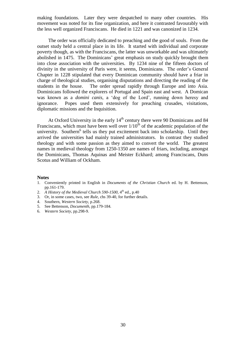making foundations. Later they were despatched to many other countries. His movement was noted for its fine organization, and here it contrasted favourably with the less well organized Franciscans. He died in 1221 and was canonized in 1234.

The order was officially dedicated to preaching and the good of souls. From the outset study held a central place in its life. It started with individual and corporate poverty though, as with the Franciscans, the latter was unworkable and was ultimately abolished in 1475. The Dominicans' great emphasis on study quickly brought them into close association with the universities. By 1234 nine of the fifteen doctors of divinity in the university of Paris were, it seems, Dominicans. The order's General Chapter in 1228 stipulated that every Dominican community should have a friar in charge of theological studies, organising disputations and directing the reading of the students in the house. The order spread rapidly through Europe and into Asia. Dominicans followed the explorers of Portugal and Spain east and west. A Domican was known as a *domini canis,* a 'dog of the Lord', running down heresy and ignorance. Popes used them extensively for preaching crusades, visitations, diplomatic missions and the Inquisition.

At Oxford University in the early  $14<sup>th</sup>$  century there were 90 Dominicans and 84 Franciscans, which must have been well over  $1/10^{th}$  of the academic population of the university. Southern<sup>6</sup> tells us they put excitement back into scholarship. Until they arrived the universities had mainly trained administrators. In contrast they studied theology and with some passion as they aimed to convert the world. The greatest names in medieval theology from 1250-1350 are names of friars, including, amongst the Dominicans, Thomas Aquinas and Meister Eckhard; among Franciscans, Duns Scotus and William of Ockham.

#### **Notes**

- 1. Conveniently printed in English in *Documents of the Christian Church* ed. by H. Bettenson, pp.161-179.
- 2. A History of the Medieval Church 590-1500,  $4<sup>th</sup>$  ed., p.40
- 3. Or, in some cases, two, see *Rule,* chs 39-40, for further details.
- 4. Southern, *Western Society,* p.268.
- 5. See Bettenson, *Documenth,* pp.179-184*.*
- 6. *Western Society,* pp.298-9.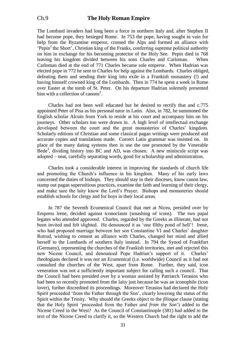The Lombard invaders had long been a force in northern Italy and, after Stephen II had become pope, they besieged Rome. In 753 the pope, having sought in vain for help from the Byzantine emperor, crossed the Alps and formed an alliance with  $'Penin<sup>1</sup>$  the Short', Christian king of the Franks, conferring supreme political authority on him in exchange for his becoming protector of the Holy See. Pepin died in 768 leaving his kingdom divided between his sons Charles and Carloman. When Carloman died at the end of 771 Charles became sole emperor. When Hadrian was elected pope in 772 he sent to Charles for help against the Lombards. Charles obliged, defeating them and sending their king into exile in a Frankish monastery (!) and having himself crowned king of the Lombards. Then in 774 he spent a week in Rome over Easter at the tomb of St. Peter. On his departure Hadrian solemnly presented him with a collection of canons<sup>2</sup>.

Charles had not been well educated but he desired to rectify that and c.775 appointed Peter of Pisa as his personal tutor in Latin. Also, in 782, he summoned the English scholar Alcuin from York to reside at his court and accompany him on his journeys. Other scholars too were drawn in. A high level of intellectual exchange developed between the court and the great monasteries of Charles' kingdom. Scholarly editions of Christian and some classical pagan writings were produced and accurate copies and translations made. Correct Latin grammar was insisted on. In place of the many dating systems then in use the one promoted by the Venerable  $Bede<sup>3</sup>$ , dividing history into BC and AD, was chosen. A new miniscule script was adopted – neat, carefully separating words, good for scholarship and administration.

Charles took a considerable interest in improving the standards of church life and promoting the Church's influence in his kingdom. Many of his early laws concerned the duties of bishops. They should stay in their dioceses, know canon law, stamp out pagan superstitious practices, examine the faith and learning of their clergy, and make sure the laity know the Lord's Prayer. Bishops and monasteries should establish schools for clergy and for boys in their local areas.

In 787 the Seventh Ecumenical Council that met at Nicea, presided over by Empress lrene, decided against iconoclasm (smashing of icons). The two papal legates who attended approved. Charles, regarded by the Greeks as illiterate, had not been invited and felt slighted. He denounced it as 'one filthy pond of hell'! Irene, who had proposed marriage between her son Constantine VI and Charles' daughter Rotrud, wishing to cement an alliance with Charles, changed her mind and allied herself to the Lombards of southern Italy instead. In 794 the Synod of Frankfurt (Germany), representing the churches of the Frankish territories, met and rejected this new Nicene Council, and denounced Pope Hadrian's support of it. Charles' theologians declared it was *not* an Ecumenical (i.e. worldwide) Council as it had not consulted the churches of the West, apart from Rome. Further, they said, icon veneration was not a sufficiently important subject for calling such a council. That the Council had been presided over by a woman assisted by Patriarch Terasios who had been so recently promoted from the laity just because he was an iconophile (icon lover), further discredited its proceedings. Moreover Terasios had declared the Holy Spirit proceeded 'from the Father through the Son', clearly lowering the status of the Spirit within the Trinity. Why should the Greeks object to the *filioque* clause (stating that the Holy Spirit 'proceeded from the Father *and from the Son*') added to the Nicene Creed in the West? As the Council of Constantinople (381) had added to the text of the Nicene Creed to clarify it, so the Western Church had the right to add the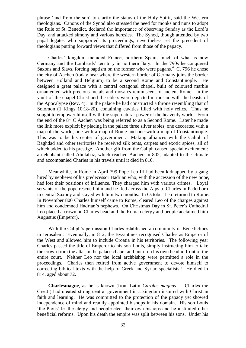phrase 'and from the son' to clarify the status of the Holy Spirit, said the Western theologians. Canons of the Synod also stressed the need for monks and nuns to adopt the Rule of St. Benedict, declared the importance of observing Sunday as the Lord's Day, and attacked simony and various heresies. The Synod, though attended by two papal legates who supported its proceedings, nevertheless set the precedent of theologians putting forward views that differed from those of the papacy.

Charles' kingdom included France, northern Spain, much of what is now Germany and the Lombards' territory in northern Italy. In the 790s he conquered Saxons and Slavs, forcing baptism on the former who were pagans.<sup>4</sup> C. 796 he chose the city of Aachen (today near where the western border of Germany joins the border between Holland and Belgium) to be a second Rome and Constantinople. He designed a great palace with a central octagonal chapel, built of coloured marble ornamented with precious metals and mosaics reminiscent of ancient Rome. In the vault of the chapel Christ and the elders were depicted in mosaic with the beasts of the Apocalypse (Rev. 4). In the palace he had constructed a throne resembling that of Solomon (1 Kings 10:18-20), containing cavities filled with holy relics. Thus he sought to empower himself with the supernatural power of the heavenly world. From the end of the  $8<sup>th</sup>$  C Aachen was being referred to as a Second Rome. Later he made the link more explicit by placing in the palace three silver tables, one decorated with a map of the world, one with a map of Rome and one with a map of Constantinople. This was to be his center of government. Making alliances with the Caliph of Baghdad and other territories he received silk tents, carpets and exotic spices, all of which added to his prestige. Another gift from the Caliph caused special excitement: an elephant called Abulabaz, which reached Aachen in 802, adapted to the climate and accompanied Charles in his travels until it died in 810.

Meanwhile, in Rome in April 799 Pope Leo III had been kidnapped by a gang hired by nephews of his predecessor Hadrian who, with the accession of the new pope, had lost their positions of influence. They charged him with various crimes. Loyal servants of the pope rescued him and he fled across the Alps to Charles in Paderborn in central Saxony and stayed with him two months. In October Leo returned to Rome. In November 800 Charles himself came to Rome, cleared Leo of the charges against him and condemned Hadrian's nephews. On Christmas Day in St. Peter's Cathedral Leo placed a crown on Charles head and the Roman clergy and people acclaimed him Augustus (Emperor).

With the Caliph's permission Charles established a community of Benedictines in Jerusalem. Eventually, in 812, the Byzantines recognised Charles as Emperor of the West and allowed him to include Croatia in his territories. The following year Charles passed the title of Emperor to his son Louis, simply instructing him to take the crown from the altar in the palace chapel and put it on his own head in front of the entire court. Neither Leo nor the local archbishop were permitted a role in the proceedings. Charles then retired from active government to devote himself to correcting biblical texts with the help of Greek and Syriac specialists ! He died in 814, aged about 72.

**Charlesmagne**, as he is known (from Latin *Carolus magnus* = 'Charles the Great') had created strong central government in a kingdom inspired with Christian faith and learning. He was committed to the protection of the papacy yet showed independence of mind and readily appointed bishops in his domain. His son Louis 'the Pious' let the clergy and people elect their own bishops and he instituted other beneficial reforms. Upon his death the empire was split between his sons. Under his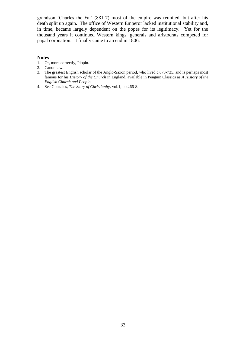grandson 'Charles the Fat' (881-7) most of the empire was reunited, but after his death split up again. The office of Western Emperor lacked institutional stability and, in time, became largely dependent on the popes for its legitimacy. Yet for the thousand years it continued Western kings, generals and aristocrats competed for papal coronation. It finally came to an end in 1806.

#### **Notes**

- 1. Or, more correctly, Pippin.
- 2. Canon law.
- 3. The greatest English scholar of the Anglo-Saxon period, who lived c.673-735, and is perhaps most famous for his *History of the Church* in England, available in Penguin Classics as *A History of the English Church and People.*
- 4. See Gonzales, *The Story of Christianity,* vol.1, pp.266-8.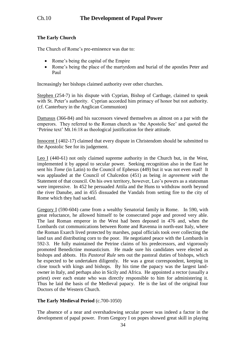## **The Early Church**

The Church of Rome's pre-eminence was due to:

- Rome's being the capital of the Empire
- Rome's being the place of the martyrdom and burial of the apostles Peter and Paul

Increasingly her bishops claimed authority over other churches.

Stephen (254-7) in his dispute with Cyprian, Bishop of Carthage, claimed to speak with St. Peter's authority. Cyprian accorded him primacy of honor but not authority. (cf. Canterbury in the Anglican Communion)

Damasus (366-84) and his successors viewed themselves as almost on a par with the emperors. They referred to the Roman church as 'the Apostolic See' and quoted the 'Petrine text' Mt.16:18 as theological justification for their attitude.

Innocent I (402-17) claimed that every dispute in Christendom should be submitted to the Apostolic See for its judgement.

Leo I (440-61) not only claimed supreme authority in the Church but, in the West, implemented it by appeal to secular power. Seeking recognition also in the East he sent his *Tome* (in Latin) to the Council of Ephesus (449) but it was not even read! It was applauded at the Council of Chalcedon (451) as being *in agreement with* the Statement of that council. On his own territory, however, Leo's powers as a statesman were impressive. In 452 he persuaded Attila and the Huns to withdraw north beyond the river Danube, and in 455 dissuaded the Vandals from setting fire to the city of Rome which they had sacked.

Gregory I (590-604) came from a wealthy Senatorial family in Rome. In 590, with great reluctance, he allowed himself to be consecrated pope and proved very able. The last Roman emperor in the West had been deposed in 476 and, when the Lombards cut communications between Rome and Ravenna in north-east Italy, where the Roman Exarch lived protected by marshes, papal officials took over collecting the land tax and distributing corn to the poor. He negotiated peace with the Lombards in 592-3. He fully maintained the Petrine claims of his predecessors, and vigorously promoted Benedictine monasticism. He made sure his candidates were elected as bishops and abbots. His *Pastoral Rule* sets out the pastoral duties of bishops, which he expected to be undertaken diligently. He was a great correspondent, keeping in close touch with kings and bishops. By his time the papacy was the largest landowner in Italy, and perhaps also in Sicily and Africa. He appointed a rector (usually a priest) over each estate who was directly responsible to him for administering it. Thus he laid the basis of the Medieval papacy. He is the last of the original four Doctors of the Western Church.

## **The Early Medieval Period** (c.700-1050)

The absence of a near and overshadowing secular power was indeed a factor in the development of papal power. From Gregory I on popes showed great skill in playing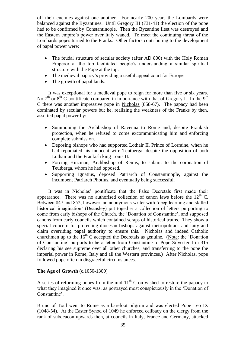off their enemies against one another. For nearly 200 years the Lombards were balanced against the Byzantines. Until Gregory III (731-41) the election of the pope had to be confirmed by Constantinople. Then the Byzantine fleet was destroyed and the Eastern empire's power over Italy waned. To meet the continuing threat of the Lombards popes turned to the Franks. Other factors contributing to the development of papal power were:

- The feudal structure of secular society (after AD 800) with the Holy Roman Emperor at the top facilitated people's understanding a similar spiritual structure with the Pope at the top.
- The medieval papacy's providing a useful appeal court for Europe.
- The growth of papal lands.

It was exceptional for a medieval pope to reign for more than five or six years. No  $7<sup>th</sup>$  or  $8<sup>th</sup>$  C pontificate compared in importance with that of Gregory I. In the 9<sup>th</sup> C there was another impressive pope in Nicholas (858-67). The papacy had been dominated by secular powers but he, realizing the weakness of the Franks by then, asserted papal power by:

- Summoning the Archbishop of Ravenna to Rome and, despite Frankish protection, when he refused to come excommunicating him and enforcing complete submission.
- Deposing bishops who had supported Lothair II, Prince of Lorraine, when he had repudiated his innocent wife Teutberga, despite the opposition of both Lothair and the Frankish king Louis II.
- Forcing Hincman, Archbishop of Reims, to submit to the coronation of Teutberga, whom he had opposed.
- Supporting Ignatius, deposed Patriarch of Constantinople, against the incumbent Patriarch Photius, and eventually being successful.

It was in Nicholas' pontificate that the False Decretals first made their appearance. There was no authorised collection of canon laws before the  $12<sup>th</sup>$  C. Between 847 and 852, however, an anonymous writer with 'deep learning and skilled historical imagination' (Deansley) put together a collection of letters purporting to come from early bishops of the Church, the 'Donation of Constantine', and supposed canons from early councils which contained scraps of historical truths. They show a special concern for protecting diocesan bishops against metropolitans and laity and claim overriding papal authority to ensure this. Nicholas and indeed Catholic churchmen up to the  $16<sup>th</sup>$  C accepted the Decretals as genuine. (Note: the 'Donation of Constantine' purports to be a letter from Constantine to Pope Silvester I in 315 declaring his see supreme over all other churches, and transferring to the pope the imperial power in Rome, Italy and all the Western provinces.) After Nicholas, pope followed pope often in disgraceful circumstances.

## **The Age of Growth** (c.1050-1300)

A series of reforming popes from the mid-11<sup>th</sup> C on wished to restore the papacy to what they imagined it once was, as portrayed most conspicuously in the 'Donation of Constantine'.

Bruno of Toul went to Rome as a barefoot pilgrim and was elected Pope Leo IX (1048-54). At the Easter Synod of 1049 he enforced celibacy on the clergy from the rank of subdeacon upwards then, at councils in Italy, France and Germany, attacked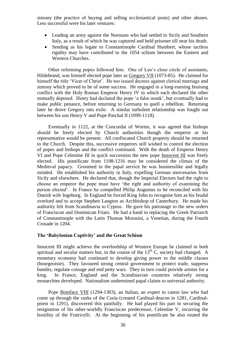simony (the practice of buying and selling ecclesiastical posts) and other abuses. Less successful were his later ventures:

- Leading an army against the Normans who had settled in Sicily and Southern Italy, as a result of which he was captured and held prisoner till near his death.
- Sending as his legate to Constantinople Cardinal Humbert, whose tactless rigidity may have contributed to the 1054 schism between the Eastern and Western Churches.

Other reforming popes followed him. One of Leo's close circle of assistants, Hildebrand, was himself elected pope later as Gregory VII (1073-85). He claimed for himself the title 'Vicar of Christ'. He too issued decrees against clerical marriage and simony which proved to be of some success. He engaged in a long-running bruising conflict with the Holy Roman Emperor Henry IV in which each declared the other mutually deposed. Henry had declared the pope 'a false monk', but eventually had to make public penance, before returning to Germany to quell a rebellion. Returning later he drove Gregory into exile. A similar turbulent relationship was fought out between his son Henry V and Pope Paschal II (1099-1118).

Eventually in 1122, at the Concordat of Worms, it was agreed that bishops should be freely elected by Church authorities though the emperor or his representative would be present. All confiscated Church property should be returned to the Church. Despite this, successive emperors still wished to control the election of popes and bishops and the conflict continued. With the death of Emperor Henry VI and Pope Celestine III in quick succession the new pope Innocent III was freely elected. His pontificate from 1198-1216 may be considered the climax of the Medieval papacy. Groomed in the papal service he was businesslike and legally minded. He established his authority in Italy, expelling German mercenaries from Sicily and elsewhere. He declared that, though the Imperial Electors had the right to choose an emperor the pope must have 'the right and authority of examining the person elected'. In France he compelled Philip Augustus to be reconciled with his Danish wife Ingeborg. In England he forced King John to recognise him as his feudal overlord and to accept Stephen Langton as Archbishop of Canterbury. He made his authority felt from Scandinavia to Cyprus. He gave his patronage to the new orders of Franciscan and Dominican Friars. He had a hand in replacing the Greek Patriarch of Constantinople with the Latin Thomas Morosini, a Venetian, during the Fourth Crusade in 1204.

#### **The 'Babylonian Captivity' and the Great Schism**

Innocent III might achieve the overlordship of Western Europe he claimed in both spiritual and secular matters but, in the course of the  $13<sup>th</sup>$  C, society had changed. A monetary economy had continued to develop giving power to the middle classes (bourgeoisie). They favoured strong central government to protect trade, suppress bandits, regulate coinage and end petty wars. They in turn could provide armies for a king. In France, England and the Scandinavian countries relatively strong monarchies developed. Nationalism undermined papal claims to universal authority.

Pope Boniface VIII (1294-1303), an Italian, an expert in canon law who had come up through the ranks of the Curia (created Cardinal-deacon in 1281, Cardinalpriest in 1291), discovered this painfully. He had played his part in securing the resignation of his other-worldly Franciscan predecessor, Celestine V, incurring the hostility of the Fratricelli. At the beginning of his pontificate he also routed the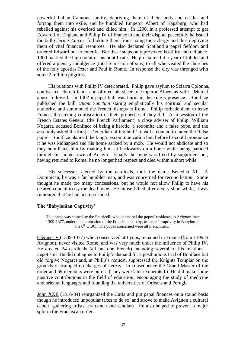powerful Italian Cannona family, depriving them of their lands and castles and forcing them into exile, and he humbled Emperor Albert of Hapsburg, who had rebelled against his overlord and killed him. In 1296, in a professed attempt to get Edward I of England and Philip IV of France to end their dispute peacefully he issued the bull *Clericis Laicos,* forbidding them from taxing their clergy and thus depriving them of vital financial resources. He also declared Scotland a papal fiefdom and ordered Edward not to enter it. But these steps only provoked hostility and defiance. 1300 marked the high point of his pontificate. He proclaimed it a year of Jubilee and offered a plenary indulgence (total remission of sins) to all who visited the churches of the holy apostles Peter and Paul in Rome. In response the city was thronged with some 2 million pilgrims.

His relations with Philip IV deteriorated. Philip gave asylum to Sciarra Colonna, confiscated church lands and offered his sister to Emperor Albert as wife. Mutual abuse followed. In 1302 a papal bull was burnt in the king's presence. Boniface published the bull *Unam Sanctam* stating emphatically his spiritual and secular authority, and summoned the French bishops to Rome. Philip forbade them to leave France, threatening confiscation of their properties if they did. At a session of the French Estates General (the French Parliament) a close adviser of Philip, William Nogaret, accused Boniface of being a heretic, a sodomite and a false pope, and the assembly asked the king as 'guardian of the faith' to call a council to judge the 'false pope'. Boniface planned the king's excommunication but, before he could pronounce it he was kidnapped and his home sacked by a mob. He would not abdicate and so they humiliated him by making him sit backwards on a horse while being paraded through his home town of Anagni. Finally the pope was freed by supporters but, having returned to Rome, he no longer had respect and died within a short while.

His successor, elected by the cardinals, took the name Benedict XI. A Dominican, he was a far humbler man, and was concerned for reconciliation. Some thought he made too many concessions, but he would not allow Philip to have his desired council to try the dead pope. He himself died after a very short while; it was rumoured that he had been poisoned.

#### **The 'Babylonian Captivity'**

This name was coined by the Fratricelli who compared the popes' residence in Avignon from 1309-1377, under the domination of the French monarchy, to Israel's captivity in Babylon in the 6<sup>th</sup> C BC. The popes concerned were all Frenchmen.

Clement V (1309-1377) who, consecrated at Lyons, remained in France (from 1309 at Avignon), never visited Rome, and was very much under the influence of Philip IV. He created 24 cardinals (all but one French) including several of his relations – nepotism! He did not agree to Philip's demand for a posthumous trial of Boniface but did forgive Nogaret and, at Philip's request, suppressed the Knights Templar on the grounds of trumped up charges of heresy. In consequence the Grand Master of the order and 69 members were burnt. (They were later exonerated.) He did make some positive contributions in the field of education, encouraging the study of medicine and oriental languages and founding the universities of Orléans and Perugia.

John XXII (1316-34) reorganized the Curia and put papal finances on a sound basis though he introduced unpopular taxes to do so, and strove to make Avignon a cultural center, gathering artists, craftsmen and scholars. He also helped to prevent a major split in the Franciscan order.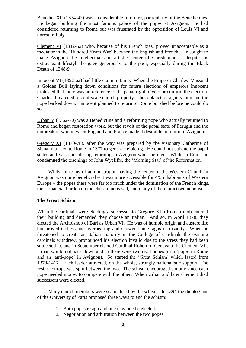Benedict XII (1334-42) was a considerable reformer, particularly of the Benedictines. He began building the most famous palace of the popes at Avignon. He had considered returning to Rome but was frustrated by the opposition of Louis VI and unrest in Italy.

Clement VI (1342-52) who, because of his French bias, proved unacceptable as a mediator in the 'Hundred Years War' between the English and French. He sought to make Avignon the intellectual and artistic center of Christendom. Despite his extravagant lifestyle he gave generously to the poor, especially during the Black Death of 1348-9.

Innocent VI (1352-62) had little claim to fame. When the Emperor Charles IV issued a Golden Bull laying down conditions for future elections of emperors Innocent protested that there was no reference to the papal right to veto or confirm the election. Charles threatened to confiscate church property if he took action against him and the pope backed down. Innocent planned to return to Rome but died before he could do so.

Urban V (1362-70) was a Benedictine and a reforming pope who actually returned to Rome and began restoration work, but the revolt of the papal state of Perugia and the outbreak of war between England and France made it desirable to return to Avignon.

Gregory XI (1370-78), after the way was prepared by the visionary Catherine of Siena, returned to Rome in 1377 to general rejoicing. He could not subdue the papal states and was considering returning to Avignon when he died. While in Rome he condemned the teachings of John Wycliffe, the 'Morning Star' of the Reformation.

Whilst in terms of administration having the center of the Western Church in Avignon was quite beneficial – it was more accessible for 4/5 inhabitants of Western Europe – the popes there were far too much under the domination of the French kings, their financial burden on the church increased, and many of them practised nepotism.

### **The Great Schism**

When the cardinals were electing a successor to Gregory XI a Roman mob entered their building and demanded they choose an Italian. And so, in April 1378, they elected the Archbishop of Bari as Urban VI. He was of humble origin and austere life but proved tactless and overbearing and showed some signs of insanity. When he threatened to create an Italian majority in the College of Cardinals the existing cardinals withdrew, pronounced his election invalid due to the stress they had been subjected to, and in September elected Cardinal Robert of Geneva to be Clement VII. Urban would not back down and so there were two rival popes (or a 'pope' in Rome and an 'anti-pope' in Avignon). So started the 'Great Schism' which lasted from 1378-1417. Each leader attracted, on the whole, strongly nationalistic support. The rest of Europe was split between the two. The schism encouraged simony since each pope needed money to compete with the other. When Urban and later Clement died successors were elected.

Many church members were scandalised by the schism. In 1394 the theologians of the University of Paris proposed three ways to end the schism:

- 1. Both popes resign and one new one be elected.
- 2. Negotiation and arbitration between the two popes.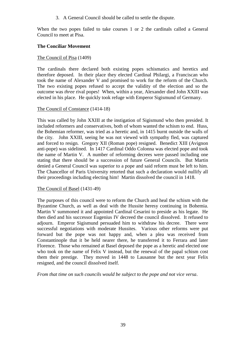3. A General Council should be called to settle the dispute.

When the two popes failed to take courses 1 or 2 the cardinals called a General Council to meet at Pisa.

# **The Conciliar Movement**

# The Council of Pisa (1409)

The cardinals there declared both existing popes schismatics and heretics and therefore deposed. In their place they elected Cardinal Philargi, a Franciscan who took the name of Alexander V and promised to work for the reform of the Church. The two existing popes refused to accept the validity of the election and so the outcome was *three* rival popes! When, within a year, Alexander died John XXIII was elected in his place. He quickly took refuge with Emperor Sigismund of Germany.

### The Council of Constance (1414-18)

This was called by John XXIII at the instigation of Sigismund who then presided. It included reformers and conservatives, both of whom wanted the schism to end. Huss, the Bohemian reformer, was tried as a heretic and, in 1415 burnt outside the walls of the city. John XXIII, seeing he was not viewed with sympathy fled, was captured and forced to resign. Gregory XII (Roman pope) resigned. Benedict XIII (Avignon anti-pope) was sidelined. In 1417 Cardinal Oddo Colonna was elected pope and took the name of Martin V. A number of reforming decrees were passed including one stating that there should be a succession of future General Councils. But Martin denied a General Council was superior to a pope and said reform must be left to him. The Chancellor of Paris University retorted that such a declaration would nullify all their proceedings including electing him! Martin dissolved the council in 1418.

### The Council of Basel (1431-49)

The purposes of this council were to reform the Church and heal the schism with the Byzantine Church, as well as deal with the Hussite heresy continuing in Bohemia. Martin V summoned it and appointed Cardinal Cesarini to preside as his legate. He then died and his successor Eugenius IV decreed the council dissolved. It refused to adjourn. Emperor Sigismund persuaded him to withdraw his decree. There were successful negotiations with moderate Hussites. Various other reforms were put forward but the pope was not happy and, when a plea was received from Constantinople that it be held nearer there, he transferred it to Ferrara and later Florence. Those who remained at Basel deposed the pope as a heretic and elected one who took on the name of Felix V instead, but the renewal of the papal schism cost them their prestige. They moved in 1448 to Lausanne but the next year Felix resigned, and the council dissolved itself.

*From that time on such councils would be subject to the pope and not vice versa*.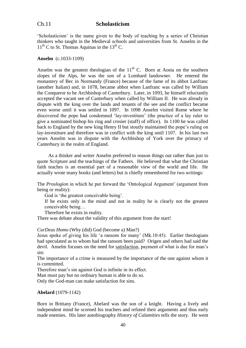### Ch.11 **Scholasticism**

'Scholasticism' is the name given to the body of teaching by a series of Christian thinkers who taught in the Medieval *schools* and universities from St. Anselm in the  $11<sup>th</sup>$  C to St. Thomas Aquinas in the 13<sup>th</sup> C.

### **Anselm** (c.1033-1109)

Anselm was the greatest theologian of the  $11<sup>th</sup>$  C. Born at Aosta on the southern slopes of the Alps, he was the son of a Lombard landowner. He entered the monastery of Bec in Normandy (France) because of the fame of its abbot Lanfranc (another Italian) and, in 1078, became abbot when Lanfranc was called by William the Conqueror to be Archbishop of Canterbury. Later, in 1093, he himself reluctantly accepted the vacant see of Canterbury when called by William II. He was already in dispute with the king over the lands and tenants of the see and the conflict became even worse until it was settled in 1097. In 1098 Anselm visited Rome where he discovered the pope had condemned 'lay-investiture' (the practice of a lay ruler to give a nominated bishop his ring and crosier (staff) of office). In 1100 he was called back to England by the new king Henry II but stoutly maintained the pope's ruling on lay-investiture and therefore was in conflict with the king until 1107. In his last two years Anselm was in dispute with the Archbishop of York over the primacy of Canterbury in the realm of England.

As a thinker and writer Anselm preferred to reason things out rather than just to quote Scripture and the teachings of the Fathers. He believed that what the Christian faith teaches is an essential part of a reasonable view of the world and life. He actually wrote many books (and letters) but is chiefly remembered for two writings:

The *Proslogion* in which he put forward the 'Ontological Argument' (argument from being or reality):

God is 'the greatest conceivable being'.

 If he exists only in the mind and not in reality he is clearly not the greatest conceivable being…

Therefore he exists in reality.

There was debate about the validity of this argument from the start!

#### *CurDeus Homo* (Why (did) God (become a) Man?)

Jesus spoke of giving his life 'a ransom for many' (Mk.10:45). Earlier theologians had speculated as to whom had the ransom been paid? Origen and others had said the devil. Anselm focuses on the need for satisfaction, payment of what is due for man's sin:

The importance of a crime is measured by the importance of the one against whom it is committed.

Therefore man's sin against God is infinite in its effect.

Man must pay but no ordinary human is able to do so.

Only the God-man can make satisfaction for sins.

#### **Abelard** (1079-1142)

Born in Brittany (France), Abelard was the son of a knight. Having a lively and independent mind he scorned his teachers and refuted their arguments and thus early made enemies. His later autobiography *History of Calamities* tells the story. He went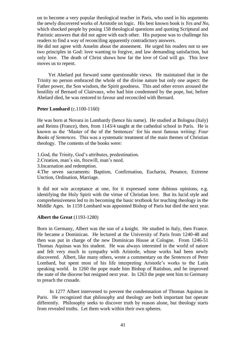on to become a very popular theological teacher in Paris, who used in his arguments the newly discovered works of Aristotle on logic. His best known book is *Yes and No,*  which shocked people by posing 158 theological questions and quoting Scriptural and Patristic answers that did not agree with each other. His purpose was to challenge his readers to find a way of reconciling apparently contradictory answers.

He did not agree with Anselm about the atonement. He urged his readers not to see two principles in God: love wanting to forgive, and law demanding satisfaction, but only love. The death of Christ shows how far the love of God will go. This love moves us to repent.

Yet Abelard put forward some questionable views. He maintained that in the Trinity no person embraced the whole of the divine nature but only one aspect: the Father power, the Son wisdom, the Spirit goodness. This and other errors aroused the hostility of Bernard of Clairvaux, who had him condemned by the pope, but, before Abelard died, he was restored to favour and reconciled with Bernard.

#### **Peter Lombard** (c.1100-1160)

He was born at Novara in Lombardy (hence his name). He studied at Bologna (Italy) and Reims (France), then, from 1143/4 taught at the cathedral school in Paris.He is known as the 'Master of the of the Sentences' for his most famous writing: *Four Books of Sentences.* This was a systematic treatment of the main themes of Christian theology. The contents of the books were:

1.God, the Trinity, God's attributes, predestination.

2.Creation, man's sin, freewill, man's need.

3.Incarnation and redemption.

4.The seven sacraments: Baptism, Confirmation, Eucharist, Penance, Extreme Unction, Ordination, Marriage.

It did not win acceptance at one, for it expressed some dubious opinions, e.g. identifying the Holy Spirit with the virtue of Christian love. But its lucid style and comprehensiveness led to its becoming the basic textbook for teaching theology in the Middle Ages. In 1159 Lombard was appointed Bishop of Paris but died the next year.

### **Albert the Great** (1193-1280)

Born in Germany, Albert was the son of a knight. He studied in Italy, then France. He became a Dominican. He lectured at the University of Paris from 1240-48 and then was put in charge of the new Dominican House at Cologne. From 1246-51 Thomas Aquinas was his student. He was always interested in the world of nature and felt very much in sympathy with Aristotle, whose works had been newly discovered. Albert, like many others, wrote a commentary on the *Sentences* of Peter Lombard, but spent most of his life interpreting Aristotle's works to the Latin speaking world. In 1260 the pope made him Bishop of Ratisbon, and he improved the state of the diocese but resigned next year. In 1263 the pope sent him to Germany to preach the crusade.

In 1277 Albert intervened to prevent the condemnation of Thomas Aquinas in Paris. He recognized that philosophy and theology are both important but operate differently. Philosophy seeks to discover truth by reason alone, but theology starts from revealed truths. Let them work within their own spheres.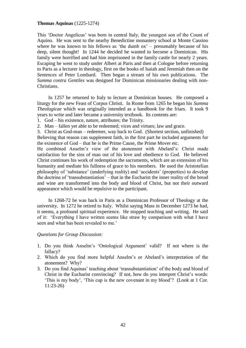#### **Thomas Aquinas** (1225-1274)

This 'Doctor Angelicus' was born in central Italy, the youngest son of the Count of Aquino. He was sent to the nearby Benedictine monastery school at Monte Cassino where he was known to his fellows as 'the dumb  $\alpha x'$  – presumably because of his deep, silent thought! In 1244 he decided he wanted to become a Dominican. His family were horrified and had him imprisoned in the family castle for nearly 2 years. Escaping he went to study under Albert at Paris and then at Cologne before returning to Paris as a lecturer in theology, first on the books of Isaiah and Jeremiah then on the *Sentences* of Peter Lombard. Then began a stream of his own publications. The *Summa contra Gentiles* was designed for Dominican missionaries dealing with non-Christians.

In 1257 he returned to Italy to lecture at Dominican houses. He composed a liturgy for the new Feast of Corpus Christi. In Rome from 1265 he began his *Summa Theologicae* which was originally intended as a handbook for the friars. It took 9 years to write and later became a university textbook. Its contents are:

1. God – his existence, nature, attributes; the Trinity.

2. Man – fallen yet able to be redeemed; vices and virtues; law and grace.

3. Christ as God-man – redeemer, way back to God. (Shortest section, unfinished)

Believing that reason can supplement faith, in the first part he included arguments for the existence of God – that he is the Prime Cause, the Prime Mover etc.

He combined Anselm's view of the atonement with Abelard's: Christ made satisfaction for the sins of man out of his love and obedience to God. He believed Christ continues his work of redemption the sacraments, which are an extension of his humanity and mediate his fullness of grace to his members. He used the Aristotelian philosophy of 'substance' (underlying reality) and 'accidents' (properties) to develop the doctrine of 'transubstantiation' – that in the Eucharist the inner reality of the bread and wine are transformed into the body and blood of Christ, but not their outward appearance which would be repulsive to the participant.

In 1268-72 he was back in Paris as a Dominican Professor of Theology at the university. In 1272 he retired to Italy. Whilst saying Mass in December 1273 he had, it seems, a profound spiritual experience. He stopped teaching and writing. He said of it: 'Everything I have written seems like straw by comparison with what I have seen and what has been revealed to me.'

#### *Questions for Group Discussion:*

- 1. Do you think Anselm's 'Ontological Argument' valid? If not where is the fallacy?
- 2. Which do you find more helpful Anselm's or Abelard's interpretation of the atonement? Why?
- 3. Do you find Aquinas' teaching about 'transubstantiation' of the body and blood of Christ in the Eucharist convincing? If not, how do you interpret Christ's words: 'This is my body', 'This cup is the new covenant in my blood'? (Look at 1 Cor. 11:23-26)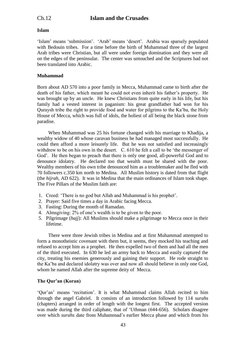# **Islam**

'Islam' means 'submission'. 'Arab' means 'desert'. Arabia was sparsely populated with Bedouin tribes. For a time before the birth of Muhammad three of the largest Arab tribes were Christian, but all were under foreign domination and they were all on the edges of the peninsular. The center was untouched and the Scriptures had not been translated into Arabic.

# **Muhammad**

Born about AD 570 into a poor family in Mecca, Muhammad came to birth after the death of his father, which meant he could not even inherit his father's property. He was brought up by an uncle. He knew Christians from quite early in his life, but his family had a vested interest in paganism: his great grandfather had won for his Quraysh tribe the right to provide food and water for pilgrims to the Ka'ba, the Holy House of Mecca, which was full of idols, the holiest of all being the black stone from paradise.

When Muhammad was 25 his fortune changed with his marriage to Khadija, a wealthy widow of 40 whose caravan business he had managed most successfully. He could then afford a more leisurely life. But he was not satisfied and increasingly withdrew to be on his own in the desert. C. 610 he felt a call to be 'the messenger of God'. He then began to preach that there is only one good, all-powerful God and to denounce idolatry. He declared too that wealth must be shared with the poor. Wealthy members of his own tribe denounced him as a troublemaker and he fled with 70 followers c.350 km north to Medina. All Muslim history is dated from that flight (the *hijrah,* AD 622). It was in Medina that the main ordinances of Islam took shape. The Five Pillars of the Muslim faith are:

- 1. Creed: 'There is no god but Allah and Muhammad is his prophet'.
- 2. Prayer: Said five times a day in Arabic facing Mecca.
- 3. Fasting: During the month of Ramadan.
- 4. Almsgiving: 2% of one's wealth is to be given to the poor.
- 5. Pilgrimage (*hajj*): All Muslims should make a pilgrimage to Mecca once in their lifetime.

There were three Jewish tribes in Medina and at first Muhammad attempted to form a monotheistic covenant with them but, it seems, they mocked his teaching and refused to accept him as a prophet. He then expelled two of them and had all the men of the third executed. In 630 he led an army back to Mecca and easily captured the city, treating his enemies generously and gaining their support. He rode straight to the Ka'ba and declared idolatry was over and now all should believe in only one God, whom he named Allah after the supreme deity of Mecca.

# **The Qur'an (Koran)**

'Qur'an' means 'recitation'. It is what Muhammad claims Allah recited to him through the angel Gabriel. It consists of an introduction followed by 114 *surahs* (chapters) arranged in order of length with the longest first. The accepted version was made during the third caliphate, that of 'Uthman (644-656). Scholars disagree over which *surahs* date from Muhammad's earlier Mecca phase and which from his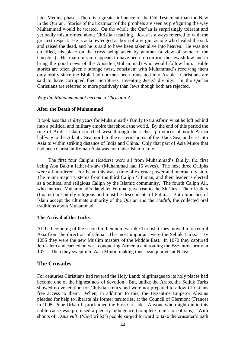later Medina phase. There is a greater influence of the Old Testament than the New in the Qur'an. Stories of the treatment of the prophets are seen as prefiguring the way Muhammad would be treated. On the whole the Qur'an is surprisingly tolerant and yet badly misinformed about Christian teaching. Jesus is always referred to with the greatest respect. He is acknowledged as born of a virgin, as one who healed the sick and raised the dead, and he is said to have been taken alive into heaven. He was not crucified, his place on the cross being taken by another (a view of some of the Gnostics). His main mission appears to have been to confirm the Jewish law and to bring the good news of the Apostle (Muhammad) who would follow him. Bible stories are often given a strange twist, consistent with Muhammad's receiving them only orally since the Bible had not then been translated into Arabic. Christians are said to have corrupted their Scriptures, inventing Jesus' divinity. In the Qur'an Christians are referred to more positively than Jews though both are rejected.

#### *Why did Muhammad not become a Christian ?*

### **After the Death of Muhammad**

It took less than thirty years for Muhammad's family to transform what he left behind into a political and military empire that shook the world. By the end of this period the rule of Arabic Islam stretched west through the richest provinces of north Africa halfway to the Atlantic Sea, north to the eastern shores of the Black Sea, and east into Asia to within striking distance of India and China. Only that part of Asia Minor that had been Christian Roman Asia was not under Islamic rule.

The first four Caliphs (leaders) were all from Muhammad's family, the first being Abu Bakr a father-in-law (Muhammad had 16 wives). The next three Caliphs were all murdered. For Islam this was a time of external power and internal division. The Sunni majority stems from the third Caliph 'Uthman, and their leader is elected as a political and religious Caliph by the Islamic community. The fourth Caliph Ali, who married Muhammad's daughter Fatima, gave rise to the Shi'ites. Their leaders (Imams) are purely religious and must be descendents of Fatima. Both branches of Islam accept the ultimate authority of the Qur'an and the *Hadith,* the collected oral traditions about Muhammad.

#### **The Arrival of the Turks**

At the beginning of the second millennium warlike Turkish tribes moved into central Asia from the direction of China. The most important were the Seljuk Turks. By 1055 they were the new Muslim masters of the Middle East. In 1070 they captured Jerusalem and carried on west conquering Armenia and routing the Byzantine army in 1071. Then they swept into Asia Minor, making their headquarters at Nicea.

### **The Crusades**

For centuries Christians had revered the Holy Land; pilgrimages to its holy places had become one of the highest acts of devotion. But, unlike the Arabs, the Seljuk Turks showed no veneration for Christian relics and were not prepared to allow Christians free access to them. When, in addition to this, the Byzantine Emperor Alexius pleaded for help to liberate his former territories, at the Council of Clermont (France) in 1095, Pope Urban II proclaimed the First Crusade. Anyone who might die in this noble cause was promised a plenary indulgence (complete remission of sins). With shouts of *Deus vult* ('God wills!') people surged forward to take the crusader's oath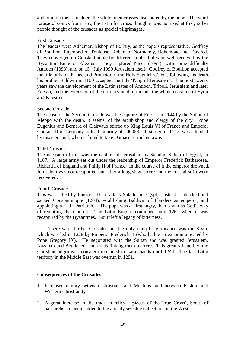and bind on their shoulders the white linen crosses distributed by the pope. The word 'crusade' comes from *crux,* the Latin for cross, though it was not used at first, rather people thought of the crusades as special pilgrimages.

### First Crusade

The leaders were Adhémar, Bishop of Le Puy, as the pope's representative, Godfrey of Bouillon, Raymond of Toulouse, Robert of Normandy, Bohemond and Tancred. They converged on Constantinople by different routes but were well received by the Byzantine Emperor Alexius. They captured Nicea (1097), with some difficulty Antioch (1098), and on  $15<sup>th</sup>$  July 1099 Jerusalem itself. Godfrey of Bouillon accepted the title only of 'Prince and Protector of the Holy Sepulchre', but, following his death, his brother Baldwin in 1100 accepted the title 'King of Jerusalem'. The next twenty years saw the development of the Latin states of Antioch, Tripoli, Jerusalem and later Edessa, and the extension of the territory held to include the whole coastline of Syria and Palestine.

### Second Crusade

The cause of the Second Crusade was the capture of Edessa in 1144 by the Sultan of Aleppo with the death, it seems, of the archbishop and clergy of the city. Pope Eugenius and Bernard of Clairvaux stirred up King Louis VI of France and Emperor Conrad III of Germany to lead an army of 200,000. It started in 1147, was attended by disasters and, when it failed to take Damascus, melted away.

#### Third Crusade

The occasion of this was the capture of Jerusalem by Saladin, Sultan of Egypt, in 1187. A large army set out under the leadership of Emperor Frederick Barbarossa, Richard I of England and Philip II of France. In the course of it the emperor drowned, Jerusalem was not recaptured but, after a long siege, Acre and the coastal strip were recovered.

### Fourth Crusade

This was called by Innocent III to attack Saladin in Egypt. Instead it attacked and sacked Constantinople (1204), establishing Baldwin of Flanders as emperor, and appointing a Latin Patriarch. The pope was at first angry, then saw it as God's way of reuniting the Church. The Latin Empire continued until 1261 when it was recaptured by the Byzantines. But it left a legacy of bitterness.

There were further Crusades but the only one of significance was the Sixth, which was led in 1228 by Emperor Frederick II (who had been excommunicated by Pope Gregory IX). He negotiated with the Sultan and was granted Jerusalem, Nazareth and Bethlehem and roads linking them to Acre. This greatly benefited the Christian pilgrims. Jerusalem remained in Latin hands until 1244. The last Latin territory in the Middle East was overrun in 1291.

### **Consequences of the Crusades**

- 1. Increased enmity between Christians and Muslims, and between Eastern and Western Christianity.
- 2. A great increase in the trade in relics pieces of the 'true Cross', bones of patriarchs etc being added to the already sizeable collections in the West.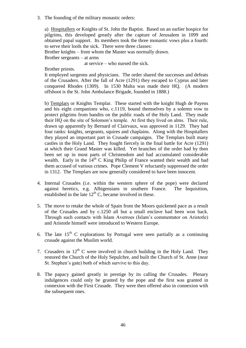3. The founding of the military monastic orders:

a) Hospitallers or Knights of St. John the Baptist. Based on an earlier hospice for pilgrims, this developed greatly after the capture of Jerusalem in 1099 and obtained papal support. Its members took the three monastic vows plus a fourth: to serve their lords the sick. There were three classes:

Brother knights – from whom the Master was normally drawn. Brother sergeants – at arms

at service – who nursed the sick.

Brother priests.

It employed surgeons and physicians. The order shared the successes and defeats of the Crusaders. After the fall of Acre (1291) they escaped to Cyprus and later conquered Rhodes (1309). In 1530 Malta was made their HQ. (A modern offshoot is the St. John Ambulance Brigade, founded in 1888.)

b) Templars or Knights Templar. These started with the knight Hugh de Payens and his eight companions who, c.1119, bound themselves by a solemn vow to protect pilgrims from bandits on the public roads of the Holy Land. They made their HQ on the site of Solomon's temple. At first they lived on alms. Their rule, drawn up apparently by Bernard of Clairvaux, was approved in 1129. They had four ranks: knights, sergeants, squires and chaplains. Along with the Hospitallers they played an important part in Crusade campaigns. The Templars built many castles in the Holy Land. They fought fiercely in the final battle for Acre (1291) at which their Grand Master was killed. Yet branches of the order had by then been set up in most parts of Christendom and had accumulated considerable wealth. Early in the  $14<sup>th</sup>$  C King Philip of France wanted their wealth and had them accused of various crimes. Pope Clement V reluctantly suppressed the order in 1312. The Templars are now generally considered to have been innocent.

- 4. Internal Crusades (i.e. within the western sphere of the pope) were declared against heretics, e.g. Albigensians in southern France. The Inquisition, established in the late  $12<sup>th</sup>$  C, became involved in these.
- 5. The move to retake the whole of Spain from the Moors quickened pace as a result of the Crusades and by c.1250 all but a small enclave had been won back. Through such contacts with Islam Averroes (Islam's commentator on Aristotle) and Aristotle himself were introduced to Western Europe.
- 6. The late  $15<sup>th</sup>$  C explorations by Portugal were seen partially as a continuing crusade against the Muslim world.
- 7. Crusaders in  $12<sup>th</sup>$  C were involved in church building in the Holy Land. They restored the Church of the Holy Sepulchre, and built the Church of St. Anne (near St. Stephen's gate) both of which survive to this day.
- 8. The papacy gained greatly in prestige by its calling the Crusades. Plenary indulgences could only be granted by the pope and the first was granted in connexion with the First Crusade. They were then offered also in connexion with the subsequent ones.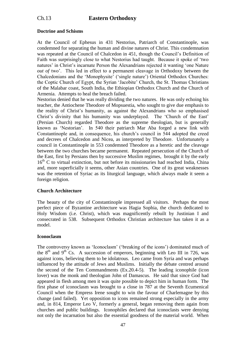# Ch.13 **Eastern Orthodoxy**

# **Doctrine and Schisms**

At the Council of Ephesus in 431 Nestorius, Patriarch of Constantinople, was condemned for separating the human and divine natures of Christ. This condemnation was repeated at the Council of Chalcedon in 451, though the Council's Definition of Faith was surprisingly close to what Nestorius had taught. Because it spoke of 'two natures' in Christ's incarnate Person the Alexandrians rejected it wanting 'one Nature *out of two*'. This led in effect to a permanent cleavage in Orthodoxy between the Chalcedonians and the 'Monophysite' ('single nature') Oriental Orthodox Churches: the Coptic Church of Egypt, the Syrian 'Jacobite' Church, the St. Thomas Christians of the Malabar coast, South India, the Ethiopian Orthodox Church and the Church of Armenia. Attempts to heal the breach failed.

Nestorius denied that he was really dividing the two natures. He was only echoing his teacher, the Antiochene Theodore of Mopsuestia, who sought to give due emphasis to the reality of Christ's humanity, as against the Alexandrians who so emphasised Christ's divinity that his humanity was underplayed. The 'Church of the East' (Persian Church) regarded Theodore as the supreme theologian, but is generally known as 'Nestorian'. In 540 their patriarch Mar Aba forged a new link with Constantinople and, in consequence, his church's council in 544 adopted the creed and decrees of Chalcedon and Nicea, as interpreted by Theodore. Unfortunately a council in Constantinople in 553 condemned Theodore as a heretic and the cleavage between the two churches became permanent. Repeated persecution of the Church of the East, first by Persians then by successive Muslim regimes, brought it by the early  $16<sup>th</sup>$  C to virtual extinction, but not before its missionaries had reached India, China and, more superficially it seems, other Asian countries. One of its great weaknesses was the retention of Syriac as its liturgical language, which always made it seem a foreign religion.

### **Church Architecture**

The beauty of the city of Constantinople impressed all visitors. Perhaps the most perfect piece of Byzantine architecture was Hagia Sophia, the church dedicated to Holy Wisdom (i.e. Christ), which was magnificently rebuilt by Justinian I and consecrated in 538. Subsequent Orthodox Christian architecture has taken it as a model.

### **Iconoclasm**

The controversy known as 'Iconoclasm' ('breaking of the icons') dominated much of the  $8<sup>th</sup>$  and  $9<sup>th</sup>$  Cs. A succession of emperors, beginning with Leo III in 726, was against icons, believing them to be idolatrous. Leo came from Syria and was perhaps influenced by the attitude of Jews and Muslims. Initially the debate centred around the second of the Ten Commandments (Ex.20.4-5). The leading iconophile (icon lover) was the monk and theologian John of Damascus. He said that since God had appeared in flesh among men it was quite possible to depict him in human form. The first phase of iconoclasm was brought to a close in 787 at the Seventh Ecumenical Council when the Empress Irene sought to win the favour of Charlemagne by this change (and failed). Yet opposition to icons remained strong especially in the army and, in 814, Emperor Leo V, formerly a general, began removing them again from churches and public buildings. Iconophiles declared that iconoclasts were denying not only the incarnation but also the essential goodness of the material world. When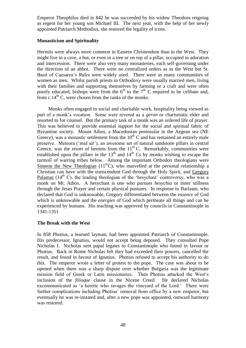Emperor Theophilus died in 842 he was succeeded by his widow Theodora reigning as regent for her young son Michael III. The next year, with the help of her newly appointed Patriarch Methodius, she restored the legality of icons.

### **Monasticism and Spirituality**

Hermits were always more common in Eastern Christendom than in the West. They might live in a cave, a hut, or even in a tree or on top of a pillar, occupied in adoration and intercession. There were also very many monasteries, each self-governing under the direction of an abbot. There were no centralized orders as in the West but St. Basil of Caesarea's *Rules* were widely used. There were as many communities of women as men. Whilst parish priests in Orthodoxy were usually married men, living with their families and supporting themselves by farming or a craft and were often poorly educated, bishops were from the  $6<sup>th</sup>$  to the  $7<sup>th</sup>$  C required to be celibate and, from  $c.14<sup>th</sup>$  C, were chosen from the ranks of the monks.

Monks often engaged in social and charitable work, hospitality being viewed as part of a monk's vocation. Some were revered as a *geron* or charismatic elder and resorted to for counsel. But the primary task of a monk was an ordered life of prayer. This was believed to provide essential support for the social and spiritual fabric of Byzantine society. Mount Athos, a Macedonian peninsular in the Aegean sea (NE Greece), was a monastic settlement from the  $10^{th}$  C and has remained an entirely male preserve. Meteora ('mid air'), an awesome set of natural sandstone pillars in central Greece, was the resort of hermits from the  $11<sup>th</sup>$  C. Remarkably, communities were established upon the pillars in the  $13<sup>th</sup>$  and  $14<sup>th</sup>$  Cs by monks wishing to escape the turmoil of warring tribes below. Among the important Orthodox theologians were Simeon the New Theologian  $(11<sup>th</sup>C)$ , who marvelled at the personal relationship a Christian can have with the transcendent God through the Holy Spirit, and Gregory Palamas  $(14<sup>th</sup> C)$ , the leading theologian of the 'hesychast' controversy, who was a monk on Mt. Athos. A hesychast is one who pursues *hesychia* or inner stillness through the Jesus Prayer and certain physical postures. In response to Barlaam, who declared that God is unknowable, Gregory differentiated between the *essence* of God which is unknowable and the *energies* of God which permeate all things and can be experienced by humans. His teaching was approved by councils in Constantinople in 1341-1351

### **The Break with the West**

In 858 Photius, a learned layman, had been appointed Patriarch of Constantinople. His predecessor, Ignatius, would not accept being deposed. They consulted Pope Nicholas I. Nicholas sent papal legates to Constantinople who found in favour or Photius. Back in Rome Nicholas felt they had exceeded their powers, cancelled the result, and found in favour of Ignatius. Photius refused to accept his authority to do this. The emperor wrote a letter of protest to the pope. The case was about to be opened when there was a sharp dispute over whether Bulgaria was the legitimate mission field of Greek or Latin missionaries. Then Photius attacked the West's inclusion of the *filioque* clause in the Nicene Creed. He declared Nicholas excommunicated as 'a heretic who ravages the vineyard of the Lord.' There were further complications including Photius' removal from office by a new emperor, but eventually he was re-instated and, after a new pope was appointed, outward harmony was restored.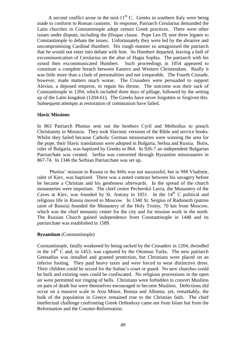A second conflict arose in the mid-11<sup>th</sup> C. Greeks in southern Italy were being made to conform to Roman customs. In response, Patriarch Cerularius demanded the Latin churches in Constantinople adopt certain Greek practices. There were other issues under dispute, including the *filioque* clause. Pope Leo IX sent three legates to Constantinople to debate the issues. Unfortunately they were led by the abrasive and uncompromising Cardinal Humbert. His rough manner so antagonised the patriarch that he would not enter into debate with him. So Humbert departed, leaving a bull of excommunication of Cerularius on the altar of Hagia Sophia. The patriarch with his synod then excommunicated Humbert. Such proceedings in 1054 appeared to constitute a complete breach between Eastern and Western Christendom. Really it was little more than a clash of personalities and not irreparable. The Fourth Crusade, however, made matters much worse. The Crusaders were persuaded to support Alexius, a deposed emperor, to regain his throne. The outcome was their sack of Constantinople in 1204, which included three days of pillage, followed by the setting up of the Latin kingdom (1204-61). The Greeks have never forgotten or forgiven this. Subsequent attempts at restoration of communion have failed.

#### **Slavic Missions**

In 863 Patriarch Photius sent out the brothers Cyril and Methodius to preach Christianity in Moravia. They took Slavonic versions of the Bible and service books. Whilst they failed because Catholic German missionaries were winning the area for the pope, their Slavic translations were adopted in Bulgaria, Serbia and Russia. Boris, ruler of Bulgaria, was baptized by Greeks in 864. In 926-7 an independent Bulgarian Patriarchate was created. Serbia was converted through Byzantine missionaries in 867-74. In 1346 the Serbian Patriarchate was set up.

Photius' mission to Russia in the 860s was not successful, but in 988 Vladimir, ruler of Kiev, was baptized. There was a noted contrast between his savagery before he became a Christian and his gentleness afterwards. In the spread of the church monasteries were important. The chief center Pecherskii Lavra, the Monastery of the Caves at Kiev, was founded by St. Antony in 1051. In the  $14<sup>th</sup>$  C political and religious life in Russia moved to Moscow. In 1340 St. Sergius of Radonezh (patron saint of Russia) founded the Monastery of the Holy Trinity, 70 km from Moscow, which was the chief monastic center for the city and for mission work in the north. The Russian Church gained independence from Constantinople in 1448 and its patriarchate was established in 1589.

### **Byzantium** (Constantinople)

Constantinople, fatally weakened by being sacked by the Crusaders in 1204, dwindled in the  $14<sup>th</sup>$  C and, in 1453, was captured by the Ottoman Turks. The new patriarch Gennadius was installed and granted protection, but Christians were placed on an inferior footing. They paid heavy taxes and were forced to wear distinctive dress. Their children could be seized for the Sultan's court or guard. No new churches could be built and existing ones could be confiscated. No religious processions in the open air were permitted nor ringing of bells. Christians were forbidden to convert Muslims on pain of death but were themselves encouraged to become Muslims. Defections did occur on a massive scale in Asia Minor, Bosnia and Albania; yet, remarkably, the bulk of the population in Greece remained true to the Christian faith. The chief intellectual challenge confronting Greek Orthodoxy came not from Islam but from the Reformation and the Counter-Reformation.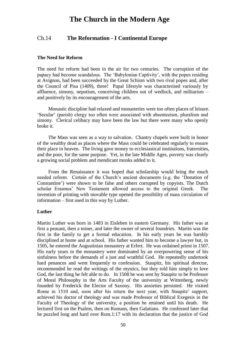# **The Church in the Modern Age**

# Ch.14 **The Reformation - I Continental Europe**

### **The Need for Reform**

The need for reform had been in the air for two centuries. The corruption of the papacy had become scandalous. The 'Babylonian Captivity', with the popes residing at Avignon, had been succeeded by the Great Schism with two rival popes and, after the Council of Pisa (1409), three! Papal lifestyle was characterised variously by affluence, simony, nepotism, conceiving children out of wedlock, and militarism – and positively by its encouragement of the arts.

Monastic discipline had relaxed and monasteries were too often places of leisure. 'Secular' (parish) clergy too often were associated with absenteeism, pluralism and simony. Clerical celibacy may have been the law but there were many who openly broke it.

The Mass was seen as a way to salvation. Chantry chapels were built in honor of the wealthy dead as places where the Mass could be celebrated regularly to ensure their place in heaven. The living gave money to ecclesiastical institutions, fraternities, and the poor, for the same purpose. Yet, in the late Middle Ages, poverty was clearly a growing social problem and mendicant monks added to it.

From the Renaissance it was hoped that scholarship would bring the much needed reform. Certain of the Church's ancient documents (e.g. the 'Donation of Constantine') were shown to be false and others corrupted by copyists. The Dutch scholar Erasmus' New Testament allowed access to the original Greek. The invention of printing with movable type opened the possibility of mass circulation of information – first used in this way by Luther.

#### **Luther**

Martin Luther was born in 1483 in Eisleben in eastern Germany. His father was at first a peasant, then a miner, and later the owner of several foundries. Martin was the first in the family to get a formal education. In his early years he was harshly disciplined at home and at school. His father wanted him to become a lawyer but, in 1505, he entered the Augustinian monastery at Erfert. He was ordained priest in 1507. His early years in the monastery were dominated by an overpowering sense of his sinfulness before the demands of a just and wrathful God. He repeatedly undertook hard penances and went frequently to confession. Staupitz, his spiritual director, recommended he read the writings of the mystics, but they told him simply to love God, the last thing he felt able to do. In 1508 he was sent by Staupitz to be Professor of Moral Philosophy in the Arts Faculty of the university at Wittenberg, newly founded by Frederick the Elector of Saxony. His anxieties persisted. He visited Rome in 1510 and, soon after his return the next year, with Staupitz' support, achieved his doctor of theology and was made Professor of Biblical Exegesis in the Faculty of Theology of the university, a position he retained until his death. He lectured first on the Psalms, then on Romans, then Galatians. He confessed later that he puzzled long and hard over Rom.1:17 with its declaration that the justice of God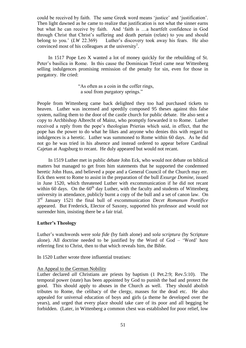could be received by faith. The same Greek word means 'justice' and 'justification'. Then light dawned as he came to realize that justification is not what the sinner earns but what he can receive by faith. And 'faith is …a heartfelt confidence in God through Christ that Christ's suffering and death pertain (relate) to you and should belong to you.' (*LW* 22.369) Luther's discovery took away his fears. He also convinced most of his colleagues at the university<sup>1</sup>.

In 1517 Pope Leo X wanted a lot of money quickly for the rebuilding of St. Peter's basilica in Rome. In this cause the Dominican Tetzel came near Wittenberg selling indulgences promising remission of the penalty for sin, even for those in purgatory. He cried:

> "As often as a coin in the coffer rings, a soul from purgatory springs."

People from Wittenberg came back delighted they too had purchased tickets to heaven. Luther was incensed and speedily composed 95 theses against this false system, nailing them to the door of the castle church for public debate. He also sent a copy to Archbishop Albrecht of Mainz, who promptly forwarded it to Rome. Luther received a reply from the pope's theologian Prierias which said, in effect, that the pope has the power to do what he likes and anyone who denies this with regard to indulgences is a heretic. Luther was summoned to Rome within 60 days. As he did not go he was tried in his absence and instead ordered to appear before Cardinal Cajetan at Augsburg to recant. He duly appeared but would not recant.

In 1519 Luther met in public debate John Eck, who would not debate on biblical matters but managed to get from him statements that he supported the condemned heretic John Huss, and believed a pope and a General Council of the Church may err. Eck then went to Rome to assist in the preparation of the bull *Exsurge Domine*, issued in June 1520, which threatened Luther with excommunication if he did not recant within 60 days. On the  $60<sup>th</sup>$  day Luther, with the faculty and students of Wittenberg university in attendance, publicly burnt a copy of the bull and a set of canon law. On 3 rd January 1521 the final bull of excommunication *Decet Romanum Pontifice* appeared. But Frederick, Elector of Saxony, supported his professor and would not surrender him, insisting there be a fair trial.

### **Luther's Theology**

Luther's watchwords were *sola fide* (by faith alone) and *sola scriptura* (by Scripture alone). All doctrine needed to be justified by the Word of God – 'Word' here referring first to Christ, then to that which reveals him, the Bible.

In 1520 Luther wrote three influential treatises:

### An Appeal to the German Nobility

Luther declared *all* Christians are priests by baptism (1 Pet.2:9; Rev.5:10). The temporal power (state) has been appointed by God to punish the bad and protect the good. This should apply to abuses in the Church as well. They should abolish tributes to Rome, the celibacy of the clergy, masses for the dead etc. He also appealed for universal education of boys and girls (a theme he developed over the years), and urged that every place should take care of its poor and all begging be forbidden. (Later, in Wittenberg a common chest was established for poor relief, low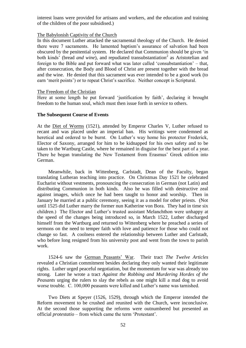interest loans were provided for artisans and workers, and the education and training of the children of the poor subsidised.)

### The Babylonish Captivity of the Church

In this document Luther attacked the sacramental theology of the Church. He denied there were 7 sacraments. He lamented baptism's assurance of salvation had been obscured by the penitential system. He declared that Communion should be given 'in both kinds<sup>'</sup> (bread *and wine*), and repudiated transubstantiation<sup>2</sup> as Aristotelian and foreign to the Bible and put forward what was later called 'consubstantiation' – that, after consecration, the Body and Blood of Christ are present together with the bread and the wine. He denied that this sacrament was ever intended to be a good work (to earn 'merit points') or to repeat Christ's sacrifice. Neither concept is Scriptural.

#### The Freedom of the Christian

Here at some length he put forward 'justification by faith', declaring it brought freedom to the human soul, which must then issue forth in service to others.

#### **The Subsequent Course of Events**

At the Diet of Worms (1521), attended by Emperor Charles V, Luther refused to recant and was placed under an imperial ban. His writings were condemned as heretical and ordered to be burnt. On Luther's way home his protector Frederick, Elector of Saxony, arranged for him to be kidnapped for his own safety and to be taken to the Wartburg Castle, where he remained in disguise for the best part of a year. There he began translating the New Testament from Erasmus' Greek edition into German.

Meanwhile, back in Wittenberg, Carlstadt, Dean of the Faculty, began translating Lutheran teaching into practice. On Christmas Day 1521 he celebrated Eucharist without vestments, pronouncing the consecration in German (not Latin) and distributing Communion in both kinds. Also he was filled with destructive zeal against images, which once he had been taught to honor and worship. Then in January he married at a public ceremony, seeing it as a model for other priests. (Not until 1525 did Luther marry the former nun Katherine von Bora. They had in time six children.) The Elector and Luther's trusted assistant Melanchthon were unhappy at the speed of the changes being introduced so, in March 1522, Luther discharged himself from the Wartburg and returned to Wittenberg where he preached a series of sermons on the need to temper faith with love and patience for those who could not change so fast. A coolness entered the relationship between Luther and Carlstadt, who before long resigned from his university post and went from the town to parish work.

1524-6 saw the German Peasants' War. Their tract *The Twelve Articles*  revealed a Christian commitment besides declaring they only wanted their legitimate rights. Luther urged peaceful negotiation, but the momentum for war was already too strong. Later he wrote a tract *Against the Robbing and Murdering Hordes of the Peasants* urging the rulers to slay the rebels as one might kill a mad dog to avoid worse trouble. C. 100,000 peasants were killed and Luther's name was tarnished.

Two Diets at Speyer (1526, 1529), through which the Emperor intended the Reform movement to be crushed and reunited with the Church, were inconclusive. At the second those supporting the reforms were outnumbered but presented an official *protestatio –* from which came the term 'Protestant'.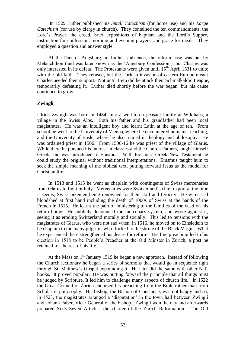In 1529 Luther published his *Small Catechism* (for home use) and his *Large Catechism* (for use by clergy in church). They contained the ten commandments, the Lord's Prayer, the creed, brief expositions of baptism and the Lord's Supper, instruction for confession, morning and evening prayers, and grace for meals. They employed a question and answer style.

At the Diet of Augsburg, in Luther's absence, the reform case was put by Melanchthon (and was later known as the 'Augsburg Confession'), but Charles was only interested in its defeat. The Protestants were given until  $15<sup>th</sup>$  April 1531 to unite with the old faith. They refused, but the Turkish invasion of eastern Europe meant Charles needed their support. Not until 1546 did he attack their Schmalkaldic League, temporarily defeating it. Luther died shortly before the war began, but his cause continued to grow.

#### **Zwingli**

Ulrich Zwingli was born in 1484, into a well-to-do peasant family at Wildhaus, a village in the Swiss Alps. Both his father and his grandfather had been local magistrates. He was an intelligent boy and learnt Latin at the age of ten. From school he went to the University of Vienna, where he encountered humanist teaching, and the University of Basle, where he also trained in theology and philosophy. He was ordained priest in 1506. From 1506-16 he was priest of the village of Glarus. While there he pursued his interest in classics and the Church Fathers, taught himself Greek, and was introduced to Erasmus. With Erasmus' Greek New Testament he could study the original without traditional interpretations. Erasmus taught hum to seek the simple meaning of the biblical text, putting forward Jesus as the model for Christian life.

In 1513 and 1515 he went as chaplain with contingents of Swiss mercenaries from Glarus to fight in Italy. Mercenaries were Switzerland's chief export at the time, it seems; Swiss pikemen being renowned for their skill and ferocity. He witnessed bloodshed at first hand including the death of 1000s of Swiss at the hands of the French in 1515. He learnt the pain of ministering to the families of the dead on his return home. He publicly denounced the mercenary system, and wrote against it, seeing it as eroding Switzerland morally and socially. This led to tensions with the magistrates of Glarus, who were not sad when, in 1516, he moved on to Einsiedeln to be chaplain to the many pilgrims who flocked to the shrine of the Black Virgin. What he experienced there strengthened his desire for reform. His fine preaching led to his election in 1518 to be People's Preacher at the Old Minster in Zurich, a post he retained for the rest of his life.

At the Mass on  $1<sup>st</sup>$  January 1519 he began a new approach. Instead of following the Church lectionary he began a series of sermons that would go in sequence right through St. Matthew's Gospel expounding it. He later did the same with other N.T. books. It proved popular. He was putting forward the principle that all things must be judged by Scripture. It led him to challenge many aspects of church life. In 1522 the Great Council of Zurich endorsed his preaching from the Bible rather than from Scholastic philosophy. His bishop, the Bishop of Constance, was not happy and so, in 1523, the magistrates arranged a 'disputation' in the town hall between Zwingli and Johann Faber, Vicar General of the bishop. Zwingli won the day and afterwards prepared Sixty-Seven Articles, the charter of the Zurich Reformation. The Old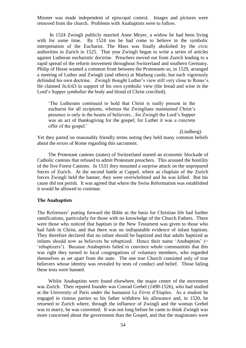Minster was made independent of episcopal control. Images and pictures were removed from the church. Problems with Anabaptists were to follow.

In 1524 Zwingli publicly married Anne Meyer, a widow he had been living with for some time. By 1524 too he had come to believe in the symbolic interpretation of the Eucharist. The Mass was finally abolished by the civic authorities in Zurich in 1525. That year Zwingli began to write a series of articles against Lutheran eucharistic doctrine. Preachers moved out from Zurich leading to a rapid spread of the reform movement throughout Switzerland and southern Germany. Philip of Hesse wanted a common front between the Protestants so, in 1529, arranged a meeting of Luther and Zwingli (and others) at Marburg castle, but each vigorously defended his own doctrine. Zwingli thought Luther's view still very close to Rome's. He claimed Jn.6:63 in support of his own symbolic view (the bread and wine in the Lord's Supper *symbolize* the body and blood of Christ crucified).

'The Lutherans continued to hold that Christ is really present in the eucharist for all recipients, whereas the Zwinglians maintained Christ's presence is only in the hearts of believers…for Zwingli the Lord's Supper was an act of thanksgiving for the gospel; for Luther it was a concrete offer of the gospel.'

(Lindberg)

Yet they parted on reasonably friendly terms noting they held many common beliefs about the errors of Rome regarding this sacrament.

The Protestant cantons (states) of Switzerland started an economic blockade of Catholic cantons that refused to admit Protestant preachers. This aroused the hostility of the five Forest Cantons. In 1531 they mounted a surprise attack on the unprepared forces of Zurich. At the second battle at Cappel, where as chaplain of the Zurich forces Zwingli held the banner, they were overwhelmed and he was killed. But his cause did not perish. It was agreed that where the Swiss Reformation was established it would be allowed to continue.

#### **The Anabaptists**

The Reformers' putting forward the Bible as the basis for Christian life had further ramifications, particularly for those with no knowledge of the Church Fathers. There were those who noticed that baptism in the New Testament was given to those who had faith in Christ, and that there was no indisputable evidence of infant baptism. They therefore declared that no infant should be baptized and that adults baptized as infants should now as believers be rebaptized. Hence their name 'Anabaptists' (= 'rebaptizers'). Because Anabaptists failed to convince whole communities that this was right they turned to local congregations of voluntary members, who regarded themselves as set apart from the state. The one true Church consisted only of true believers whose identity was revealed by tests of conduct and belief. Those failing these tests were banned.

Whilst Anabaptists were found elsewhere, the major center of the movement was Zurich. Their reputed founder was Conrad Grebel (1498-1526), who had studied at the University of Paris under the humanist Le Fèvre d'Etaples. As a student he engaged in riotous parties so his father withdrew his allowance and, in 1520, he returned to Zurich where, through the influence of Zwingli and the woman Grebel was to marry, he was converted. It was not long before he came to think Zwingli was more concerned about the government than the Gospel, and that the magistrates were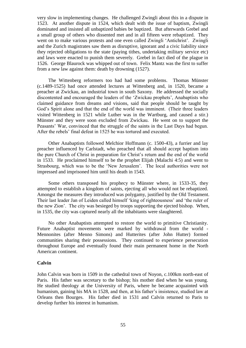very slow in implementing changes. He challenged Zwingli about this in a dispute in 1523. At another dispute in 1524, which dealt with the issue of baptism, Zwingli dominated and insisted all unbaptized babies be baptized. But afterwards Grebel and a small group of others who dissented met and in all fifteen were rebaptized. They went on to make various protests and one even called Zwingli 'Antichrist'. Zwingli and the Zurich magistrates saw them as disruptive, ignorant and a civic liability since they rejected obligations to the state (paying tithes, undertaking military service etc) and laws were enacted to punish them severely. Grebel in fact died of the plague in 1526. George Blaurock was whipped out of town. Felix Mantz was the first to suffer from a new law against them: death by drowning (1527).

The Wittenberg reformers too had had some problems. Thomas Münster (c.1489-1525) had once attended lectures at Wittenberg and, in 1520, became a preacher at Zwickau, an industrial town in south Saxony. He addressed the socially discontented and encouraged the leaders of the 'Zwickau prophets', Anabaptists who claimed guidance from dreams and visions, said that people should be taught by God's Spirit alone and that the end of the world was imminent. (Their three leaders visited Wittenberg in 1521 while Luther was in the Wartburg, and caused a stir.) Münster and they were soon excluded from Zwickau. He went on to support the Peasants' War, convinced that the struggle of the saints in the Last Days had begun. After the rebels' final defeat in 1525 he was tortured and executed.

Other Anabaptists followed Melchior Hoffmann (c. 1500-43), a furrier and lay preacher influenced by Carlstadt, who preached that all should accept baptism into the pure Church of Christ in preparation for Christ's return and the end of the world in 1533. He proclaimed himself to be the prophet Elijah (Malachi 4:5) and went to Strasbourg, which was to be the 'New Jerusalem'. The local authorities were not impressed and imprisoned him until his death in 1543.

Some others transposed his prophecy to Münster where, in 1533-35, they attempted to establish a kingdom of saints, ejecting all who would not be rebaptized. Amongst the measures they introduced was polygamy, justified by the Old Testament. Their last leader Jan of Leiden called himself 'king of righteousness' and 'the ruler of the new Zion'. The city was besieged by troops supporting the ejected bishop. When, in 1535, the city was captured nearly all the inhabitants were slaughtered.

No other Anabaptists attempted to restore the world to primitive Christianity. Future Anabaptist movements were marked by withdrawal from the world - Mennonites (after Menno Simons) and Hutterites (after John Hutter) formed communities sharing their possessions. They continued to experience persecution throughout Europe and eventually found their main permanent home in the North American continent.

#### **Calvin**

John Calvin was born in 1509 in the cathedral town of Noyon, c.100km north-east of Paris. His father was secretary to the bishop; his mother died when he was young. He studied theology at the University of Paris, where he became acquainted with humanism, gaining his MA in 1528, and then, at his father's insistence, studied law at Orleans then Bourges. His father died in 1531 and Calvin returned to Paris to develop further his interest in humanism.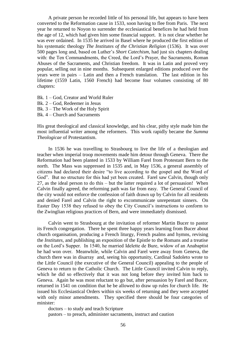A private person he recorded little of his personal life, but appears to have been converted to the Reformation cause in 1533, soon having to flee from Paris. The next year he returned to Noyon to surrender the ecclesiastical benefices he had held from the age of 12, which had given him some financial support. It is not clear whether he was ever ordained. In 1535 he arrived in Basel where he produced the first edition of his systematic theology *The Institutes of the Christian Religion* (1536). It was over 500 pages long and, based on Luther's *Short Catechism*, had just six chapters dealing with: the Ten Commandments, the Creed, the Lord's Prayer, the Sacraments, Roman Abuses of the Sacraments, and Christian freedom. It was in Latin and proved very popular, selling out in nine months. Subsequent enlarged editions produced over the years were in pairs – Latin and then a French translation. The last edition in his lifetime (1559 Latin, 1560 French) had become four volumes consisting of 80 chapters:

Bk. 1 – God, Creator and World Ruler Bk. 2 – God, Redeemer in Jesus Bk. 3 – The Work of the Holy Spirit Bk. 4 – Church and Sacraments

His great theological and classical knowledge, and his clear, pithy style made him the most influential writer among the reformers. This work rapidly became the *Summa Theologicae* of Protestantism.

In 1536 he was travelling to Strasbourg to live the life of a theologian and teacher when imperial troop movements made him detour through Geneva. There the Reformation had been planted in 1533 by William Farel from Protestant Bern to the north. The Mass was suppressed in 1535 and, in May 1536, a general assembly of citizens had declared their desire "to live according to the gospel and the Word of God". But no structure for this had yet been created. Farel saw Calvin, though only 27, as the ideal person to do this – but the latter required a lot of persuasion! When Calvin finally agreed, the reforming path was far from easy. The General Council of the city would not enforce the confession of faith drawn up by Calvin for all residents and denied Farel and Calvin the right to excommunicate unrepentant sinners. On Easter Day 1538 they refused to obey the City Council's instructions to conform to the Zwinglian religious practices of Bern, and were immediately dismissed.

Calvin went to Strasbourg at the invitation of reformer Martin Bucer to pastor its French congregation. There he spent three happy years learning from Bucer about church organisation, producing a French liturgy, French psalms and hymns, revising the *Institutes,* and publishing an exposition of the Epistle to the Romans and a treatise on the Lord's Supper. In 1540, he married Idelette de Bure, widow of an Anabaptist he had won over. Meanwhile, while Calvin and Farel were away from Geneva, the church there was in disarray and, seeing his opportunity, Cardinal Sadoleto wrote to the Little Council (the executive of the General Council) appealing to the people of Geneva to return to the Catholic Church. The Little Council invited Calvin to reply, which he did so effectively that it was not long before they invited him back to Geneva. Again he was most reluctant to go but, after persuasion by Farel and Bucer, returned in 1541 on condition that he be allowed to draw up rules for church life. He issued his Ecclesiastical Orders within six weeks of returning and they were accepted with only minor amendments. They specified there should be four categories of minister:

doctors – to study and teach Scripture

pastors – to preach, administer sacraments, instruct and caution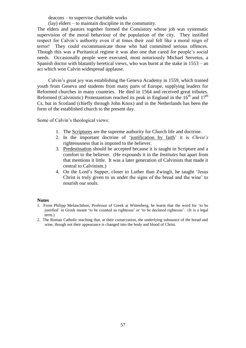deacons – to supervise charitable works

(lay) elders – to maintain discipline in the community.

The elders and pastors together formed the Consistory whose job was systematic supervision of the moral behaviour of the population of the city. They instilled respect for Calvin's authority even if at times their zeal felt like a moral reign of terror! They could excommunicate those who had committed serious offences. Though this was a Puritanical regime it was also one that cared for people's social needs. Occasionally people were executed, most notoriously Michael Servetus, a Spanish doctor with blatantly heretical views, who was burnt at the stake in 1553 – an act which won Calvin widespread applause.

Calvin's great joy was establishing the Geneva Academy in 1559, which trained youth from Geneva and students from many parts of Europe, supplying leaders for Reformed churches in many countries. He died in 1564 and received great tributes. Reformed (Calvinistic) Protestantism reached its peak in England in the  $16<sup>th</sup>$  and  $17<sup>th</sup>$ Cs, but in Scotland (chiefly through John Knox) and in the Netherlands has been the form of the established church to the present day.

Some of Calvin's theological views:

- 1. The Scriptures are the supreme authority for Church life and doctrine.
- 2. In the important doctrine of 'justification by faith' it is *Christ's*  righteousness that is imputed to the believer.
- 3. Predestination should be accepted because it is taught in Scripture and a comfort to the believer. (He expounds it in the *Institutes* but apart from that mentions it little. It was a later generation of Calvinists that made it central to Calvinism.)
- 4. On the Lord's Supper, closer to Luther than Zwingli, he taught 'Jesus Christ is truly given to us under the signs of the bread and the wine' to nourish our souls.

#### **Notes**

- 1. From Philipp Melanchthon, Professor of Greek at Wittenberg, he learnt that the word for 'to be justified' in Greek meant 'to be counted as righteous' or 'to be declared righteous'. (It is a legal term.)
- 2. The Roman Catholic teaching that, at their consecration, the underlying substance of the bread and wine, though not their appearance is changed into the body and blood of Christ.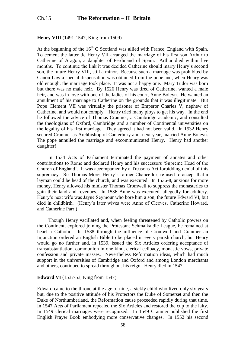### **Henry VIII** (1491-1547, King from 1509)

At the beginning of the  $16<sup>th</sup>$  C Scotland was allied with France, England with Spain. To cement the latter tie Henry VII arranged the marriage of his first son Arthur to Catherine of Aragon, a daughter of Ferdinand of Spain. Arthur died within five months. To continue the link it was decided Catherine should marry Henry's second son, the future Henry VIII, still a minor. Because such a marriage was prohibited by Canon Law a special dispensation was obtained from the pope and, when Henry was old enough, the marriage took place. It was not a happy one. Mary Tudor was born but there was no male heir. By 1526 Henry was tired of Catherine, wanted a male heir, and was in love with one of the ladies of his court, Anne Boleyn. He wanted an annulment of his marriage to Catherine on the grounds that it was illegitimate. But Pope Clement VII was virtually the prisoner of Emperor Charles V, nephew of Catherine, and would not comply. Henry tried many ploys to get his way. In the end he followed the advice of Thomas Cranmer, a Cambridge academic, and consulted the theologians of Oxford, Cambridge and a number of Continental universities on the legality of his first marriage. They agreed it had not been valid. In 1532 Henry secured Cranmer as Archbishop of Canterbury and, next year, married Anne Boleyn. The pope annulled the marriage and excommunicated Henry. Henry had another daughter!

In 1534 Acts of Parliament terminated the payment of annates and other contributions to Rome and declared Henry and his successors 'Supreme Head of the Church of England'. It was accompanied by a Treasons Act forbidding denial of this supremacy. Sir Thomas More, Henry's former Chancellor, refused to accept that a layman could be head of the church, and was executed. In 1536-8, anxious for more money, Henry allowed his minister Thomas Cromwell to suppress the monasteries to gain their land and revenues. In 1536 Anne was executed, allegedly for adultery. Henry's next wife was Jayne Seymour who bore him a son, the future Edward VI, but died in childbirth. (Henry's later wives were Anne of Cleeves, Catherine Howard, and Catherine Parr.)

Though Henry vacillated and, when feeling threatened by Catholic powers on the Continent, explored joining the Protestant Schmalkaldic League, he remained at heart a Catholic. In 1538 through the influence of Cromwell and Cranmer an Injunction ordered an English Bible to be placed in every parish church, but Henry would go no further and, in 1539, issued the Six Articles ordering acceptance of transubstantiation, communion in one kind, clerical celibacy, monastic vows, private confession and private masses. Nevertheless Reformation ideas, which had much support in the universities of Cambridge and Oxford and among London merchants and others, continued to spread throughout his reign. Henry died in 1547.

### **Edward VI** (1537-53, King from 1547)

Edward came to the throne at the age of nine, a sickly child who lived only six years but, due to the positive attitude of his Protectors the Duke of Somerset and then the Duke of Northumberland, the Reformation cause proceeded rapidly during that time. In 1547 Acts of Parliament repealed the Six Articles and restored the cup to the laity. In 1549 clerical marriages were recognized. In 1549 Cranmer published the first English Prayer Book embodying more conservative changes. In 1552 his second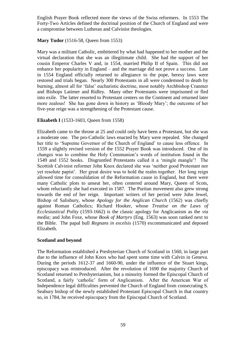English Prayer Book reflected more the views of the Swiss reformers. In 1553 The Forty-Two Articles defined the doctrinal position of the Church of England and were a compromise between Lutheran and Calvinist theologies.

### **Mary Tudor** (1516-58, Queen from 1553)

Mary was a militant Catholic, embittered by what had happened to her mother and the virtual declaration that she was an illegitimate child. She had the support of her cousin Emperor Charles V and, in 1554, married Philip II of Spain. This did not enhance her popularity in England – and the marriage did not prove a success. Late in 1554 England officially returned to allegiance to the pope, heresy laws were restored and trials began. Nearly 300 Protestants in all were condemned to death by burning, almost all for 'false' eucharistic doctrine, most notably Archbishop Cranmer and Bishops Latimer and Ridley. Many other Protestants were imprisoned or fled into exile. The latter resorted to Protestant centers on the Continent and returned later more zealous! She has gone down in history as 'Bloody Mary'; the outcome of her five-year reign was a strengthening of the Protestant cause.

### **Elizabeth I** (1533-1603, Queen from 1558)

Elizabeth came to the throne at 25 and could only have been a Protestant, but she was a moderate one. The pro-Catholic laws enacted by Mary were repealed. She changed her title to 'Supreme Governor of the Church of England' to cause less offence. In 1559 a slightly revised version of the 1552 Prayer Book was introduced. One of its changes was to combine the Holy Communion's words of institution found in the 1549 and 1552 books. Disgruntled Protestants called it a 'mingle mangle'! The Scottish Calvinist reformer John Knox declared she was 'neither good Protestant nor yet resolute papist'. Her great desire was to hold the realm together. Her long reign allowed time for consolidation of the Reformation cause in England, but there were many Catholic plots to unseat her, often centered around Mary, Queen of Scots, whom reluctantly she had executed in 1587. The Puritan movement also grew strong towards the end of her reign. Important writers of her period were John Jewel, Bishop of Salisbury, whose *Apology for the Anglican Church* (1562) was chiefly against Roman Catholics; Richard Hooker, whose *Treatise on the Laws of Ecclesiastical Polity* (1593-1662) is the classic apology for Anglicanism as the *via media;* and John Foxe, whose *Book of Martyrs* (Eng. 1563) was soon ranked next to the Bible. The papal bull *Regnans in excelsis* (1570) excommunicated and deposed Elizabeth.

### **Scotland and beyond**

The Reformation established a Presbyterian Church of Scotland in 1560, in large part due to the influence of John Knox who had spent some time with Calvin in Geneva. During the periods 1612-37 and 1660-90, under the influence of the Stuart kings, episcopacy was reintroduced. After the revolution of 1690 the majority Church of Scotland returned to Presbyterianism, but a minority formed the Episcopal Church of Scotland, a fairly 'catholic' form of Anglicanism. After the American War of Independence legal difficulties prevented the Church of England from consecrating S. Seabury bishop of the newly established Protestant Episcopal Church in that country so, in 1784, he received episcopacy from the Episcopal Church of Scotland.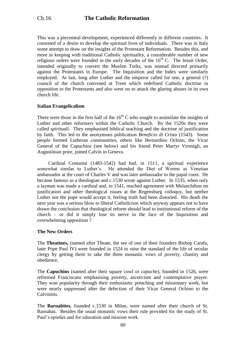This was a piecemeal development, experienced differently in different countries. It consisted of a desire to develop the spiritual lives of individuals. There was in Italy some attempt to draw on the insights of the Protestant Reformation. Besides this, and more in keeping with traditional Catholic spirituality, a considerable number of new religious orders were founded in the early decades of the  $16<sup>th</sup>$  C. The Jesuit Order, intended originally to convert the Muslim Turks, was instead directed primarily against the Protestants in Europe. The Inquisition and the Index were similarly employed. At last, long after Luther and the emperor called for one, a general (?) council of the church convened at Trent which redefined Catholic doctrine in opposition to the Protestants and also went on to attack the glaring abuses in its own church life.

### **Italian Evangelicalism**

There were those in the first half of the  $16<sup>th</sup>$  C who sought to assimilate the insights of Luther and other reformers within the Catholic Church. By the 1520s they were called *spirituali.* They emphasised biblical teaching and the doctrine of justification by faith. This led to the anonymous publication *Beneficio di Cristo* (1543). Some people formed Lutheran communities, others like Bernardino Ochino, the Vicar General of the Capuchins (see below) and his friend Peter Martyr Vermigli, an Augustinian prior, joined Calvin in Geneva.

Cardinal Contarini (1483-1542) had had, in 1511, a spiritual experience somewhat similar to Luther's. He attended the Diet of Worms as Venetian ambassador at the court of Charles V and was later ambassador to the papal court. He became famous as a theologian and c.1530 wrote against Luther. In 1535, when only a layman was made a cardinal and, in 1541, reached agreement with Melanchthon on justification and other theological issues at the Regensburg colloquy, but neither Luther nor the pope would accept it, feeling truth had been distorted. His death the next year was a serious blow to liberal Catholicism which anyway appears not to have drawn the conclusion that theological reform should lead to institutional reform of the church – or did it simply lose its nerve in the face of the Inquisition and overwhelming opposition ?

### **The New Orders**

The **Theatines,** (named after Theate, the see of one of their founders Bishop Carafa, later Pope Paul IV) were founded in 1524 to raise the standard of the life of secular clergy by getting them to take the three monastic vows of poverty, chastity and obedience.

The **Capuchins** (named after their square cowl or *capuche*), founded in 1526, were reformed Franciscans emphasising poverty, asceticism and contemplative prayer. They won popularity through their enthusiastic preaching and missionary work, but were nearly suppressed after the defection of their Vicar General Ochino to the Calvinists.

The **Barnabites**, founded c.1530 in Milan, were named after their church of St. Barnabas. Besides the usual monastic vows their rule provided for the study of St. Paul's epistles and for education and mission work.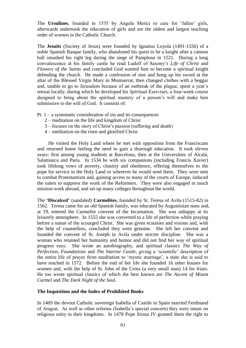The **Ursulines**, founded in 1535 by Angela Merici to care for 'fallen' girls, afterwards undertook the education of girls and are the oldest and largest teaching order of women in the Catholic Church.

The **Jesuits** (Society of Jesus) were founded by Ignatius Loyola (1491-1556) of a noble Spanish Basque family, who abandoned his quest to be a knight after a cannon ball smashed his right leg during the siege of Pamplona in 1521. During a long convalescence at his family castle he read Ludolf of Saxony's *Life of Christ* and *Flowers of the Saints* and concluded God wanted him to become a spiritual knight defending the church. He made a confession of sins and hung up his sword at the altar of the Blessed Virgin Mary in Montserrat, then changed clothes with a beggar and, unable to go to Jerusalem because of an outbreak of the plague, spent a year's retreat locally, during which he developed his *Spiritual Exercises,* a four-week course designed to bring about the spiritual mastery of a person's will and make him submissive to the will of God. It consists of:

Pt.  $1 - a$  systematic consideration of sin and its consequences

- 2 meditation on the life and kingdom of Christ
- 3 focuses on the story of Christ's passion (suffering and death)
- 4 meditation on the risen and glorified Christ

He visited the Holy Land where he met with opposition from the Franciscans and returned home feeling the need to gain a thorough education. It took eleven years: first among young students at Barcelona, then at the Universities of Alcalá, Salamanca and Paris. In 1534 he with six companions (including Francis Xavier) took lifelong vows of poverty, chastity and obedience, offering themselves to the pope for service in the Holy Land or wherever he would send them. They were sent to combat Protestantism and, gaining access to many of the courts of Europe, induced the rulers to suppress the work of the Reformers. They were also engaged in much mission work abroad, and set up many colleges throughout the world.

The **'Discalced'** (sandaled) **Carmelites**, founded by St. Teresa of Avila (1515-82) in 1562. Teresa came for an old Spanish family, was educated by Augustinian nuns and, at 19, entered the Carmelite convent of the Incarnation. She was unhappy at its leisurely atmosphere. In 1555 she was converted to a life of perfection while praying before a statue of the scourged Christ. She was given ecstasies and visions and, with the help of counsellors, concluded they were genuine. She left her convent and founded the convent of St. Joseph in Avila under stricter discipline. She was a woman who retained her humanity and humor and did not find her way of spiritual progress easy. She wrote an autobiography, and spiritual classics *The Way of Perfection, Foundations* and *The Interior Castle,* giving a 'scientific' description of the entire life of prayer from meditation to 'mystic marriage', a state she is said to have reached in 1572. Before the end of her life she founded 16 other houses for women and, with the help of St. John of the Cross (a very small man) 14 for friars. He too wrote spiritual classics of which the best known are *The Ascent of Mount Carmel* and *The Dark Night of the Soul.*

### **The Inquisition and the Index of Prohibited Books**

In 1469 the devout Catholic sovereign Isabella of Castile in Spain married Ferdinand of Aragon. As well as other reforms (Isabella's special concern) they were intent on religious unity in their kingdoms. In 1478 Pope Sixtus IV granted them the right to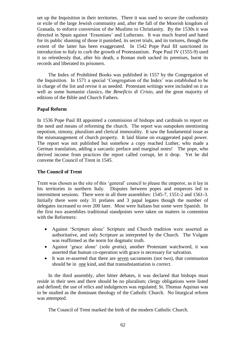set up the Inquisition in their territories. There it was used to secure the conformity or exile of the large Jewish community and, after the fall of the Moorish kingdom of Granada, to enforce conversion of the Muslims to Christianity. By the 1530s it was directed in Spain against 'Erasmians' and Lutherans. It was much feared and hated for its public shaming of those it punished, its secret trials, and its tortures, though the extent of the latter has been exaggerated. In 1542 Pope Paul III sanctioned its introduction to Italy to curb the growth of Protestantism. Pope Paul IV (1555-9) used it so relentlessly that, after his death, a Roman mob sacked its premises, burnt its records and liberated its prisoners.

The Index of Prohibited Books was published in 1557 by the Congregation of the Inquisition. In 1571 a special 'Congregation of the Index' was established to be in charge of the list and revise it as needed. Protestant writings were included on it as well as some humanist classics, the *Beneficio di Cristo,* and the great majority of editions of the Bible and Church Fathers.

### **Papal Reform**

In 1536 Pope Paul III appointed a commission of bishops and cardinals to report on the need and means of reforming the church. The report was outspoken mentioning nepotism, simony, pluralism and clerical immorality. It saw the fundamental issue as the mismanagement of church property. It laid blame on exaggerated papal power. The report was not published but somehow a copy reached Luther, who made a German translation, adding a sarcastic preface and marginal notes! The pope, who derived income from practices the report called corrupt, let it drop. Yet he did convene the Council of Trent in 1545.

### **The Council of Trent**

Trent was chosen as the site of this 'general' council to please the emperor, as it lay in his territories in northern Italy. Disputes between popes and emperors led to intermittent sessions. There were in all three assemblies: 1545-7, 1551-2 and 1561-3. Initially there were only 31 prelates and 3 papal legates though the number of delegates increased to over 200 later. Most were Italians but some were Spanish. In the first two assemblies traditional standpoints were taken on matters in contention with the Reformers:

- Against 'Scripture alone' Scripture and Church tradition were asserted as authoritative, and only Scripture as interpreted by the Church. The Vulgate was reaffirmed as the norm for dogmatic truth.
- Against 'grace alone' (*sola gratia),* another Protestant watchword, it was asserted that human co-operation with grace is necessary for salvation.
- It was re-asserted that there are seven sacraments (not two), that communion should be in one kind, and that transubstantiation is correct.

In the third assembly, after bitter debates, it was declared that bishops must reside in their sees and there should be no pluralism; clergy obligations were listed and defined; the use of relics and indulgences was regulated; St. Thomas Aquinas was to be studied as the dominant theology of the Catholic Church. No liturgical reform was attempted.

The Council of Trent marked the birth of the modern Catholic Church.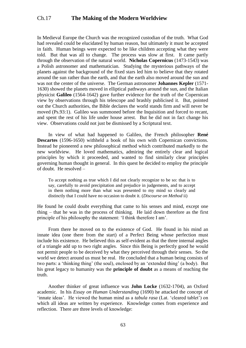# Ch.17 **The Making of the Modern Worldview**

In Medieval Europe the Church was the recognized custodian of the truth. What God had revealed could be elucidated by human reason, but ultimately it must be accepted in faith. Human beings were expected to be like children accepting what they were told. But that was all to change. The process was slow at first. It came partly through the observation of the natural world. **Nicholas Copernicus** (1473-1543) was a Polish astronomer and mathematician. Studying the mysterious pathways of the planets against the background of the fixed stars led him to believe that they rotated around the sun rather than the earth, and that the earth also moved around the sun and was not the center of the universe. The German astronomer **Johannes Kepler** (1571- 1630) showed the planets moved in elliptical pathways around the sun, and the Italian physicist **Galileo** (1564-1642) gave further evidence for the truth of the Copernican view by observations through his telescope and brashly publicised it. But, pointed out the Church authorities, the Bible declares the world stands firm and will never be moved (Ps.93:1). Galileo was summoned before the Inquisition and forced to recant, and spent the rest of his life under house arrest. But he did not in fact change his view. Observations could not just be dismissed by a Scriptural text.

In view of what had happened to Galileo, the French philosopher **René Descartes** (1596-1650) withheld a book of his own with Copernican convictions. Instead he pioneered a new philosophical method which contributed markedly to the new worldview. He loved mathematics, admiring the entirely clear and logical principles by which it proceeded, and wanted to find similarly clear principles governing human thought in general. In this quest he decided to employ the principle of doubt. He resolved –

To accept nothing as true which I did not clearly recognize to be so: that is to say, carefully to avoid precipitation and prejudice in judgements, and to accept in them nothing more than what was presented to my mind so clearly and distinctly that I could have no occasion to doubt it. (*Discourse on Method* ii)

He found he could doubt everything that came to his senses and mind, except one thing – that he was in the process of thinking. He laid down therefore as the first principle of his philosophy the statement: 'I think therefore I am'.

From there he moved on to the existence of God. He found in his mind an innate idea (one there from the start) of a Perfect Being whose perfection must include his existence. He believed this as self-evident as that the three internal angles of a triangle add up to two right angles. Since this Being is perfectly good he would not permit people to be deceived by what they perceived through their senses. So the world we detect around us must be real. He concluded that a human being consists of two parts: a 'thinking thing' (the soul), enclosed by an 'extended thing' (a body). But his great legacy to humanity was the **principle of doubt** as a means of reaching the truth.

Another thinker of great influence was **John Locke** (1632-1704), an Oxford academic. In his *Essay on Human Understanding* (1690) he attacked the concept of 'innate ideas'. He viewed the human mind as a *tabula rasa* (Lat. 'cleared tablet') on which all ideas are written by experience. Knowledge comes from experience and reflection. There are three levels of knowledge: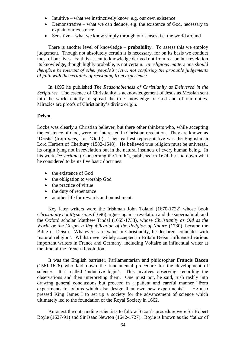- Intuitive what we instinctively know, e.g. our own existence
- Demonstrative what we can deduce, e.g. the existence of God, necessary to explain our existence
- Sensitive what we know simply through our senses, i.e. the world around

There is another level of knowledge – **probability**. To assess this we employ judgement. Though not absolutely certain it is necessary, for on its basis we conduct most of our lives. Faith is assent to knowledge derived not from reason but revelation. Its knowledge, though highly probable, is not certain. *In religious matters one should therefore be tolerant of other people's views, not confusing the probable judgements of faith with the certainty of reasoning from experience.*

In 1695 he published *The Reasonableness of Christianity as Delivered in the Scriptures.* The essence of Christianity is acknowledgement of Jesus as Messiah sent into the world chiefly to spread the true knowledge of God and of our duties. Miracles are proofs of Christianity's divine origin.

### **Deism**

Locke was clearly a Christian believer, but there other thinkers who, while accepting the existence of God, were not interested in Christian revelation. They are known as 'Deists' (from *deus,* Lat. 'God'). Their earliest representative was the Englishman Lord Herbert of Cherbury (1582-1648). He believed true religion must be universal, its origin lying not in revelation but in the natural instincts of every human being. In his work *De veritate* ('Concerning the Truth'), published in 1624, he laid down what he considered to be its five basic doctrines:

- the existence of God
- the obligation to worship God
- the practice of virtue
- the duty of repentance
- another life for rewards and punishments

Key later writers were the Irishman John Toland (1670-1722) whose book *Christianity not Mysterious* (1696) argues against revelation and the supernatural, and the Oxford scholar Matthew Tindal (1655-1733), whose *Christianity as Old as the World or the Gospel a Republication of the Religion of Nature* (1730), became the Bible of Deism. Whatever is of value in Christianity, he declared, coincides with 'natural religion'. Whilst never widely accepted in Britain Deism influenced various important writers in France and Germany, including Voltaire an influential writer at the time of the French Revolution.

It was the English barrister, Parliamentarian and philosopher **Francis Bacon** (1561-1626) who laid down the fundamental procedure for the development of science. It is called 'inductive logic'. This involves observing, recording the observations and then interpreting them. One must not, he said, rush rashly into drawing general conclusions but proceed in a patient and careful manner "from experiments to axioms which also design their own new experiments". He also pressed King James I to set up a society for the advancement of science which ultimately led to the foundation of the Royal Society in 1662.

Amongst the outstanding scientists to follow Bacon's procedure were Sir Robert Boyle (1627-91) and Sir Isaac Newton (1642-1727). Boyle is known as the 'father of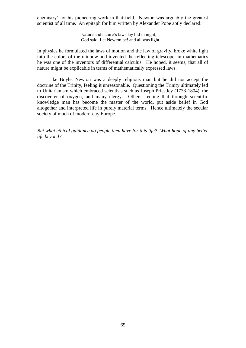chemistry' for his pioneering work in that field. Newton was arguably the greatest scientist of all time. An epitaph for him written by Alexander Pope aptly declared:

> Nature and nature's laws lay hid in night; God said, Let Newton be! and all was light.

In physics he formulated the laws of motion and the law of gravity, broke white light into the colors of the rainbow and invented the reflecting telescope; in mathematics he was one of the inventors of differential calculus. He hoped, it seems, that all of nature might be explicable in terms of mathematically expressed laws.

Like Boyle, Newton was a deeply religious man but he did not accept the doctrine of the Trinity, feeling it unreasonable. Questioning the Trinity ultimately led to Unitarianism which embraced scientists such as Joseph Priestley (1733-1804), the discoverer of oxygen, and many clergy. Others, feeling that through scientific knowledge man has become the master of the world, put aside belief in God altogether and interpreted life in purely material terms. Hence ultimately the secular society of much of modern-day Europe.

*But what ethical guidance do people then have for this life? What hope of any better life beyond?*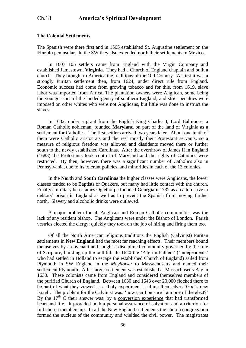### **The Colonial Settlements**

The Spanish were there first and in 1565 established St. Augustine settlement on the **Florida** peninsular. In the SW they also extended north their settlements in Mexico.

In 1607 105 settlers came from England with the Virgin Company and established Jamestown, **Virginia**. They had a Church of England chaplain and built a church. They brought to America the traditions of the Old Country. At first it was a strongly Puritan settlement then, from 1624, under direct rule from England. Economic success had come from growing tobacco and for this, from 1619, slave labor was imported from Africa. The plantation owners were Anglican, some being the younger sons of the landed gentry of southern England, and strict penalties were imposed on other whites who were not Anglicans, but little was done to instruct the slaves.

In 1632, under a grant from the English King Charles I, Lord Baltimore, a Roman Catholic nobleman, founded **Maryland** on part of the land of Virginia as a settlement for Catholics. The first settlers arrived two years later. About one tenth of them were Catholic aristocrats and the rest mostly their Protestant servants, so a measure of religious freedom was allowed and dissidents moved there or further south to the newly established Carolinas. After the overthrow of James II in England (1688) the Protestants took control of Maryland and the rights of Catholics were restricted. By then, however, there was a significant number of Catholics also in Pennsylvania, due to its tolerant policies, and minorities in each of the 13 colonies.

In the **North** and **South Carolinas** the higher classes were Anglicans, the lower classes tended to be Baptists or Quakers, but many had little contact with the church. Finally a military hero James Oglethorpe founded **Georgia** in1732 as an alternative to debtors' prison in England as well as to prevent the Spanish from moving further north. Slavery and alcoholic drinks were outlawed.

A major problem for all Anglican and Roman Catholic communities was the lack of any resident bishop. The Anglicans were under the Bishop of London. Parish vestries elected the clergy; quickly they took on the job of hiring and firing them too.

Of all the North American religious traditions the English (Calvinist) Puritan settlements in **New England** had the most far reaching effects. Their members bound themselves by a covenant and sought a disciplined community governed by the rule of Scripture, building up the faithful. In 1620 the 'Pilgrim Fathers' ('Independents' who had settled in Holland to escape the established Church of England) sailed from Plymouth in SW England in the *Mayflower* to Massachusetts and named their settlement Plymouth. A far larger settlement was established at Massachusetts Bay in 1630. These colonists came from England and considered themselves members of the purified Church of England. Between 1630 and 1643 over 20,000 flocked there to be part of what they viewed as a 'holy experiment', calling themselves 'God's new Israel'. The problem for the Calvinist was: 'how can I be sure I am one of the elect?' By the  $17<sup>th</sup>$  C their answer was: by a conversion experience that had transformed heart and life. It provided both a personal assurance of salvation and a criterion for full church membership. In all the New England settlements the church congregation formed the nucleus of the community and wielded the civil power. The magistrates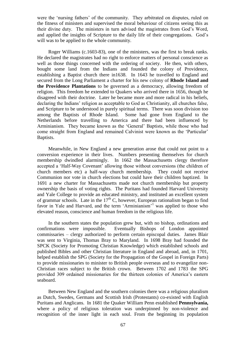were the 'nursing fathers' of the community. They arbitrated on disputes, ruled on the fitness of ministers and supervised the moral behaviour of citizens seeing this as their divine duty. The ministers in turn advised the magistrates from God's Word, and applied the insights of Scripture to the daily life of their congregations. God's will was to be applied to the whole community.

Roger Williams (c.1603-83), one of the ministers, was the first to break ranks. He declared the magistrates had no right to enforce matters of personal conscience as well as those things concerned with the ordering of society. He then, with others, bought some land from the Indians and founded the colony of Providence, establishing a Baptist church there in1638. In 1643 he travelled to England and secured from the Long Parliament a charter for his new colony of **Rhode Island and the Providence Plantations** to be governed as a democracy, allowing freedom of religion. This freedom he extended to Quakers who arrived there in 1656, though he disagreed with their doctrine. Later he became more and more radical in his beliefs, declaring the Indians' religion as acceptable to God as Christianity, all churches false, and Scripture to be understood in purely spiritual terms. There was soon division too among the Baptists of Rhode Island. Some had gone from England to the Netherlands before travelling to America and there had been influenced by Arminianism. They became known as the 'General' Baptists, while those who had come straight from England and remained Calvinist were known as the 'Particular' Baptists.

Meanwhile, in New England a new generation arose that could not point to a conversion experience in their lives. Numbers presenting themselves for church membership dwindled alarmingly. In 1662 the Massachusetts clergy therefore accepted a 'Half-Way Covenant' allowing those without conversions (the children of church members etc) a half-way church membership. They could not receive Communion nor vote in church elections but could have their children baptized. In 1691 a new charter for Massachusetts made not church membership but property ownership the basis of voting rights. The Puritans had founded Harvard University and Yale College to provide an educated ministry, and instituted an excellent system of grammar schools. Late in the  $17<sup>th</sup>$  C, however, European rationalism began to find favor in Yale and Harvard, and the term 'Arminianism'<sup>1</sup> was applied to those who elevated reason, conscience and human freedom in the religious life.

In the southern states the population grew but, with no bishop, ordinations and confirmations were impossible. Eventually Bishops of London appointed commissaries – clergy authorized to perform certain episcopal duties. James Blair was sent to Virginia, Thomas Bray to Maryland. In 1698 Bray had founded the SPCK (Society for Promoting Christian Knowledge) which established schools and published Bibles and other Christian literature in England and abroad, and, in 1701, helped establish the SPG (Society for the Propagation of the Gospel in Foreign Parts) to provide missionaries to minister to British people overseas and to evangelize non-Christian races subject to the British crown. Between 1702 and 1783 the SPG provided 309 ordained missionaries for the thirteen colonies of America's eastern seaboard.

Between New England and the southern colonies there was a religious pluralism as Dutch, Swedes, Germans and Scottish Irish (Protestants) co-existed with English Puritans and Anglicans. In 1681 the Quaker William Penn established **Pennsylvania,** where a policy of religious toleration was underpinned by non-violence and recognition of the inner light in each soul. From the beginning its population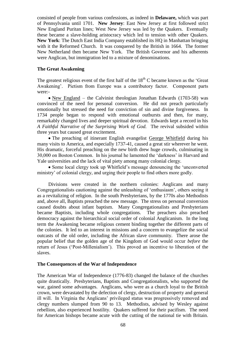consisted of people from various confessions, as indeed in **Delaware,** which was part of Pennsylvania until 1701. **New Jersey**: East New Jersey at first followed strict New England Puritan lines; West New Jersey was led by the Quakers. Eventually these became a slave-holding aristocracy which led to tension with other Quakers. **New York**: The Dutch East India Company established its HQ in Manhattan bringing with it the Reformed Church. It was conquered by the British in 1664. The former New Netherland then became New York. The British Governor and his adherents were Anglican, but immigration led to a mixture of denominations.

### **The Great Awakening**

The greatest religious event of the first half of the  $18<sup>th</sup>$  C became known as the 'Great' Awakening'. Pietism from Europe was a contributory factor. Component parts were:-

• New England – the Calvinist theologian Jonathan Edwards (1703-58) was convinced of the need for personal conversion. He did not preach particularly emotionally but stressed the need for conviction of sin and divine forgiveness. In 1734 people began to respond with emotional outbursts and then, for many, remarkably changed lives and deeper spiritual devotion. Edwards kept a record in his *A Faithful Narrative of the Surprising Work of God.* The revival subsided within three years but caused great excitement.

• The preaching of itinerant English evangelist George Whitfield during his many visits to America, and especially 1737-41, caused a great stir wherever he went. His dramatic, forceful preaching on the new birth drew huge crowds, culminating in 30,000 on Boston Common. In his journal he lamented the 'darkness' in Harvard and Yale universities and the lack of vital piety among many colonial clergy.

• Some local clergy took up Whitfield's message denouncing the 'unconverted ministry' of colonial clergy, and urging their people to find others more godly.

Divisions were created in the northern colonies: Anglicans and many Congregationalists cautioning against the unleashing of 'enthusiasm', others seeing it as a revitalizing of religion. In the south Presbyterians, by the 1770s also Methodists and, above all, Baptists preached the new message. The stress on personal conversion caused doubts about infant baptism. Many Congregationalists and Presbyterians became Baptists, including whole congregations. The preachers also preached democracy against the hierarchical social order of colonial Anglicanism. In the long term the Awakening became religious cement binding together the different parts of the colonies. It led to an interest in missions and a concern to evangelize the social outcasts of the old order, including the African slave community. There arose the popular belief that the golden age of the Kingdom of God would occur *before* the return of Jesus ('Post-Millenialism'). This proved an incentive to liberation of the slaves.

### **The Consequences of the War of Independence**

The American War of Independence (1776-83) changed the balance of the churches quite drastically. Presbyterians, Baptists and Congregationalists, who supported the war, gained some advantages. Anglicans, who were as a church loyal to the British crown, were devastated by the defection of clergy, destruction of property and general ill will. In Virginia the Anglicans' privileged status was progressively removed and clergy numbers slumped from 90 to 13. Methodists, advised by Wesley against rebellion, also experienced hostility. Quakers suffered for their pacifism. The need for American bishops became acute with the cutting of the national tie with Britain.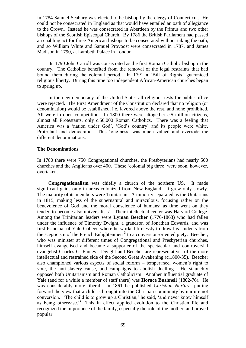In 1784 Samuel Seabury was elected to be bishop by the clergy of Connecticut. He could not be consecrated in England as that would have entailed an oath of allegiance to the Crown. Instead he was consecrated in Aberdeen by the Primus and two other bishops of the Scottish Episcopal Church. By 1786 the British Parliament had passed an enabling act for three American bishops to be consecrated without taking the oath, and so William White and Samuel Provoost were consecrated in 1787, and James Madison in 1790, at Lambeth Palace in London.

In 1790 John Carroll was consecrated as the first Roman Catholic bishop in the country. The Catholics benefited from the removal of the legal restraints that had bound them during the colonial period. In 1791 a 'Bill of Rights' guaranteed religious liberty. During this time too independent African-American churches began to spring up.

In the new democracy of the United States all religious tests for public office were rejected. The First Amendment of the Constitution declared that no religion (or denomination) would be established, i.e. favored above the rest, and none prohibited. All were in open competition. In 1800 there were altogether c.5 million citizens, almost all Protestants, only c.50,000 Roman Catholics. There was a feeling that America was a 'nation under God', 'God's country' and its people were white, Protestant and democratic. This 'one-ness' was much valued and overrode the different denominations.

### **The Denominations**

In 1780 there were 750 Congregational churches, the Presbyterians had nearly 500 churches and the Anglicans over 400. These 'colonial big three' were soon, however, overtaken.

**Congregationalism** was chiefly a church of the northern US. It made significant gains only in areas colonized from New England. It grew only slowly. The majority of its members were Trinitarian. A minority separated as the Unitarians in 1815, making less of the supernatural and miraculous, focusing rather on the benevolence of God and the moral conscience of humans; as time went on they tended to become also universalists<sup>2</sup>. Their intellectual center was Harvard College. Among the Trinitarian leaders were **Lyman Beecher** (1776-1863) who had fallen under the influence of Timothy Dwight, a grandson of Jonathan Edwards, and was first Principal of Yale College where he worked tirelessly to draw his students from the scepticism of the French Enlightenment<sup>3</sup> to a conversion-oriented piety. Beecher, who was minister at different times of Congregational and Presbyterian churches, himself evangelised and became a supporter of the spectacular and controversial evangelist Charles G. Finney. Dwight and Beecher are representatives of the more intellectual and restrained side of the Second Great Awakening (c.1800-35). Beecher also championed various aspects of social reform – temperance, women's right to vote, the anti-slavery cause, and campaigns to abolish duelling. He staunchly opposed both Unitarianism and Roman Catholicism. Another Influential graduate of Yale (and for a while a member of staff there) was **Horace Bushnell** (1802-76). He was considerably more liberal. In 1861 he published *Christian Nurture,* putting forward the view that a child is brought into the Christian community by nurture not conversion. 'The child is to grow up a Christian,' he said, 'and never know himself as being otherwise.<sup> $4$ </sup> This in effect applied evolution to the Christian life and recognized the importance of the family, especially the role of the mother, and proved popular.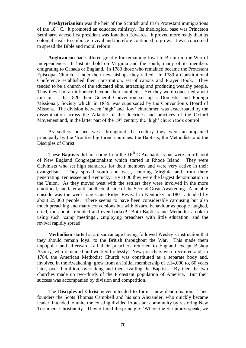**Presbyterianism** was the heir of the Scottish and Irish Protestant immigrations of the  $18<sup>th</sup>$  C. It promoted an educated ministry. Its theological base was Princeton Seminary, whose first president was Jonathan Edwards. It proved more ready than its colonial rivals to embrace revival and therefore continued to grow. It was concerned to spread the Bible and moral reform.

**Anglicanism** had suffered greatly for remaining loyal to Britain in the War of Independence. It lost its hold on Virginia and the south, many of its members emigrating to Canada or England. In 1783 those who remained became the Protestant Episcopal Church. Under their new bishops they rallied. In 1789 a Constitutional Conference established their constitution, set of canons and Prayer Book. They tended to be a church of the educated elite, attracting and producing wealthy people. Thus they had an influence beyond their numbers. Yet they were concerned about mission. In 1820 their General Convention set up a Domestic and Foreign Missionary Society which, in 1835, was superseded by the Convention's Board of Missons. The division between 'high' and 'low' churchmen was exacerbated by the dissemination across the Atlantic of the doctrines and practices of the Oxford Movement and, in the latter part of the  $19<sup>th</sup>$  century the 'high' church took control.

As settlers pushed west throughout the century they were accompanied principally by the 'frontier big three' churches: the Baptists, the Methodists and the Disciples of Christ.

These **Baptists** did not come from the  $16<sup>th</sup>$  C Anabaptists but were an offshoot of New England Congregationalism which started in Rhode Island. They were Calvinists who set high standards for their members and were very active in their evangelism. They spread south and west, entering Virginia and from there penetrating Tennessee and Kentucky. By 1800 they were the largest denomination in the Union. As they moved west with the settlers they were involved in the more emotional, and later anti-intellectual, side of the Second Great Awakening. A notable episode was the week-long Cane Ridge Revival in Kentucky in 1801 attended by about 25,000 people. There seems to have been considerable carousing but also much preaching and many conversions but with bizarre behaviour as people laughed, cried, ran about, trembled and even barked! Both Baptists and Methodists took to using such 'camp meetings', employing preachers with little education, and the revival rapidly spread.

**Methodism** started at a disadvantage having followed Wesley's instruction that they should remain loyal to the British throughout the War. This made them unpopular and afterwards all their preachers returned to England except Bishop Asbury, who remained and worked tirelessly. New preachers were recruited and, in 1784, the American Methodist Church was constituted as a separate body and, involved in the Awakening, grew from an initial membership of c.14,000 to, 60 years later, over 1 million, overtaking and then rivalling the Baptists. By then the two churches made up two-thirds of the Protestant population of America. But their success was accompanied by division and competition.

The **Disciples of Christ** never intended to form a new denomination. Their founders the Scots Thomas Campbell and his son Alexander, who quickly became leader, intended to unite the existing divided Protestant community by restoring New Testament Christianity. They offered the principle: 'Where the Scriptures speak, we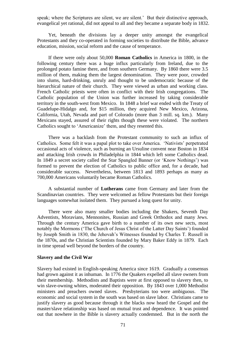speak; where the Scriptures are silent, we are silent.' But their distinctive approach, evangelical yet rational, did not appeal to all and they became a separate body in 1832.

Yet, beneath the divisions lay a deeper unity amongst the evangelical Protestants and they co-operated in forming societies to distribute the Bible, advance education, mission, social reform and the cause of temperance.

If there were only about 50,000 **Roman Catholics** in America in 1800, in the following century there was a huge influx particularly from Ireland, due to the prolonged potato famine there, and from southern Germany. By 1860 there were 3.5 million of them, making them the largest denomination. They were poor, crowded into slums, hard-drinking, unruly and thought to be undemocratic because of the hierarchical nature of their church. They were viewed as urban and working class. French Catholic priests were often in conflict with their Irish congregations. The Catholic population of the Union was further increased by taking considerable territory in the south-west from Mexico. In 1848 a brief war ended with the Treaty of Guadelupe-Hidalgo and, for \$15 million, they acquired New Mexico, Arizona, California, Utah, Nevada and part of Colorado (more than 3 mill. sq. km.). Many Mexicans stayed, assured of their rights though these were violated. The northern Catholics sought to 'Americanize' them, and they resented this.

There was a backlash from the Protestant community to such an influx of Catholics. Some felt it was a papal plot to take over America. 'Nativists' perpetrated occasional acts of violence, such as burning an Ursuline convent near Boston in 1834 and attacking Irish crowds in Philadelphia in 1844 which left some Catholics dead. In 1849 a secret society called the Star Spangled Banner (or 'Know Nothings') was formed to prevent the election of Catholics to public office and, for a decade, had considerable success. Nevertheless, between 1813 and 1893 perhaps as many as 700,000 Americans voluntarily became Roman Catholics.

A substantial number of **Lutherans** came from Germany and later from the Scandinavian countries. They were welcomed as fellow Protestants but their foreign languages somewhat isolated them. They pursued a long quest for unity.

There were also many smaller bodies including the Shakers, Seventh Day Adventists, Moravians, Mennonites, Russian and Greek Orthodox and many Jews. Through the century America gave birth to a number of its own new sects, most notably the Mormons ('The Church of Jesus Christ of the Latter Day Saints') founded by Joseph Smith in 1830, the Jehovah's Witnesses founded by Charles T. Russell in the 1870s, and the Christian Scientists founded by Mary Baker Eddy in 1879. Each in time spread well beyond the borders of the country.

#### **Slavery and the Civil War**

Slavery had existed in English-speaking America since 1619. Gradually a consensus had grown against it as inhuman. In 1776 the Quakers expelled all slave owners from their membership. Methodists and Baptists were at first opposed to slavery then, to win slave-owning whites, moderated their opposition. By 1843 over 1,000 Methodist ministers and preachers owned slaves. Presbyterians too were ambiguous. The economic and social system in the south was based on slave labor. Christians came to justify slavery as good because through it the blacks now heard the Gospel and the master/slave relationship was based on mutual trust and dependence. It was pointed out that nowhere in the Bible is slavery actually condemned. But in the north the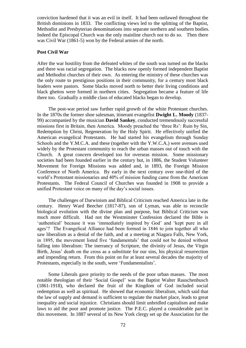conviction hardened that it was an evil in itself. It had been outlawed throughout the British dominions in 1833. The conflicting views led to the splitting of the Baptist, Methodist and Presbyterian denominations into separate northern and southern bodies. Indeed the Episcopal Church was the only mainline church not to do so. Then there was Civil War (1861-5) won by the Federal armies of the north.

### **Post Civil War**

After the war hostility from the defeated whites of the south was turned on the blacks and there was racial segregation. The blacks now openly formed independent Baptist and Methodist churches of their own. As entering the ministry of these churches was the only route to prestigious positions in their community, for a century most black leaders were pastors. Some blacks moved north to better their living conditions and black ghettos were formed in northern cities. Segregation became a feature of life there too. Gradually a middle class of educated blacks began to develop.

The post-war period saw further rapid growth of the white Protestant churches. In the 1870s the former shoe salesman, itinerant evangelist **Dwight L. Moody** (1837- 99) accompanied by the musician **David Sankey**, conducted tremendously successful missions first in Britain, then America. Moody preached the 'three Rs': Ruin by Sin, Redemption by Christ, Regeneration by the Holy Spirit. He effectively unified the American evangelical Protestants. He had started his evangelism through Sunday Schools and the Y.M.C.A. and these (together with the Y.W.C.A.) were avenues used widely by the Protestant community to reach the urban masses out of touch with the Church. A great concern developed too for overseas mission. Some missionary societies had been founded earlier in the century but, in 1886, the Student Volunteer Movement for Foreign Missions was added and, in 1893, the Foreign Mission Conference of North America. By early in the next century over one-third of the world's Protestant missionaries and 40% of mission funding came from the American Protestants. The Federal Council of Churches was founded in 1908 to provide a unified Protestant voice on many of the day's social issues.

The challenges of Darwinism and Biblical Criticism reached America late in the century. Henry Ward Beecher (1817-87), son of Lyman, was able to reconcile biological evolution with the divine plan and purpose, but Biblical Criticism was much more difficult. Had not the Westminster Confession declared the Bible is 'authentical' because it was 'immediately inspired by God' and 'kept pure in all ages'? The Evangelical Alliance had been formed in 1846 to join together all who saw liberalism as a denial of the faith, and at a meeting at Niagara Falls, New York, in 1895, the movement listed five 'fundamentals' that could not be denied without falling into liberalism: The inerrancy of Scripture, the divinity of Jesus, the Virgin Birth, Jesus' death on the cross as a substitute for our sins, his physical resurrection and impending return. From this point on for at least several decades the majority of Protestants, especially in the south, were 'Fundamentalists'.

Some Liberals gave priority to the needs of the poor urban masses. The most notable theologian of their 'Social Gospel' was the Baptist Walter Rauschenbusch (1861-1918), who declared the fruit of the Kingdom of God included social redemption as well as spiritual. He showed that economic liberalism, which said that the law of supply and demand is sufficient to regulate the market place, leads to great inequality and social injustice. Christians should limit unbridled capitalism and make laws to aid the poor and promote justice. The P.E.C. played a considerable part in this movement. In 1887 several of its New York clergy set up the Association for the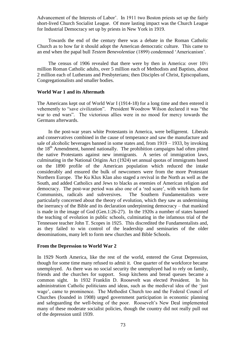Advancement of the Interests of Labor'. In 1911 two Boston priests set up the fairly short-lived Church Socialist League. Of more lasting impact was the Church League for Industrial Democracy set up by priests in New York in 1919.

Towards the end of the century there was a debate in the Roman Catholic Church as to how far it should adopt the American democratic culture. This came to an end when the papal bull *Testem Benevolentiae* (1899) condemned 'Americanism'.

The census of 1906 revealed that there were by then in America: over 10½ million Roman Catholic adults, over 5 million each of Methodists and Baptists, about 2 million each of Lutherans and Presbyterians; then Disciples of Christ, Episcopalians, Congregationalists and smaller bodies.

### **World War 1 and its Aftermath**

The Americans kept out of World War I (1914-18) for a long time and then entered it vehemently to "save civilization". President Woodrow Wilson declared it was "the war to end wars". The victorious allies were in no mood for mercy towards the Germans afterwards.

In the post-war years white Protestants in America, were belligerent. Liberals and conservatives combined in the cause of temperance and saw the manufacture and sale of alcoholic beverages banned in some states and, from 1919 – 1933, by invoking the 18<sup>th</sup> Amendment, banned nationally. The prohibition campaigns had often pitted the native Protestants against new immigrants. A series of immigration laws, culminating in the National Origins Act (1924) set annual quotas of immigrants based on the 1890 profile of the American population which reduced the intake considerably and ensured the bulk of newcomers were from the more Protestant Northern Europe. The Ku Klux Klan also staged a revival in the North as well as the South, and added Catholics and Jews to blacks as enemies of American religion and democracy. The post-war period was also one of a 'red scare', with witch hunts for Communists, radicals and subversives. The Southern Fundamentalists were particularly concerned about the theory of evolution, which they saw as undermining the inerrancy of the Bible and its declaration underpinning democracy – that mankind is made in the image of God (Gen.1:26-27). In the 1920s a number of states banned the teaching of evolution in public schools, culminating in the infamous trial of the Tennessee teacher John T. Scopes in 1925. This discredited the Fundamentalists and, as they failed to win control of the leadership and seminaries of the older denominations, many left to form new churches and Bible Schools.

#### **From the Depression to World War 2**

In 1929 North America, like the rest of the world, entered the Great Depression, though for some time many refused to admit it. One quarter of the workforce became unemployed. As there was no social security the unemployed had to rely on family, friends and the churches for support. Soup kitchens and bread queues became a common sight. In 1932 Franklin D. Roosevelt was elected President. In his administration Catholic politicians and ideas, such as the medieval idea of the 'just wage', came to prominence. The Methodist Church too and the Federal Council of Churches (founded in 1908) urged government participation in economic planning and safeguarding the well-being of the poor. Roosevelt's New Deal implemented many of these moderate socialist policies, though the country did not really pull out of the depression until 1939.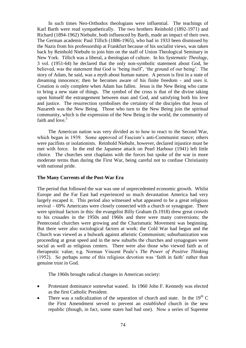In such times Neo-Orthodox theologians were influential. The teachings of Karl Barth were read sympathetically. The two brothers Reinhold (1892-1971) and Richard (1894-1962) Niebuhr, both influenced by Barth, made an impact of their own. The German academic Paul Tillich (1886-1965), who had in 1933 been dismissed by the Nazis from his professorship at Frankfurt because of his socialist views, was taken back by Reinhold Niebuhr to join him on the staff of Union Theological Seminary in New York. Tillich was a liberal, a theologian of culture. In his *Systematic Theology*, 3 vol. (1951-64) he declared that the only non-symbolic statement about God, he believed, was the statement that God is 'being itself', 'the ground of our being'. The story of Adam, he said, was a myth about human nature. A person is first in a state of dreaming innocence; then he becomes aware of his finite freedom - and uses it. Creation is only complete when Adam has fallen. Jesus is the New Being who came to bring a new state of things. The symbol of the cross is that of the divine taking upon himself the estrangement between man and God, and satisfying both his love and justice. The resurrection symbolises the certainty of the disciples that Jesus of Nazareth was the New Being. Those who turn to the New Being join the spiritual community, which is the expression of the New Being in the world, the community of faith and love.<sup>5</sup>

The American nation was very divided as to how to react to the Second War, which began in 1939. Some approved of Fascism's anti-Communist stance; others were pacifists or isolationists. Reinhold Niebuhr, however, declared injustice must be met with force. In the end the Japanese attack on Pearl Harbour (1941) left little choice. The churches sent chaplains with the forces but spoke of the war in more moderate terms than during the First War, being careful not to confuse Christianity with national pride.

### **The Many Currents of the Post-War Era**

The period that followed the war was one of unprecedented economic growth. Whilst Europe and the Far East had experienced so much devastation America had very largely escaped it. This period also witnessed what appeared to be a great religious revival – 69% Americans were closely connected with a church or synagogue. There were spiritual factors in this: the evangelist Billy Graham (b.1918) drew great crowds to his crusades in the 1950s and 1960s and there were many conversions; the Pentecostal churches were growing and the Charismatic Movement was beginning. But there were also sociological factors at work: the Cold War had begun and the Church was viewed as a bulwark against atheistic Communism; suburbanization was proceeding at great speed and in the new suburbs the churches and synagogues were social as well as religious centers. There were also those who viewed faith as of therapeutic value, e.g. Norman Vincent Peale's *The Power of Positive Thinking*  (1952). So perhaps some of this religious devotion was 'faith in faith' rather than genuine trust in God.

The 1960s brought radical changes in American society:

- Protestant dominance somewhat waned. In 1960 John F. Kennedy was elected as the first Catholic President.
- There was a radicalization of the separation of church and state. In the  $19<sup>th</sup>$  C the First Amendment served to prevent an *established* church in the new republic (though, in fact, some states had had one). Now a series of Supreme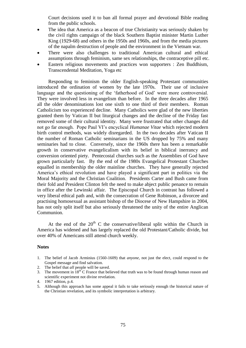Court decisions used it to ban all formal prayer and devotional Bible reading from the public schools.

- The idea that America as a beacon of true Christianity was seriously shaken by the civil rights campaign of the black Southern Baptist minister Martin Luther King (1929-68) and others in the 1950s and 1960s, and from the media pictures of the napalm destruction of people and the environment in the Vietnam war.
- There were also challenges to traditional American cultural and ethical assumptions through feminism, same sex relationships, the contraceptive pill etc.
- Eastern religious movements and practices won supporters : Zen Buddhism, Transcendental Meditation, Yoga etc

Responding to feminism the older English-speaking Protestant communities introduced the ordination of women by the late 1970s. Their use of inclusive language and the questioning of the 'fatherhood of God' were more controversial. They were involved less in evangelism than before. In the three decades after 1965 all the older denominations lost one sixth to one third of their members. Roman Catholicism too experienced decline. Many Catholics were glad of the new liberties granted them by Vatican II but liturgical changes and the decline of the Friday fast removed some of their cultural identity. Many were frustrated that other changes did not go far enough. Pope Paul VI's encyclical *Humanae Vitae* which rejected modern birth control methods, was widely disregarded. In the two decades after Vatican II the number of Roman Catholic seminarians in the US dropped by 75% and many seminaries had to close. Conversely, since the 1960s there has been a remarkable growth in conservative evangelicalism with its belief in biblical inerrancy and conversion oriented piety. Pentecostal churches such as the Assemblies of God have grown particularly fast. By the end of the 1980s Evangelical Protestant Churches equalled in membership the older mainline churches. They have generally rejected America's ethical revolution and have played a significant part in politics via the Moral Majority and the Christian Coalition. Presidents Carter and Bush came from their fold and President Clinton felt the need to make abject public penance to remain in office after the Lewinski affair. The Episcopal Church in contrast has followed a very liberal ethical path and, with the consecration of Gene Robinson, a divorcee and practising homosexual as assistant bishop of the Diocese of New Hampshire in 2004, has not only split itself but also seriously threatened the unity of the entire Anglican Communion.

At the end of the  $20<sup>th</sup>$  C the conservative/liberal split within the Church in America has widened and has largely replaced the old Protestant/Catholic divide, but over 40% of Americans still attend church weekly.

#### **Notes**

- 1. The belief of Jacob Arminius (1560-1609) that *anyone*, not just the elect, could respond to the Gospel message and find salvation.
- 2. The belief that *all* people will be saved.
- 3. The movement in  $18^{th}$ C France that believed that truth was to be found through human reason and scientific experiment not divine revelation.
- 4. 1967 edition, p.4.
- 5. Although this approach has some appeal it fails to take seriously enough the historical nature of the Christian revelation, and its symbolic interpretation is arbitrary.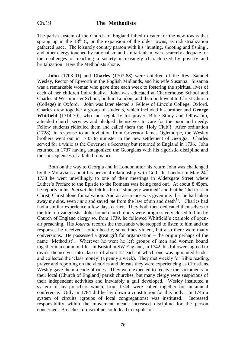The parish system of the Church of England failed to cater for the new towns that sprang up in the  $18<sup>th</sup>$  C, or the expansion of the older towns, as industrialization gathered pace. The leisurely country parson with his 'hunting, shooting and fishing', and other clergy touched by rationalism and Unitarianism, were scarcely adequate for the challenges of reaching a society increasingly characterized by poverty and brutalization. Here the Methodists shone.

**John** (1703-91) and **Charles** (1707-88) were children of the Rev. Samuel Wesley, Rector of Epworth in the English Midlands, and his wife Susanna. Susanna was a remarkable woman who gave time each week to fostering the spiritual lives of each of her children individually. John was educated at Charterhouse School and Charles at Westminster School, both in London, and then both went to Christ Church (College) in Oxford. John was later elected a Fellow of Lincoln College, Oxford. Charles drew together a group of students, which included his brother and **George Whitfield** (1714-70), who met regularly for prayer, Bible Study and fellowship, attended church services and pledged themselves to care for the poor and needy. Fellow students ridiculed them and called them the 'Holy Club'! After ordination (1728), in response to an invitation from Governor James Oglethorpe, the Wesley brothers went out in 1735 to minister in the new settlement of Georgia. Charles served for a while as the Governor's Secretary but returned to England in 1736. John returned in 1737 having antagonized the Georgians with his rigoristic discipline and the consequences of a failed romance.

Both on the way to Georgia and in London after his return John was challenged by the Moravians about his personal relationship with God. In London in May  $24<sup>th</sup>$ 1738 he went unwillingly to one of their meetings in Aldersgate Street where Luther's Preface to the Epistle to the Romans was being read out. At about 8.45pm, he reports in his *Journal*, he felt his heart 'strangely warmed' and that he 'did trust in Christ, Christ alone for salvation: And an assurance was given me, that he had taken away *my* sins, even *mine* and saved *me* from the law of sin and death<sup>1</sup>. Charles had had a similar experience a few days earlier. They both then dedicated themselves to the life of evangelists. John found church doors were progressively closed to him by Church of England clergy so, from 1739, he followed Whitfield's example of openair preaching. His *Journal* records the thousands who stopped to listen to him and the responses he received – often hostile, sometimes violent, but also there were many conversions. He possessed a great gift for organization – the origin perhaps of the name 'Methodist'. Wherever he went he left groups of men and women bound together in a common life. In Bristol in SW England, in 1742, his followers agreed to divide themselves into classes of about 12 each of which one was appointed leader and collected the 'class money' (a penny a week). They met weekly for Bible reading, prayer and reporting on the victories and defeats they were experiencing as Christians. Wesley gave them a code of rules. They were expected to receive the sacraments in their local (Church of England) parish churches, but many clergy were suspicious of their independent activities and inevitably a gulf developed. Wesley instituted a system of lay preachers which, from 1744, were called together for an annual conference. Only in 1784 did he lay down a constitution for this body. In 1746 a system of circuits (groups of local congregations) was instituted. Increased responsibility within the movement meant increased discipline for the person concerned. Breaches of discipline could lead to expulsion.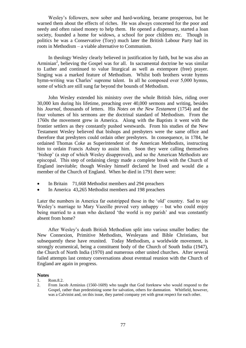Wesley's followers, now sober and hard-working, became prosperous, but he warned them about the effects of riches. He was always concerned for the poor and needy and often raised money to help them. He opened a dispensary, started a loan society, founded a home for widows, a school for poor children etc. Though in politics he was a Conservative (Tory) much later the British Labour Party had its roots in Methodism – a viable alternative to Communism.

In theology Wesley clearly believed in justification by faith, but he was also an Arminian<sup>2</sup>, believing the Gospel was for all. In sacramental doctrine he was similar to Luther and continued to value liturgical as well as extempore (free) prayer. Singing was a marked feature of Methodism. Whilst both brothers wrote hymns hymn-writing was Charles' supreme talent. In all he composed over 5,000 hymns, some of which are still sung far beyond the bounds of Methodism.

John Wesley extended his ministry over the whole British Isles, riding over 30,000 km during his lifetime, preaching over 40,000 sermons and writing, besides his *Journal*, thousands of letters. His *Notes on the New Testament* (1754) and the four volumes of his sermons are the doctrinal standard of Methodism. From the 1760s the movement grew in America. Along with the Baptists it went with the frontier settlers as they constantly pushed westwards. From his studies of the New Testament Wesley believed that bishops and presbyters were the same office and therefore that presbyters could ordain other presbyters. In consequence, in 1784, he ordained Thomas Coke as Superintendent of the American Methodists, instructing him to ordain Francis Asbury to assist him. Soon they were calling themselves 'bishop' (a step of which Wesley disapproved), and so the American Methodists are episcopal. This step of ordaining clergy made a complete break with the Church of England inevitable; though Wesley himself declared he lived and would die a member of the Church of England. When he died in 1791 there were:

- In Britain 71,668 Methodist members and 294 preachers
- In America 43,265 Methodist members and 198 preachers

Later the numbers in America far outstripped those in the 'old' country. Sad to say Wesley's marriage to Mary Vazeille proved very unhappy – but who could enjoy being married to a man who declared 'the world is my parish' and was constantly absent from home?

After Wesley's death British Methodism split into various smaller bodies: the New Connexion, Primitive Methodists, Wesleyans and Bible Christians, but subsequently these have reunited. Today Methodism, a worldwide movement, is strongly ecumenical, being a constituent body of the Church of South India (1947), the Church of North India (1970) and numerous other united churches. After several failed attempts last century conversations about eventual reunion with the Church of England are again in progress.

#### **Notes**

- 1. Rom.8.2.
- 2. From Jacob Arminius (1560-1609) who taught that God foreknew who would respond to the Gospel, rather than predestining some for salvation, others for damnation. Whitfield, however, was a Calvinist and, on this issue, they parted company yet with great respect for each other.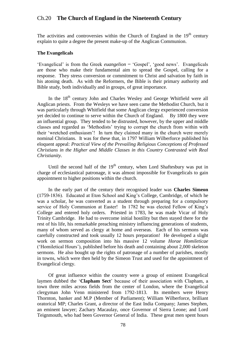# Ch.20 **The Church of England in the Nineteenth Century**

The activities and controversies within the Church of England in the  $19<sup>th</sup>$  century explain to quite a degree the present make-up of the Anglican Communion.

### **The Evangelicals**

'Evangelical' is from the Greek *euangelion* = 'Gospel', 'good news'. Evangelicals are those who make their fundamental aim to spread the Gospel, calling for a response. They stress conversion or commitment to Christ and salvation by faith in his atoning death. As with the Reformers, the Bible is their primary authority and Bible study, both individually and in groups, of great importance.

In the 18<sup>th</sup> century John and Charles Wesley and George Whitfield were all Anglican priests. From the Wesleys we have seen came the Methodist Church, but it was particularly through Whitfield that some Anglican clergy experienced conversion yet decided to continue to serve within the Church of England. By 1800 they were an influential group. They tended to be distrusted, however, by the upper and middle classes and regarded as 'Methodists' trying to corrupt the church from within with their 'wretched enthusiasm'! In turn they claimed many in the church were merely nominal Christians. It was for these that, in 1797 William Wilberforce published his eloquent appeal: *Practical View of the Prevailing Religious Conceptions of Professed Christians in the Higher and Middle Classes in this Country Contrasted with Real Christianity.*

Until the second half of the  $19<sup>th</sup>$  century, when Lord Shaftesbury was put in charge of ecclesiastical patronage, it was almost impossible for Evangelicals to gain appointment to higher positions within the church.

In the early part of the century their recognised leader was **Charles Simeon**  (1759-1836). Educated at Eton School and King's College, Cambridge, of which he was a scholar, he was converted as a student through preparing for a compulsory service of Holy Communion at Easter! In 1782 he was elected Fellow of King's College and entered holy orders. Priested in 1783, he was made Vicar of Holy Trinity Cambridge. He had to overcome initial hostility but then stayed there for the rest of his life, his remarkable preaching ministry influencing generations of students, many of whom served as clergy at home and overseas. Each of his sermons was carefully constructed and took usually 12 hours preparation! He developed a slight work on sermon composition into his massive 12 volume *Horae Homileticae* ('Homiletical Hours')*,* published before his death and containing about 2,000 skeleton sermons. He also bought up the rights of patronage of a number of parishes, mostly in towns, which were then held by the Simeon Trust and used for the appointment of Evangelical clergy.

Of great influence within the country were a group of eminent Evangelical laymen dubbed the '**Clapham Sect**' because of their association with Clapham, a town three miles across fields from the center of London, where the Evangelical clergyman John Venn ministered from 1792-1813. Its members were Henry Thornton, banker and M.P (Member of Parliament); William Wilberforce, brilliant oratorical MP; Charles Grant, a director of the East India Company; James Stephen, an eminent lawyer; Zachary Macaulay, once Governor of Sierra Leone; and Lord Teignmouth, who had been Governor General of India. These great men spent hours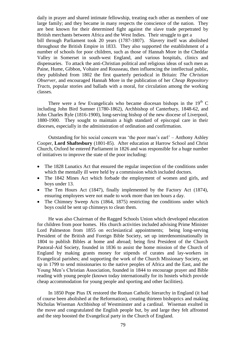daily in prayer and shared intimate fellowship, treating each other as members of one large family; and they became in many respects the conscience of the nation. They are best known for their determined fight against the slave trade perpetrated by British merchants between Africa and the West Indies. Their struggle to get a bill through Parliament took 20 years (1787-1807). Slavery itself was abolished throughout the British Empire in 1833. They also supported the establishment of a number of schools for poor children, such as those of Hannah More in the Cheddar Valley in Somerset in south-west England, and various hospitals, clinics and dispensaries. To attack the anti-Christian political and religious ideas of such men as Paine, Hume, Gibbon, Voltaire and Rousseau, then influencing the intellectual public, they published from 1802 the first quarterly periodical in Britain: *The Christian Observer,* and encouraged Hannah More in the publication of her *Cheap Repository Tracts,* popular stories and ballads with a moral, for circulation among the working classes.

There were a few Evangelicals who became diocesan bishops in the  $19<sup>th</sup>$  C including John Bird Sumner (1780-1862), Archbishop of Canterbury, 1848-62, and John Charles Ryle (1816-1900), long-serving bishop of the new diocese of Liverpool, 1880-1900. They sought to maintain a high standard of episcopal care in their dioceses, especially in the administration of ordination and confirmation.

Outstanding for his social concern was 'the poor man's earl' – Anthony Ashley Cooper, **Lord Shaftesbury** (1801-85). After education at Harrow School and Christ Church, Oxford he entered Parliament in 1826 and was responsible for a huge number of initiatives to improve the state of the poor including:

- The 1828 Lunatics Act that ensured the regular inspection of the conditions under which the mentally ill were held by a commission which included doctors.
- The 1842 Mines Act which forbade the employment of women and girls, and boys under 13.
- The Ten Hours Act (1847), finally implemented by the Factory Act (1874), ensuring employees were not made to work more than ten hours a day.
- The Chimney Sweep Acts (1864, 1875) restricting the conditions under which boys could be sent up chimneys to clean them.

He was also Chairman of the Ragged Schools Union which developed education for children from poor homes. His church activities included advising Prime Minister Lord Palmeston from 1855 on ecclesiastical appointments; being long-serving President of the British and Foreign Bible Society, set up interdenominationally in 1804 to publish Bibles at home and abroad; being first President of the Church Pastoral-Aid Society, founded in 1836 to assist the home mission of the Church of England by making grants money for stipends of curates and lay-workers in Evangelical parishes; and supporting the work of the Church Missionary Society, set up in 1799 to send missionaries to the native peoples of Africa and the East, and the Young Men's Christian Association, founded in 1844 to encourage prayer and Bible reading with young people (known today internationally for its hostels which provide cheap accommodation for young people and sporting and other facilities).

In 1850 Pope Pius IX restored the Roman Catholic hierarchy in England (it had of course been abolished at the Reformation), creating thirteen bishoprics and making Nicholas Wiseman Archbishop of Westminster and a cardinal. Wiseman exulted in the move and congratulated the English people but, by and large they felt affronted and the step boosted the Evangelical party in the Church of England.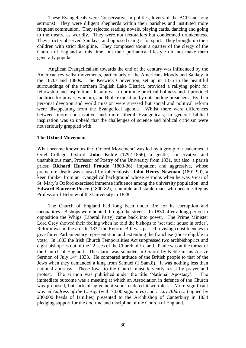These Evangelicals were Conservative in politics, lovers of the BCP and long sermons! They were diligent shepherds within their parishes and instituted more frequent communion. They rejected reading novels, playing cards, dancing and going to the theatre as worldly. They were not teetotallers but condemned drunkenness. They strictly observed Sundays, and opposed using it for sport. They brought up their children with strict discipline. They composed about a quarter of the clergy of the Church of England at this time, but their puritanical lifestyle did not make them generally popular.

Anglican Evangelicalism towards the end of the century was influenced by the American revivalist movements, particularly of the Americans Moody and Sankey in the 1870s and 1880s. The Keswick Convention, set up in 1875 in the beautiful surroundings of the northern English Lake District, provided a rallying point for fellowship and inspiration. Its aim was to promote practical holiness and it provided facilities for prayer, worship, and Bible exposition by outstanding preachers. By then personal devotion and world mission were stressed but social and political reform were disappearing from the Evangelical agenda. Whilst there were differences between more conservative and more liberal Evangelicals, in general biblical inspiration was so upheld that the challenges of science and biblical criticism were not seriously grappled with.

#### **The Oxford Movement**

What became known as the 'Oxford Movement' was led by a group of academics at Oriel College, Oxford: **John Keble** (1792-1866), a gentle, conservative and unambitious man, Professor of Poetry of the University from 1831, but also a parish priest; **Richard Hurrell Froude** (1803-36), impatient and aggressive, whose premature death was caused by tuberculosis; **John Henry Newman** (1801-90), a keen thinker from an Evangelical background whose sermons when he was Vicar of St. Mary's Oxford exercised immense influence among the university population; and **Edward Bouverie Pusey** (1800-82), a humble and stable man, who became Regius Professor of Hebrew of the University in 1828.

The Church of England had long been under fire for its corruption and inequalities. Bishops were hooted through the streets. In 1830 after a long period in opposition the Whigs (Liberal Party) came back into power. The Prime Minister Lord Grey showed their feeling when he told the bishops to 'set their house in order'. Reform was in the air. In 1832 the Reform Bill was passed revising constituencies to give fairer Parliamentary representation and extending the franchise (those eligible to vote). In 1833 the Irish Church Temporalities Act suppressed two archbishoprics and eight bishoprics out of the 22 sees of the Church of Ireland. Panic was at the throat of the Church of England. The alarm was sounded in Oxford by Keble in his Assize Sermon of July  $14^{\text{th}}$  1833. He compared attitude of the British people to that of the Jews when they demanded a king from Samuel (1 Sam.8). It was nothing less than national apostasy. Those loyal to the Church must fervently resist by prayer and protest. The sermon was published under the title 'National Apostasy'. The immediate outcome was a meeting at which an Association in defence of the Church was proposed, but lack of agreement soon rendered it worthless. More significant was an *Address of the Clergy* (with 7,000 signatures) and a *Lay Address* (signed by 230,000 heads of families) presented to the Archbishop of Canterbury in 1834 pledging support for the doctrine and discipline of the Church of England.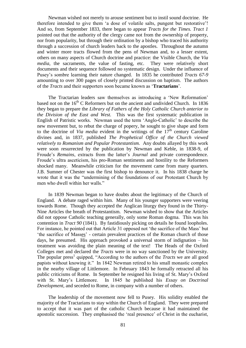Newman wished not merely to arouse sentiment but to instil sound doctrine. He therefore intended to give them 'a dose of volatile salts, pungent but restorative'! And so, from September 1833, there began to appear *Tracts for the Times. Tract 1*  pointed out that the authority of the clergy came not from the ownership of property, nor from popularity, but through their ordination by a bishop who traced his authority through a succession of church leaders back to the apostles. Throughout the autumn and winter more tracts flowed from the pens of Newman and, to a lesser extent, others on many aspects of Church doctrine and practice: the Visible Church, the *Via media*, the sacraments, the value of fasting, etc. They were relatively short documents and their sequence followed no systematic design. Under the influence of Pusey's sombre learning their nature changed. In 1835 he contributed *Tracts 67-9* amounting to over 300 pages of closely printed discussion on baptism. The authors of the *Tracts* and their supporters soon became known as '**Tractarians**'.

The Tractarian leaders saw themselves as introducing a 'New Reformation' based not on the  $16<sup>th</sup>$  C Reformers but on the ancient and undivided Church. In 1836 they began to prepare the *Library of Fathers of the Holy Catholic Church anterior to the Division of the East and West.* This was the first systematic publication in English of Patristic works. Newman used the term 'Anglo-Catholic' to describe the new movement but, to rebut the charge of popery, he sought to give shape and form to the doctrine of *Via media* evident in the writings of the  $17<sup>th</sup>$  century Caroline divines and, in 1837, published *The Prophetical Office of the Church viewed relatively to Romanism and Popular Protestantism.* Any doubts allayed by this work were soon resurrected by the publication by Newman and Keble, in 1838-9, of Froude's *Remains*, extracts from the latter's *Journal* and private correspondence. Froude's ultra asceticism, his pro-Roman sentiments and hostility to the Reformers shocked many. Meanwhile criticism for the movement came from many quarters. J.B. Sumner of Chester was the first bishop to denounce it. In his 1838 charge he wrote that it was the "undermining of the foundations of our Protestant Church by men who dwell within her walls."

In 1839 Newman began to have doubts about the legitimacy of the Church of England. A debate raged within him. Many of his younger supporters were veering towards Rome. Though they accepted the Anglican liturgy they found in the Thirty-Nine Articles the breath of Protestantism. Newman wished to show that the Articles did not oppose Catholic teaching generally, only some Roman dogma. This was his contention in *Tract 90* (1841). By fastidiously picking on details he found loopholes. For instance, he pointed out that Article 31 opposed not 'the sacrifice of the Mass' but 'the sacrifice of Masses' - certain prevalent practices of the Roman church of those days, he presumed. His approach provoked a universal storm of indignation – his treatment was avoiding the plain meaning of the text! The Heads of the Oxford Colleges met and declared the *Tracts* were in no way sanctioned by the University. The popular press<sup>1</sup> quipped, "According to the authors of the *Tracts* we are all good papists without knowing it." In 1842 Newman retired to his small monastic complex in the nearby village of Littlemore. In February 1843 he formally retracted all his public criticisms of Rome. In September he resigned his living of St. Mary's Oxford with St. Mary's Littlemore. In 1845 he published his *Essay on Doctrinal Development,* and seceded to Rome, in company with a number of others.

The leadership of the movement now fell to Pusey. His solidity enabled the majority of the Tractarians to stay within the Church of England. They were prepared to accept that it was part of the catholic Church because it had maintained the apostolic succession. They emphasised the 'real presence' of Christ in the eucharist,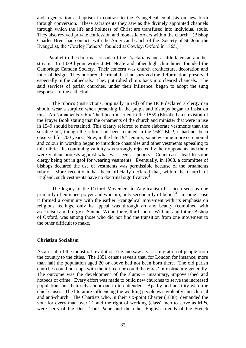and regeneration at baptism in contrast to the Evangelical emphasis on new birth through conversion. These sacraments they saw as the divinely appointed channels through which the life and holiness of Christ are transfused into individual souls. They also revived private confession and monastic orders within the church. (Bishop Charles Brent had contacts with the American branch of the Society of St. John the Evangelist, the 'Cowley Fathers', founded at Cowley, Oxford in 1865.)

Parallel to the doctrinal crusade of the Tractarians and a little later ran another stream. In 1839 hymn writer J..M. Neale and other high churchmen founded the Cambridge Camden Society. Their concern was church architecture, decoration and internal design. They nurtured the ritual that had survived the Reformation, preserved especially in the cathedrals. They put robed choirs back into cleared chancels. The said services of parish churches, under their influence, began to adopt the sung responses of the cathedrals.

The rubrics (instructions, originally in red) of the BCP declared a clergyman should wear a surplice when preaching in the pulpit and bishops began to insist on this. An 'ornaments rubric' had been inserted in the 1559 (Elizabethan) revision of the Prayer Book stating that the ornaments of the church and minister that were in use in 1549 should be retained. This clearly referred to more elaborate vestments than the surplice but, though the rubric had been retained in the 1662 BCP, it had not been observed for 200 years. Now, in the late  $19<sup>th</sup>$  century, some wishing more ceremonial and colour in worship began to introduce chasubles and other vestments appealing to this rubric. Its continuing validity was strongly rejected by their opponents and there were violent protests against what was seen as popery. Court cases lead to some clergy being put in gaol for wearing vestments. Eventually, in 1908, a committee of bishops declared the use of vestments was permissible because of the ornaments rubric. More recently it has been officially declared that, within the Church of England, such vestments have no doctrinal significance.<sup>2</sup>

The legacy of the Oxford Movement to Anglicanism has been seen as one primarily of enriched prayer and worship, only secondarily of belief. $3$  In some sense it formed a continuity with the earlier Evangelical movement with its emphasis on religious feelings, only its appeal was through art and beauty (combined with asceticism and liturgy). Samuel Wilberforce, third son of William and future Bishop of Oxford, was among those who did not find the transition from one movement to the other difficult to make.

### **Christian Socialism**

As a result of the industrial revolution England saw a vast emigration of people from the country to the cities. The 1851 census reveals that, for London for instance, more than half the population aged 20 or above had not been born there. The old parish churches could not cope with the influx, nor could the cities' infrastructure generally. The outcome was the development of the slums – unsanitary, impoverished and hotbeds of crime. Every effort was made to build new churches to serve the increased population, but then only about one in ten attended. Apathy and hostility were the chief causes. The literature influencing the working people was violently anti-clerical and anti-church. The Chartists who, in their six-point Charter (1838), demanded the vote for every man over 21 and the right of working (class) men to serve as MPs, were heirs of the Deist Tom Paine and the other English friends of the French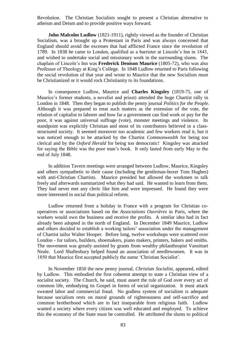Revolution. The Christian Socialists sought to present a Christian alternative to atheism and Deism and to provide positive ways forward.

**John Malcolm Ludlow** (1821-1911), rightly viewed as the founder of Christian Socialism, was a brought up a Protestant in Paris and was always concerned that England should avoid the excesses that had afflicted France since the revolution of 1789. In 1838 he came to London, qualified as a barrister at Lincoln's Inn in 1843, and wished to undertake social and missionary work in the surrounding slums. The chaplain of Lincoln's Inn was **Frederick Denison Maurice** (1805-72), who was also Professor of Theology at King's College. In 1848 Ludlow returned to Paris following the social revolution of that year and wrote to Maurice that the new Socialism must be Christianized or it would rock Christianity to its foundations.

In consequence Ludlow, Maurice and **Charles Kingsley** (1819-75, one of Maurice's former students, a novelist and priest) attended the huge Chartist rally in London in 1848. Then they began to publish the penny journal *Politics for the People.*  Although it was prepared to treat such matters as the extension of the vote, the relation of capitalist to laborer and how far a government can find work or pay for the poor, it was against universal suffrage (vote), monster meetings and violence. Its standpoint was explicitly Christian and most of its contributors believed in a classstructured society. It seemed moreover too academic and few workers read it, but it was noticed enough to be attacked by the Chartist *Commonwealth* for being too clerical and by the *Oxford Herald* for being too democratic! Kingsley was attacked for saying the Bible was the poor man's book. It only lasted from early May to the end of July 1848.

In addition Tavern meetings were arranged between Ludlow, Maurice, Kingsley and others sympathetic to their cause (including the gentleman-boxer Tom Hughes) with anti-Christian Chartists. Maurice presided but allowed the workmen to talk freely and afterwards summarized what they had said. He wanted to learn from them. They had never met any cleric like him and were impressed. He found they were more interested in social than political reform.

Ludlow returned from a holiday in France with a program for Christian cooperatives or associations based on the *Associations Ouvrières* in Paris, where the workers would own the business and receive the profits. A similar idea had in fact already been adopted in the north of England. In December 1849 Maurice, Ludlow and others decided to establish a working tailors' association under the management of Chartist tailor Walter Hooper. Before long, twelve workshops were scattered over London - for tailors, builders, shoemakers, piano makers, printers, bakers and smiths. The movement was greatly assisted by grants from wealthy philanthropist Vansittart Neale. Lord Shaftesbury helped found an association of needlewomen. It was in 1850 that Maurice first accepted publicly the name 'Christian Socialist'.

In November 1850 the new penny journal, *Christian Socialist,* appeared, edited by Ludlow. This embodied the first coherent attempt to state a Christian view of a socialist society. The Church, he said, must assert the rule of God over every act of common life, embodying its Gospel in forms of social organization. It must attack sweated labor and commercial fraud. No godless system of socialism is adequate because socialism rests on moral grounds of righteousness and self-sacrifice and common brotherhood which are in fact inseparable from religious faith. Ludlow wanted a society where every citizen was well educated and employed. To achieve this the economy of the State must be controlled. He attributed the slums to political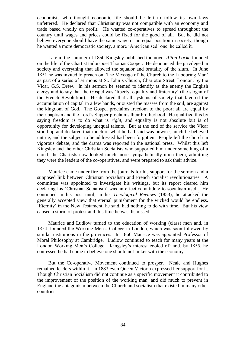economists who thought economic life should be left to follow its own laws unfettered. He declared that Christianity was not compatible with an economy and trade based wholly on profit. He wanted co-operatives to spread throughout the country until wages and prices could be fixed for the good of all. But he did not believe everyone should have the same wage or an equal position in society, though he wanted a more democratic society, a more 'Americanised' one, he called it.

Late in the summer of 1850 Kingsley published the novel *Alton Locke* founded on the life of the Chartist tailor-poet Thomas Cooper. He denounced the privileged in society and everything that allowed the squalor and brutality of the slum. In June 1851 he was invited to preach on 'The Message of the Church to the Labouring Man' as part of a series of sermons at St. John's Church, Charlotte Street, London, by the Vicar, G.S. Drew. In his sermon he seemed to identify as the enemy the English clergy and to say that the Gospel was 'liberty, equality and fraternity' (the slogan of the French Revolution). He declared that all systems of society that favored the accumulation of capital in a few hands, or ousted the masses from the soil, are against the kingdom of God. The Gospel proclaims freedom to the poor; all are equal by their baptism and the Lord's Supper proclaims their brotherhood. He qualified this by saying freedom is to do what is *right,* and equality is not absolute but is of opportunity for developing unequal talents. But at the end of the service the Vicar stood up and declared that much of what he had said was unwise, much he believed untrue, and the subject to be addressed had been forgotten. People left the church in vigorous debate, and the drama was reported in the national press. Whilst this left Kingsley and the other Christian Socialists who supported him under something of a cloud, the Chartists now looked much more sympathetically upon them, admitting they were the leaders of the co-operatives, and were prepared to ask their advice.

Maurice came under fire from the journals for his support for the sermon and a supposed link between Christian Socialism and French socialist revolutionaries. A committee was appointed to investigate his writings, but its report cleared him declaring his 'Christian Socialism' was an effective antidote to socialism itself. He continued in his post until, in his *Theological Reviews* (1853), he attacked the generally accepted view that eternal punishment for the wicked would be endless. 'Eternity' in the New Testament, he said, had nothing to do with time. But his view caused a storm of protest and this time he was dismissed.

Maurice and Ludlow turned to the education of working (class) men and, in 1854, founded the Working Men's College in London, which was soon followed by similar institutions in the provinces. In 1866 Maurice was appointed Professor of Moral Philosophy at Cambridge. Ludlow continued to teach for many years at the London Working Men's College. Kingsley's interest cooled off and, by 1855, he confessed he had come to believe one should not tinker with the economy.

But the Co-operative Movement continued to prosper. Neale and Hughes remained leaders within it. In 1883 even Queen Victoria expressed her support for it. Though Christian Socialism did not continue as a specific movement it contributed to the improvement of the position of the working man, and did much to prevent in England the antagonism between the Church and socialism that existed in many other countries.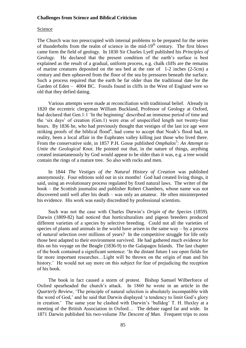## **Challenges from Science and Biblical Criticism**

#### Science

The Church was too preoccupied with internal problems to be prepared for the series of thunderbolts from the realm of science in the mid- $19<sup>th</sup>$  century. The first blows came form the field of geology. In 1830 Sir Charles Lyell published his *Principles of Geology*. He declared that the present condition of the earth's surface is best explained as the result of a gradual, uniform process, e.g. chalk cliffs are the remains of marine creatures deposited on the sea bed at the rate of 1-2 inches (2-5cm) a century and then upheaved from the floor of the sea by pressures beneath the surface. Such a process required that the earth be far older than the traditional date for the Garden of Eden – 4004 BC. Fossils found in cliffs in the West of England were so old that they defied dating.

Various attempts were made at reconciliation with traditional belief. Already in 1820 the eccentric clergyman William Buckland, Professor of Geology at Oxford, had declared that Gen.1:1 'In the beginning' described an immense period of time and the 'six days' of creation (Gen.1) were eras of unspecified length not twenty-four hours. By 1836 he, who had previously thought that vestiges of the last ice age were striking proofs of the biblical flood<sup>4</sup>, had come to accept that Noah's flood had, in reality, been a local affair in the Euphrates valley killing just those who lived there. From the conservative side, in 1857 P.H. Gosse published *Omphalos<sup>5</sup>*: An Attempt to *Untie the Geological Knot.* He pointed out that, in the nature of things, anything created instantaneously by God would appear to be older than it was, e.g. a tree would contain the rings of a mature tree. So also with rocks and men.

In 1844 *The Vestiges of the Natural History of Creation* was published anonymously. Four editions sold out in six months! God had created living things, it said, using an evolutionary process regulated by fixed natural laws. The writer of the book – the Scottish journalist and publisher Robert Chambers, whose name was not discovered until well after his death – was only an amateur. He often misinterpreted his evidence. His work was easily discredited by professional scientists.

Such was not the case with Charles Darwin's *Origin of the Species* (1859). Darwin (1809-82) had noticed that horticulturalists and pigeon breeders produced different varieties of a species by selective breeding. Could not all the varieties of species of plants and animals in the world have arisen in the same way – by a process of *natural* selection over millions of years? In the competitive struggle for life only those best adapted to their environment survived. He had gathered much evidence for this on his voyage on the Beagle (1836-9) to the Galapagos Islands. The last chapter of the book contained a significant sentence: 'In the distant future I see open fields for far more important researches…Light will be thrown on the origin of man and his history.' He would not say more on this subject for fear of prejudicing the reception of his book.

The book in fact caused a storm of protest. Bishop Samuel Wilberforce of Oxford spearheaded the church's attack. In 1860 he wrote in an article in the *Quarterly Review*, 'The principle of natural selection is absolutely incompatible with the word of God,' and he said that Darwin displayed 'a tendency to limit God's glory in creation.' The same year he clashed with Darwin's 'bulldog' T. H. Huxley at a meeting of the British Association in Oxford… The debate raged far and wide. In 1871 Darwin published his two-volume *The Descent of Man.* Frequent trips to zoos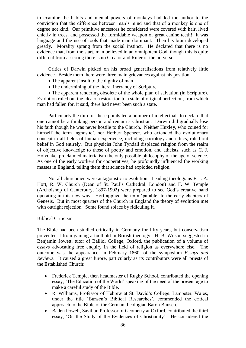to examine the habits and mental powers of monkeys had led the author to the conviction that the difference between man's mind and that of a monkey is one of degree not kind. Our primitive ancestors he considered were covered with hair, lived chiefly in trees, and possessed the formidable weapon of great canine teeth! It was language and the use of tools that made man dominant. Then his brain developed greatly. Morality sprang from the social instinct. He declared that there is no evidence that, from the start, man believed in an omnipotent God, though this is quite different from asserting there is no Creator and Ruler of the universe.

Critics of Darwin picked on his broad generalisations from relatively little evidence. Beside them there were three main grievances against his position:

- The apparent insult to the dignity of man
- The undermining of the literal inerrancy of Scripture

 The apparent rendering obsolete of the whole plan of salvation (in Scripture). Evolution ruled out the idea of restoration to a state of original perfection, from which man had fallen for, it said, there had never been such a state.

Particularly the third of these points led a number of intellectuals to declare that one cannot be a thinking person and remain a Christian. Darwin did gradually lose his faith though he was never hostile to the Church. Neither Huxley, who coined for himself the term 'agnostic', nor Herbert Spencer, who extended the evolutionary concept to all fields of human experience, including sociology and ethics, ruled out belief in God entirely. But physicist John Tyndall displaced religion from the realm of objective knowledge to those of poetry and emotion, and atheists, such as C. J. Holyoake, proclaimed materialism the only possible philosophy of the age of science. As one of the early workers for cooperatives, he profoundly influenced the working masses in England, telling them that science had exploded religion.

Not all churchmen were antagonistic to evolution. Leading theologians F. J. A. Hort, R. W. Church (Dean of St. Paul's Cathedral, London) and F. W. Temple (Archbishop of Canterbury, 1897-1902) were prepared to see God's creative hand operating in this new way. Hort applied the term 'parable' to the early chapters of Genesis. But in most quarters of the Church in England the theory of evolution met with outright rejection. Some found solace by ridiculing it.

### Biblical Criticism

The Bible had been studied critically in Germany for fifty years, but conservatism prevented it from gaining a foothold in British theology. H. B. Wilson suggested to Benjamin Jowett, tutor of Balliol College, Oxford, the publication of a volume of essays advocating free enquiry in the field of religion as everywhere else. The outcome was the appearance, in February 1860, of the symposium *Essays and Reviews.* It caused a great furore, particularly as its contributors were all priests of the Established Church:

- Frederick Temple, then headmaster of Rugby School, contributed the opening essay, 'The Education of the World' speaking of the need of the present age to make a careful study of the Bible.
- R. Williams, Professor of Hebrew at St. David's College, Lampeter, Wales, under the title 'Bunsen's Biblical Researches', commended the critical approach to the Bible of the German theologian Baron Bunsen.
- Baden Powell, Savilian Professor of Geometry at Oxford, contributed the third essay, 'On the Study of the Evidences of Christianity'. He considered the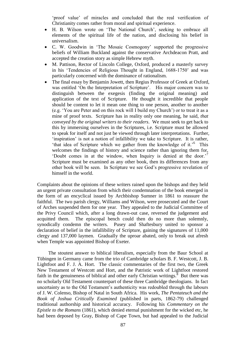'proof value' of miracles and concluded that the real verification of Christianity comes rather from moral and spiritual experience.

- H. B. Wilson wrote on 'The National Church', seeking to embrace all elements of the spiritual life of the nation, and disclosing his belief in universalism.
- C. W. Goodwin in 'The Mosaic Cosmogony' supported the progressive beliefs of William Buckland against the conservative Archdeacon Pratt, and accepted the creation story as simple Hebrew myth.
- M. Pattison, Rector of Lincoln College, Oxford, produced a masterly survey in his 'Tendencies of Religious Thought in England, 1688-1750' and was particularly concerned with the dominance of rationalism.
- The final essay by Benjamin Jowett, then Regius Professor of Greek at Oxford, was entitled 'On the Interpretation of Scripture'. His major concern was to distinguish between the exegesis (finding the original meaning) and application of the text of Scripture. He thought it incredible that people should be content to let it mean one thing to one person, another to another (e.g. 'You are Peter and on this rock will I build my Church') or to treat it as a mine of proof texts. Scripture has in reality only one meaning, he said, *that conveyed by the original writers to their readers*. We must seek to get back to this by immersing ourselves in the Scriptures, i.e. Scripture must be allowed to speak for itself and not just be viewed through later interpretations. Further, 'inspiration' is not a notion of infallibility we take to Scripture. It is rather, 'that idea of Scripture which we gather from the knowledge of it.'<sup>6</sup> This welcomes the findings of history and science rather than ignoring them for, 'Doubt comes in at the window, when Inquiry is denied at the door.'<sup>7</sup> Scripture must be examined as any other book, then its differences from any other book will be seen. In Scripture we see God's progressive revelation of himself in the world.

Complaints about the opinions of these writers rained upon the bishops and they held an urgent private consultation from which their condemnation of the book emerged in the form of an encyclical issued by Archbishop Sumner in 1861 to reassure the faithful. The two parish clergy, Williams and Wilson, were prosecuted and the Court of Arches suspended them for one year. They appealed to the Judicial Committee of the Privy Council which, after a long drawn-out case, reversed the judgement and acquitted them. The episcopal bench could then do no more than solemnly, synodically condemn the writers. Pusey and Shaftesbury united to sponsor a declaration of belief in the infallibility of Scripture, gaining the signatures of 11,000 clergy and 137,000 laymen. Gradually the uproar abated, only to break out afresh when Temple was appointed Bishop of Exeter.

The stoutest answer to biblical liberalism, especially from the Baur School at Tübingen in Germany came from the trio of Cambridge scholars B. F. Westcott, J. B. Lightfoot and F. J. A. Hort. The classic commentaries of the first two, the Greek New Testament of Westcott and Hort, and the Patristic work of Lightfoot restored faith in the genuineness of biblical and other early Christian writings. $8$  But there was no scholarly Old Testament counterpart of these three Cambridge theologians. In fact uncertainty as to the Old Testament's authenticity was redoubled through the labours of J. W. Colenso, Bishop of Natal in South Africa. His work, *The Pentateuch and the Book of Joshua Critically Examined* (published in parts, 1862-79) challenged traditional authorship and historical accuracy. Following his *Commentary on the Epistle to the Romans* (1861), which denied eternal punishment for the wicked etc, he had been deposed by Gray, Bishop of Cape Town, but had appealed to the Judicial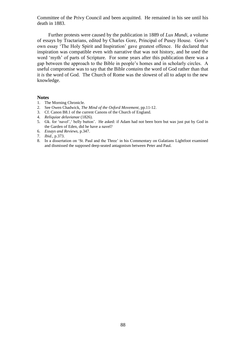Committee of the Privy Council and been acquitted. He remained in his see until his death in 1883.

Further protests were caused by the publication in 1889 of *Lux Mundi*, a volume of essays by Tractarians, edited by Charles Gore, Principal of Pusey House. Gore's own essay 'The Holy Spirit and Inspiration' gave greatest offence. He declared that inspiration was compatible even with narrative that was not history, and he used the word 'myth' of parts of Scripture. For some years after this publication there was a gap between the approach to the Bible in people's homes and in scholarly circles. A useful compromise was to say that the Bible *contains* the word of God rather than that it *is* the word of God. The Church of Rome was the slowest of all to adapt to the new knowledge.

#### **Notes**

- 1. The Morning Chronicle.
- 2. See Owen Chadwick, *The Mind of the Oxford Movement*, pp.11-12.
- 3. Cf. Canon B8.1 of the current Canons of the Church of England.
- 4. *Reliquiae deluvianae* (1826).
- 5. Gk. for 'navel',' belly button'. He asked: if Adam had not been born but was just put by God in the Garden of Eden, did he have a navel?
- 6. *Essays and Reviews,* p.347.
- 7. *Ibid.,* p.373.
- 8. In a dissertation on 'St. Paul and the Three' in his Commentary on Galatians Lightfoot examined and dismissed the supposed deep-seated antagonism between Peter and Paul.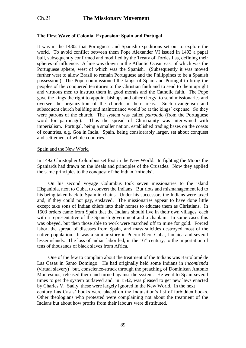# **The First Wave of Colonial Expansion: Spain and Portugal**

It was in the 1480s that Portuguese and Spanish expeditions set out to explore the world. To avoid conflict between them Pope Alexander VI issued in 1493 a papal bull, subsequently confirmed and modified by the Treaty of Tordesillas, defining their spheres of influence. A line was drawn in the Atlantic Ocean east of which was the Portuguese sphere, west of which was the Spanish. (Subsequently it was moved further west to allow Brazil to remain Portuguese and the Philippines to be a Spanish possession.) The Pope commissioned the kings of Spain and Portugal to bring the peoples of the conquered territories to the Christian faith and to send to them upright and virtuous men to instruct them in good morals and the Catholic faith. The Pope gave the kings the right to appoint bishops and other clergy, to send missionaries and oversee the organization of the church in their areas. Such evangelism and subsequent church building and maintenance would be at the kings' expense. So they were patrons of the church. The system was called *patroado* (from the Portuguese word for patronage). Thus the spread of Christianity was intertwined with imperialism. Portugal, being a smaller nation, established trading bases on the coasts of countries, e.g. Goa in India. Spain, being considerably larger, set about conquest and settlement of whole countries.

### Spain and the New World

In 1492 Christopher Columbus set foot in the New World. In fighting the Moors the Spaniards had drawn on the ideals and principles of the Crusades. Now they applied the same principles to the conquest of the Indian 'infidels'.

On his second voyage Columbus took seven missionaries to the island Hispaniola, next to Cuba, to convert the Indians. But riots and mismanagement led to his being taken back to Spain in chains. Under his successors the Indians were taxed and, if they could not pay, enslaved. The missionaries appear to have done little except take sons of Indian chiefs into their homes to educate them as Christians. In 1503 orders came from Spain that the Indians should live in their own villages, each with a representative of the Spanish government and a chaplain. In some cases this was obeyed, but then those able to work were marched off to mine for gold. Forced labor, the spread of diseases from Spain, and mass suicides destroyed most of the native population. It was a similar story in Puerto Rico, Cuba, Jamaica and several lesser islands. The loss of Indian labor led, in the  $16<sup>th</sup>$  century, to the importation of tens of thousands of black slaves from Africa.

One of the few to complain about the treatment of the Indians was Bartolomé de Las Casas in Santo Domingo. He had originally held some Indians in *incomienda*  $(virtual slavery)$ <sup>1</sup> but, conscience-struck through the preaching of Dominican Antonio Montesinos, released them and turned against the system. He went to Spain several times to get the system outlawed and, in 1542, was pleased to get new laws enacted by Charles V. Sadly, these were largely ignored in the New World. In the next century Las Casas' books were placed on the Inquisition's list of forbidden books. Other theologians who protested were complaining not about the treatment of the Indians but about how profits from their labours were distributed.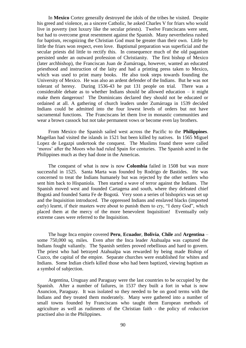In **Mexico** Cortez generally destroyed the idols of the tribes he visited. Despite his greed and violence, as a sincere Catholic, he asked Charles V for friars who would live in poverty (not luxury like the secular priests). Twelve Franciscans were sent, but had to overcome great resentment against the Spanish. Many nevertheless rushed for baptism, recognizing the Christian God must be greater than their own. Little by little the friars won respect, even love. Baptismal preparation was superficial and the secular priests did little to rectify this. In consequence much of the old paganism persisted under an outward profession of Christianity. The first bishop of Mexico (later archbishop), the Franciscan Juan de Zumárraga, however, wanted an educated priesthood and instruction of the laity and had a printing press taken to Mexico, which was used to print many books. He also took steps towards founding the University of Mexico. He was also an ardent defender of the Indians. But he was not tolerant of heresy. During 1536-43 he put 131 people on trial. There was a considerable debate as to whether Indians should be allowed education – it might make them dangerous! The Dominicans declared they should not be educated or ordained at all. A gathering of church leaders under Zumárraga in 1539 decided Indians could be admitted into the four lowest levels of orders but not have sacramental functions. The Franciscans let them live in monastic communities and wear a brown cassock but not take permanent vows or become even lay brothers.

From Mexico the Spanish sailed west across the Pacific to the **Philippines**. Magellan had visited the islands in 1521 but been killed by natives. In 1565 Miguel Lopez de Legazpi undertook the conquest. The Muslims found there were called 'moros' after the Moors who had ruled Spain for centuries. The Spanish acted in the Philippines much as they had done in the Americas.

The conquest of what is now is now **Colombia** failed in 1508 but was more successful in 1525. Santa Marta was founded by Rodrigo de Bastides. He was concerned to treat the Indians humanely but was rejected by the other settlers who sent him back to Hispaniola. Then started a wave of terror against the Indians. The Spanish moved west and founded Cartagena and south, where they defeated chief Bogotá and founded Santa Fe de Bogotá. Very soon a series of bishoprics was set up and the Inquisition introduced. The oppressed Indians and enslaved blacks (imported early) learnt, if their masters were about to punish them to cry, "I deny God", which placed them at the mercy of the more benevolent Inquisition! Eventually only extreme cases were referred to the Inquisition.

The huge Inca empire covered **Peru**, **Ecuador**, **Bolivia**, **Chile** and **Argentina** – some 750,000 sq. miles. Even after the Inca leader Atahualpa was captured the Indians fought valiantly. The Spanish settlers proved rebellious and hard to govern. The priest who had betrayed Atahualpa was rewarded by being made Bishop of Cuzco, the capital of the empire. Separate churches were established for whites and Indians. Some Indian chiefs killed those who had been baptized, viewing baptism as a symbol of subjection.

Argentina, Uruguay and Paraguay were the last countries to be occupied by the Spanish. After a number of failures, in 1537 they built a fort in what is now Asuncion, Paraguay. It was isolated so they needed to be on good terms with the Indians and they treated them moderately. Many were gathered into a number of small towns founded by Franciscans who taught them European methods of agriculture as well as rudiments of the Christian faith - the policy of *reduccion*  practised also in the Philippines.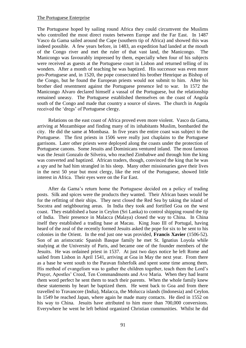### The Portuguese Enterprise

The Portuguese hoped by sailing round Africa they could circumvent the Muslims who controlled the most direct routes between Europe and the Far East. In 1487 Vasco da Gama sailed around the Cape (southern tip of Africa) and showed this was indeed possible. A few years before, in 1483, an expedition had landed at the mouth of the Congo river and met the ruler of that vast land, the Manicongo. The Manicongo was favourably impressed by them, especially when four of his subjects were received as guests at the Portuguese court in Lisbon and returned telling of its wonders. After a month of teaching he was baptized. His successor was even more pro-Portuguese and, in 1520, the pope consecrated his brother Henrique as Bishop of the Congo, but he found the European priests would not submit to him. After his brother died resentment against the Portuguese presence led to war. In 1572 the Manicongo Alvaro declared himself a vassal of the Portuguese, but the relationship remained uneasy. The Portuguese established themselves on the coast of Angola south of the Congo and made that country a source of slaves. The church in Angola received the 'dregs' of Portuguese clergy.

Relations on the east coast of Africa proved even more violent. Vasco da Gama, arriving at Mozambique and finding many of its inhabitants Muslim, bombarded the city. He did the same at Mombasa. In five years the entire coast was subject to the Portuguese. The first priests in 1506 were really just chaplains to the Portuguese garrisons. Later other priests were deployed along the coasts under the protection of Portuguese canons. Some Jesuits and Dominicans ventured inland. The most famous was the Jesuit Gonzalo de Silveira, who reached Zimbabwe and through him the king was converted and baptized. African traders, though, convinced the king that he was a spy and he had him strangled in his sleep. Many other missionaries gave their lives in the next 50 year but most clergy, like the rest of the Portuguese, showed little interest in Africa. Their eyes were on the Far East.

After da Gama's return home the Portuguese decided on a policy of trading posts. Silk and spices were the products they wanted. Their African bases would be for the refitting of their ships. They next closed the Red Sea by taking the island of Socotra and neighbouring areas. In India they took and fortified Goa on the west coast. They established a base in Ceylon (Sri Lanka) to control shipping round the tip of India. Their presence in Malacca (Malaya) closed the way to China. In China itself they established a trading base at Macau. King Joao III of Portugal, having heard of the zeal of the recently formed Jesuits asked the pope for six to be sent to his colonies in the Orient. In the end just one was provided, **Francis Xavier** (1506-52). Son of an aristocratic Spanish Basque family he met St. Ignatius Loyola while studying at the University of Paris, and became one of the founder members of the Jesuits. He was ordained priest in 1537. At just two days notice he left Rome and sailed from Lisbon in April 1541, arriving at Goa in May the next year. From there as a base he went south to the Paravan fisherfolk and spent some time among them. His method of evangelism was to gather the children together, teach them the Lord's Prayer, Apostles' Creed, Ten Commandments and Ave Maria. When they had learnt them word perfect he sent them to teach their parents. When the whole family knew these statements by heart he baptized them. He went back to Goa and from there travelled to Travancore (India), Malacca, the Molucca islands (Indonesia) and Ceylon. In 1549 he reached Japan, where again he made many contacts. He died in 1552 on his way to China. Jesuits have attributed to him more than 700,000 conversions. Everywhere he went he left behind organized Christian communities. Whilst he did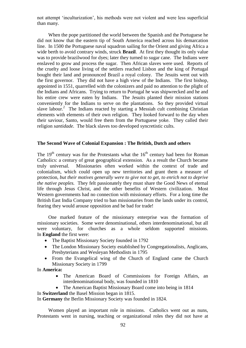not attempt 'inculturization', his methods were not violent and were less superficial than many.

When the pope partitioned the world between the Spanish and the Portuguese he did not know that the eastern tip of South America reached across his demarcation line. In 1500 the Portuguese naval squadron sailing for the Orient and giving Africa a wide berth to avoid contrary winds, struck **Brazil**. At first they thought its only value was to provide brazilwood for dyes; later they turned to sugar cane. The Indians were enslaved to grow and process the sugar. Then African slaves were used. Reports of the cruelty and loose living of the settlers reached Lisbon and the king of Portugal bought their land and pronounced Brazil a royal colony. The Jesuits went out with the first governor. They did not have a high view of the Indians. The first bishop, appointed in 1551, quarrelled with the colonizers and paid no attention to the plight of the Indians and Africans. Trying to return to Portugal he was shipwrecked and he and his entire crew were eaten by Indians. The Jesuits planted their mission stations conveniently for the Indians to serve on the plantations. So they provided virtual slave labour.<sup>2</sup> The Indians reacted by starting a Messiah cult combining Christian elements with elements of their own religion. They looked forward to the day when their saviour, Santo, would free them from the Portuguese yoke. They called their religion *santidade.* The black slaves too developed syncretistic cults.

### **The Second Wave of Colonial Expansion : The British, Dutch and others**

The  $19<sup>th</sup>$  century was for the Protestants what the  $16<sup>th</sup>$  century had been for Roman Catholics: a century of great geographical extension. As a result the Church became truly universal. Missionaries often worked within the context of trade and colonialism, which could open up new territories and grant them a measure of protection, *but their motives generally were to give not to get, to enrich not to deprive the native peoples.* They felt passionately they must share the Good News of eternal life through Jesus Christ, and the other benefits of Western civilization. Most Western governments had no connection with missionary efforts. For a long time the British East India Company tried to ban missionaries from the lands under its control, fearing they would arouse opposition and be bad for trade!

One marked feature of the missionary enterprise was the formation of missionary societies. Some were denominational, others interdenominational, but all were voluntary, for churches as a whole seldom supported missions. In **England** the first were:

- The Baptist Missionary Society founded in 1792
- The London Missionary Society established by Congregationalists, Anglicans, Presbyterians and Wesleyan Methodists in 1795
- From the Evangelical wing of the Church of England came the Church Missionary Society in 1799

In **America:**

- The American Board of Commissions for Foreign Affairs, an interdenominational body, was founded in 1810
- The American Baptist Missionary Board come into being in 1814

In **Switzerland** the Basel Mission began in 1815.

In **Germany** the Berlin Missionary Society was founded in 1824.

Women played an important role in missions. Catholics went out as nuns, Protestants went in nursing, teaching or organizational roles they did not have at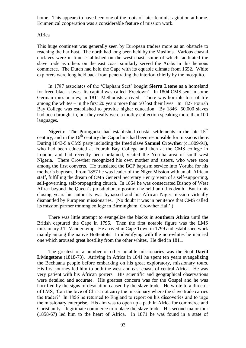home. This appears to have been one of the roots of later feminist agitation at home. Ecumenical cooperation was a considerable feature of mission work.

### Africa

This huge continent was generally seen by European traders more as an obstacle to reaching the Far East. The north had long been held by the Muslims. Various coastal enclaves were in time established on the west coast, some of which facilitated the slave trade as others on the east coast similarly served the Arabs in this heinous commerce. The Dutch had held the Cape with its equable climate from 1652. White explorers were long held back from penetrating the interior, chiefly by the mosquito.

In 1787 associates of the 'Clapham Sect' bought **Sierra Leone** as a homeland for freed black slaves. Its capital was called 'Freetown'. In 1804 CMS sent in some German missionaries; in 1811 Methodists arrived. There was horrible loss of life among the whites – in the first 20 years more than 50 lost their lives. In 1827 Fourah Bay College was established to provide higher education. By 1846 50,000 slaves had been brought in, but they really were a motley collection speaking more than 100 languages.

**Nigeria**: The Portuguese had established coastal settlements in the late  $15<sup>th</sup>$ century, and in the  $16<sup>th</sup>$  century the Capuchins had been responsible for missions there. During 1843-5 a CMS party including the freed slave **Samuel Crowther** (c.1809-91), who had been educated at Fourah Bay College and then at the CMS college in London and had recently been ordained, visited the Yoruba area of south-west Nigeria. There Crowther recognized his own mother and sisters, who were soon among the first converts. He translated the BCP baptism service into Yoruba for his mother's baptism. From 1857 he was leader of the Niger Mission with an all African staff, fulfilling the dream of CMS General Secretary Henry Venn of a self-supporting, self-governing, self-propagating church. In 1864 he was consecrated Bishop of West Africa beyond the Queen's jurisdiction, a position he held until his death. But in his closing years his authority was bypassed and his African Niger mission virtually dismantled by European missionaries. (No doubt it was in penitence that CMS called its mission partner training college in Birmingham 'Crowther Hall'.)

There was little attempt to evangelize the blacks in **southern Africa** until the British captured the Cape in 1795. Then the first notable figure was the LMS missionary J.T. Vanderkemp. He arrived in Cape Town in 1799 and established work mainly among the native Hottentots. In identifying with the non-whites he married one which aroused great hostility from the other whites. He died in 1811.

The greatest of a number of other notable missionaries was the Scot **David Livingstone** (1818-73). Arriving in Africa in 1841 he spent ten years evangelizing the Bechuana people before embarking on his great exploratory, missionary tours. His first journey led him to both the west and east coasts of central Africa. He was very patient with his African porters. His scientific and geographical observations were detailed and accurate. His greatest concern was for the Gospel and he was horrified by the signs of desolation caused by the slave trade. He wrote to a director of LMS, 'Can the love of Christ not carry the missionary where the slave trade carries the trader?' In 1856 he returned to England to report on his discoveries and to urge the missionary enterprise. His aim was to open up a path in Africa for commerce and Christianity – legitimate commerce to replace the slave trade. His second major tour (1858-67) led him to the heart of Africa. In 1871 he was found in a state of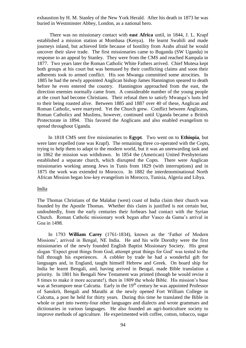exhaustion by H. M. Stanley of the New York Herald. After his death in 1873 he was buried in Westminster Abbey, London, as a national hero.

There was no missionary contact with **east Africa** until, in 1844, J. L. Krapf established a mission station at Mombasa (Kenya). He learnt Swahili and made journeys inland, but achieved little because of hostility from Arabs afraid he would uncover their slave trade. The first missionaries came to Buganda (SW Uganda) in response to an appeal by Stanley. They were from the CMS and reached Kampala in 1877. Two years later the Roman Catholic White Fathers arrived. Chief Mutesa kept both groups at his court but was bemused by their conflicting claims and soon their adherents took to armed conflict. His son Mwanga committed some atrocities. In 1885 he had the newly appointed Anglican bishop James Hannington speared to death before he even entered the country. Hannington approached from the east, the direction enemies normally came from. A considerable number of the young people at the court had become Christians. Their refusal then to satisfy Mwanga's lusts led to their being roasted alive. Between 1885 and 1887 over 40 of these, Anglican and Roman Catholic, were martyred. Yet the Church grew. Conflict between Anglicans, Roman Catholics and Muslims, however, continued until Uganda became a British Protectorate in 1894. This favored the Anglicans and also enabled evangelism to spread throughout Uganda.

In 1818 CMS sent five missionaries to **Egypt**. Two went on to **Ethiopia**, but were later expelled (one was Krapf). The remaining three co-operated with the Copts, trying to help them to adapt to the modern world, but it was an unrewarding task and in 1862 the mission was withdrawn. In 1854 the (American) United Presbyterians established a separate church, which disrupted the Copts. There were Anglican missionaries working among Jews in Tunis from 1829 (with interruptions) and in 1875 the work was extended to Morocco. In 1882 the interdenominational North African Mission began low-key evangelism in Morocco, Tunisia, Algeria and Libya.

#### India

The Thomas Christians of the Malabar (west) coast of India claim their church was founded by the Apostle Thomas. Whether this claim is justified is not certain but, undoubtedly, from the early centuries their forbears had contact with the Syrian Church. Roman Catholic missionary work began after Vasco da Gama's arrival in Goa in 1498.

In 1793 **William Carey** (1761-1834), known as the 'Father of Modern Missions', arrived in Bengal, NE India. He and his wife Dorothy were the first missionaries of the newly founded English Baptist Missionary Society. His great slogan 'Expect great things from God, attempt great things for God' was tested to the full through his experiences. A cobbler by trade he had a wonderful gift for languages and, in England, taught himself Hebrew and Greek. On board ship for India he learnt Bengali, and, having arrived in Bengal, made Bible translation a priority. In 1801 his Bengali New Testament was printed (though he would revise it 8 times to make it more accurate!), then in 1809 the whole Bible. His mission's base was at Serampore near Calcutta. Early in the  $19<sup>th</sup>$  century he was appointed Professor of Sanskrit, Bengali and Marathi at the newly opened Fort William College in Calcutta, a post he held for thirty years. During this time he translated the Bible in whole or part into twenty-four other languages and dialects and wrote grammars and dictionaries in various languages. He also founded an agri-horticulture society to improve methods of agriculture. He experimented with coffee, cotton, tobacco, sugar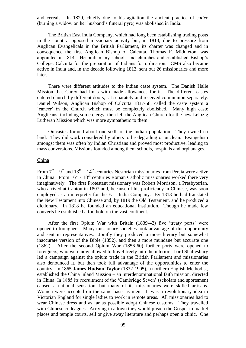and cereals. In 1829, chiefly due to his agitation the ancient practice of *suttee* (burning a widow on her husband's funeral pyre) was abolished in India.

The British East India Company, which had long been establishing trading posts in the country, opposed missionary activity but, in 1813, due to pressure from Anglican Evangelicals in the British Parliament, its charter was changed and in consequence the first Anglican Bishop of Calcutta, Thomas F. Middleton, was appointed in 1814. He built many schools and churches and established Bishop's College, Calcutta for the preparation of Indians for ordination. CMS also became active in India and, in the decade following 1813, sent out 26 missionaries and more later.

There were different attitudes to the Indian caste system. The Danish Halle Mission that Carey had links with made allowances for it. The different castes entered church by different doors, sat separately and received communion separately. Daniel Wilson, Anglican Bishop of Calcutta 1837-58, called the caste system a 'cancer' in the Church which must be completely abolished. Many high caste Anglicans, including some clergy, then left the Anglican Church for the new Leipzig Lutheran Mission which was more sympathetic to them.

Outcastes formed about one-sixth of the Indian population. They owned no land. They did work considered by others to be degrading or unclean. Evangelism amongst them was often by Indian Christians and proved most productive, leading to mass conversions. Missions founded among them schools, hospitals and orphanages.

### **China**

From  $7<sup>th</sup> - 9<sup>th</sup>$  and  $13<sup>th</sup> - 14<sup>th</sup>$  centuries Nestorian missionaries from Persia were active in China. From  $16<sup>th</sup>$  -  $18<sup>th</sup>$  centuries Roman Catholic missionaries worked there very imaginatively. The first Protestant missionary was Robert Morrison, a Presbyterian, who arrived at Canton in 1807 and, because of his proficiency in Chinese, was soon employed as an interpreter for the East India Company. By 1813 he had translated the New Testament into Chinese and, by 1819 the Old Testament, and he produced a dictionary. In 1818 he founded an educational institution. Though he made few converts he established a foothold on the vast continent.

After the first Opium War with Britain (1839-42) five 'treaty ports' were opened to foreigners. Many missionary societies took advantage of this opportunity and sent in representatives. Jointly they produced a more literary but somewhat inaccurate version of the Bible (1852), and then a more mundane but accurate one (1862). After the second Opium War (1856-60) further ports were opened to foreigners, who were now allowed to travel freely into the interior. Lord Shaftesbury led a campaign against the opium trade in the British Parliament and missionaries also denounced it, but then took full advantage of the opportunities to enter the country. In 1865 **James Hudson Taylor** (1832-1905), a northern English Methodist, established the China Inland Mission – an interdenominational faith mission, directed in China. In 1885 its recruitment of the 'Cambridge Seven' (scholars and sportsmen) caused a national sensation, but many of its missionaries were skilled artisans. Women were accepted on the same basis as men. It was a revolutionary idea in Victorian England for single ladies to work in remote areas. All missionaries had to wear Chinese dress and as far as possible adopt Chinese customs. They travelled with Chinese colleagues. Arriving in a town they would preach the Gospel in market places and temple courts, sell or give away literature and perhaps open a clinic. One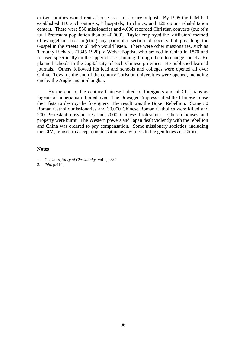or two families would rent a house as a missionary outpost. By 1905 the CIM had established 110 such outposts, 7 hospitals, 16 clinics, and 128 opium rehabilitation centers. There were 550 missionaries and 4,000 recorded Christian converts (out of a total Protestant population then of 40,000). Taylor employed the 'diffusion' method of evangelism, not targeting any particular section of society but preaching the Gospel in the streets to all who would listen. There were other missionaries, such as Timothy Richards (1845-1920), a Welsh Baptist, who arrived in China in 1870 and focused specifically on the upper classes, hoping through them to change society. He planned schools in the capital city of each Chinese province. He published learned journals. Others followed his lead and schools and colleges were opened all over China. Towards the end of the century Christian universities were opened, including one by the Anglicans in Shanghai.

By the end of the century Chinese hatred of foreigners and of Christians as 'agents of imperialism' boiled over. The Dowager Empress called the Chinese to use their fists to destroy the foreigners. The result was the Boxer Rebellion. Some 50 Roman Catholic missionaries and 30,000 Chinese Roman Catholics were killed and 200 Protestant missionaries and 2000 Chinese Protestants. Church houses and property were burnt. The Western powers and Japan dealt violently with the rebellion and China was ordered to pay compensation. Some missionary societies, including the CIM, refused to accept compensation as a witness to the gentleness of Christ.

#### **Notes**

1. Gonzales, *Story of Christianity,* vol.1, p382

2. *ibid,* p.410.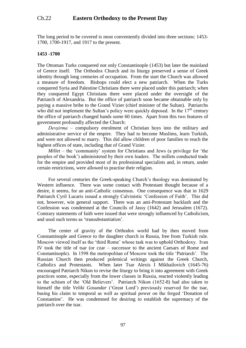# Ch.22 **Eastern Orthodoxy to the Present Day**

The long period to be covered is most conveniently divided into three sections: 1453- 1700, 1700-1917, and 1917 to the present.

### **1453 -1700**

The Ottoman Turks conquered not only Constantinople (1453) but later the mainland of Greece itself. The Orthodox Church and its liturgy preserved a sense of Greek identity through long centuries of occupation. From the start the Church was allowed a measure of freedom. Bishops could elect a new patriarch. When the Turks conquered Syria and Palestine Christians there were placed under this patriarch; when they conquered Egypt Christians there were placed under the oversight of the Patriarch of Alexandria. But the office of patriarch soon became obtainable only by paying a massive bribe to the Grand Vizier (chief minister of the Sultan). Patriarchs who did not implement the Sultan's policy were quickly deposed. In the  $17<sup>th</sup>$  century the office of patriarch changed hands some 60 times. Apart from this two features of government profoundly affected the Church:

*Devşirma –* compulsory enrolment of Christian boys into the military and administrative service of the empire. They had to become Muslims, learn Turkish, and were not allowed to marry. This did allow children of poor families to reach the highest offices of state, including that of Grand Vizier.

*Millet –* the 'community' system for Christians and Jews (a privilege for 'the peoples of the book') administered by their own leaders. The millets conducted trade for the empire and provided most of its professional specialists and, in return, under certain restrictions, were allowed to practise their religion.

For several centuries the Greek-speaking Church's theology was dominated by Western influence. There was some contact with Protestant thought because of a desire, it seems, for an anti-Catholic consensus. One consequence was that in 1629 Patriarch Cyril Lucaris issued a strongly Calvinistic 'Confession of Faith'. This did not, however, win general support. There was an anti-Protestant backlash and the Confession was condemned at the Councils of Jassy (1642) and Jerusalem (1672). Contrary statements of faith were issued that were strongly influenced by Catholicism, and used such terms as 'transubstantiation'.

The center of gravity of the Orthodox world had by then moved from Constantinople and Greece to the daughter church in Russia, free from Turkish rule. Moscow viewed itself as the 'third Rome' whose task was to uphold Orthodoxy. Ivan IV took the title of tsar (or czar – successor to the ancient Caesars of Rome and Constantinople). In 1598 the metropolitan of Moscow took the title 'Patriarch'. The Russian Church then produced polemical writings against the Greek Church, Catholics and Protestants. When later Tsar Alexis I Mikhailovich (1645-76) encouraged Patriarch Nikon to revise the liturgy to bring it into agreement with Greek practices some, especially from the lower classes in Russia, reacted violently leading to the schism of the 'Old Believers'. Patriarch Nikon (1652-8) had also taken to himself the title *Veliki Gosundar* ('Great Lord') previously reserved for the tsar, basing his claim to temporal as well as spiritual power on the forged 'Donation of Constantine'. He was condemned for desiring to establish the supremacy of the patriarch over the tsar.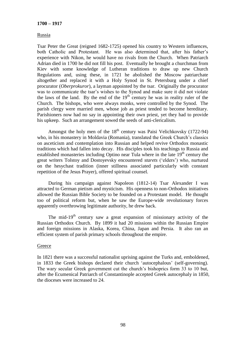### **1700 – 1917**

### Russia

Tsar Peter the Great (reigned 1682-1725) opened his country to Western influences, both Catholic and Protestant. He was also determined that, after his father's experience with Nikon, he would have no rivals from the Church. When Patriarch Adrian died in 1700 he did not fill his post. Eventually he brought a churchman from Kiev with some knowledge of Lutheran traditions to draw up new Church Regulations and, using these, in 1721 he abolished the Moscow patriarchate altogether and replaced it with a Holy Synod in St. Petersburg under a chief procurator (*Oberprokuror*), a layman appointed by the tsar. Originally the procurator was to communicate the tsar's wishes to the Synod and make sure it did not violate the laws of the land. By the end of the  $19<sup>th</sup>$  century he was in reality ruler of the Church. The bishops, who were always monks, were controlled by the Synod. The parish clergy were married men, whose job as priest tended to become hereditary. Parishioners now had no say in appointing their own priest, yet they had to provide his upkeep. Such an arrangement sowed the seeds of anti-clericalism.

Amongst the holy men of the  $18<sup>th</sup>$  century was Paisi Velichkovsky (1722-94) who, in his monastery in Moldavia (Romania), translated the Greek Church's classics on asceticism and contemplation into Russian and helped revive Orthodox monastic traditions which had fallen into decay. His disciples took his teachings to Russia and established monasteries including Optino near Tula where in the late  $19<sup>th</sup>$  century the great writers Tolstoy and Dostoyevsky encountered *starets* ('elders') who, nurtured on the hesychast tradition (inner stillness associated particularly with constant repetition of the Jesus Prayer), offered spiritual counsel.

During his campaign against Napoleon (1812-14) Tsar Alexander I was attracted to German pietism and mysticism. His openness to non-Orthodox initiatives allowed the Russian Bible Society to be founded on a Protestant model. He thought too of political reform but, when he saw the Europe-wide revolutionary forces apparently overthrowing legitimate authority, he drew back.

The mid-19<sup>th</sup> century saw a great expansion of missionary activity of the Russian Orthodox Church. By 1899 it had 20 missions within the Russian Empire and foreign missions in Alaska, Korea, China, Japan and Persia. It also ran an efficient system of parish primary schools throughout the empire.

#### **Greece**

In 1821 there was a successful nationalist uprising against the Turks and, emboldened, in 1833 the Greek bishops declared their church 'autocephalous' (self-governing). The wary secular Greek government cut the church's bishoprics form 33 to 10 but, after the Ecumenical Patriarch of Constantinople accepted Greek autocephaly in 1850, the dioceses were increased to 24.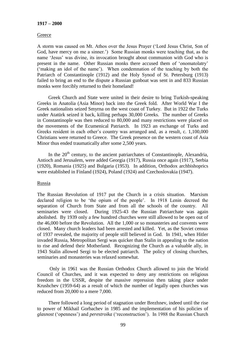#### **1917 – 2000**

### **Greece**

A storm was caused on Mt. Athos over the Jesus Prayer ('Lord Jesus Christ, Son of God, have mercy on me a sinner.') Some Russian monks were teaching that, as the name 'Jesus' was divine, its invocation brought about communion with God who is present in the name. Other Russian monks there accused them of 'onomatolatry' ('making an idol of the name'). When condemnation of the teaching by both the Patriarch of Constantinople (1912) and the Holy Synod of St. Petersburg (1913) failed to bring an end to the dispute a Russian gunboat was sent in and 833 Russian monks were forcibly returned to their homeland!

Greek Church and State were united in their desire to bring Turkish-speaking Greeks in Anatolia (Asia Minor) back into the Greek fold. After World War I the Greek nationalists seized Smyrna on the west coast of Turkey. But in 1922 the Turks under Atatürk seized it back, killing perhaps 30,000 Greeks. The number of Greeks in Constantinople was then reduced to 80,000 and many restrictions were placed on the movements of the Ecumenical Patriarch. In 1923 an exchange of Turks and Greeks resident in each other's country was arranged and, as a result, c. 1,100,000 Christians were returned to Greece. The Greek presence on the western coast of Asia Minor thus ended traumatically after some 2,500 years.

In the 20<sup>th</sup> century, to the ancient patriarchates of Constantinople, Alexandria, Antioch and Jerusalem, were added Georgia (1917), Russia once again (1917), Serbia (1920), Romania (1925) and Bulgaria (1953). In addition, Orthodox archbishoprics were established in Finland (1924), Poland (1924) and Czechoslovakia (1947).

### Russia

The Russian Revolution of 1917 put the Church in a crisis situation. Marxism declared religion to be 'the opium of the people'. In 1918 Lenin decreed the separation of Church from State and from all the schools of the country. All seminaries were closed. During 1925-43 the Russian Patriarchate was again abolished. By 1939 only a few hundred churches were still allowed to be open out of the 46,000 before the Revolution. All the 1,000 or so monasteries and convents were closed. Many church leaders had been arrested and killed. Yet, as the Soviet census of 1937 revealed, the majority of people still believed in God. In 1941, when Hitler invaded Russia, Metropolitan Sergi was quicker than Stalin in appealing to the nation to rise and defend their Motherland. Recognizing the Church as a valuable ally, in 1943 Stalin allowed Sergi to be elected patriarch. The policy of closing churches, seminaries and monasteries was relaxed somewhat.

Only in 1961 was the Russian Orthodox Church allowed to join the World Council of Churches, and it was expected to deny any restrictions on religious freedom in the USSR, despite the massive repression then taking place under Krushchev (1959-64) as a result of which the number of legally open churches was reduced from 20,000 to a mere 7,000.

There followed a long period of stagnation under Brezhnev, indeed until the rise to power of Mikhail Gorbachev in 1985 and the implementation of his policies of *glasnost* ('openness') and *perestroika* ('reconstruction'). In 1988 the Russian Church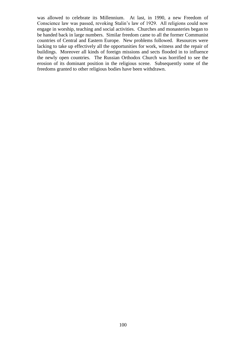was allowed to celebrate its Millennium. At last, in 1990, a new Freedom of Conscience law was passed, revoking Stalin's law of 1929. All religions could now engage in worship, teaching and social activities. Churches and monasteries began to be handed back in large numbers. Similar freedom came to all the former Communist countries of Central and Eastern Europe. New problems followed. Resources were lacking to take up effectively all the opportunities for work, witness and the repair of buildings. Moreover all kinds of foreign missions and sects flooded in to influence the newly open countries. The Russian Orthodox Church was horrified to see the erosion of its dominant position in the religious scene. Subsequently some of the freedoms granted to other religious bodies have been withdrawn.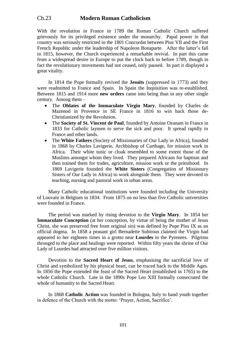# Ch.23 **Modern Roman Catholicism**

With the revolution in France in 1789 the Roman Catholic Church suffered grievously for its privileged existence under the monarchy. Papal power in that country was seriously restricted in the 1801 Concordat between Pius VII and the First French Republic under the leadership of Napoleon Bonaparte. After the latter's fall in 1815, however, the Church experienced a remarkable revival. In part this came from a widespread desire in Europe to put the clock back to before 1789, though in fact the revolutionary movements had not ceased, only paused. In part it displayed a great vitality.

In 1814 the Pope formally revived the **Jesuits** (suppressed in 1773) and they were readmitted to France and Spain. In Spain the Inquisition was re-established. Between 1815 and 1914 more **new orders** came into being than in any other single century. Among them –

- The **Oblates of the Immaculate Virgin Mary**, founded by Charles de Mazenod in Provence in SE France in 1816 to win back those de-Christianized by the Revolution.
- The **Society of St. Vincent de Paul**, founded by Antoine Ozanam in France in 1833 for Catholic laymen to serve the sick and poor. It spread rapidly in France and other lands.
- The **White Fathers** (Society of Missionaries of Our Lady in Africa), founded in 1868 by Charles Lavigerie, Archbishop of Carthage, for mission work in Africa. Their white tunic or cloak resembled to some extent those of the Muslims amongst whom they lived. They prepared Africans for baptism and then trained them for trades, agriculture, mission work or the priesthood. In 1869 Lavigerie founded the **White Sisters** (Congregation of Missionary Sisters of Our Lady in Africa) to work alongside them. They were devoted to teaching, nursing and pastoral work in urban areas.

Many Catholic educational institutions were founded including the University of Louvain in Belgium in 1834. From 1875 on no less than five Catholic universities were founded in France.

The period was marked by rising devotion to the **Virgin Mary**. In 1854 her **Immaculate Conception** (at her conception, by virtue of being the mother of Jesus Christ, she was preserved free from original sin) was defined by Pope Pius IX as an official dogma. In 1858 a peasant girl Bernadette Subirous claimed the Virgin had appeared to her eighteen times in a grotto near **Lourdes** in the Pyrenees. Pilgrims thronged to the place and healings were reported. Within fifty years the shrine of Our Lady of Lourdes had attracted over five million visitors.

Devotion to the **Sacred Heart of Jesus**, emphasising the sacrificial love of Christ and symbolized by his physical heart, can be traced back to the Middle Ages. In 1856 the Pope extended the feast of the Sacred Heart (established in 1765) to the whole Catholic Church. Late in the 1890s Pope Leo XIII formally consecrated the whole of humanity to the Sacred Heart.

In 1868 **Catholic Action** was founded in Bologna, Italy to band youth together in defence of the Church with the motto: 'Prayer, Action, Sacrifice'.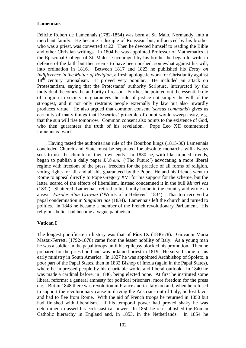### **Lamennais**

Félicité Robert de Lamennais (1782-1854) was born at St. Malo, Normandy, into a merchant family. He became a disciple of Rousseau but, influenced by his brother who was a priest, was converted at 22. Then he devoted himself to reading the Bible and other Christian writings. In 1804 he was appointed Professor of Mathematics at the Episcopal College of St. Malo. Encouraged by his brother he began to write in defence of the faith but then seems to have been pushed, somewhat against his will, into ordination in 1816. Between 1817 and 1823 he published his *Essay on Indifference in the Matter of Religion,* a fresh apologetic work for Christianity against 18<sup>th</sup> century rationalism. It proved very popular. He included an attack on Protestantism, saying that the Protestants' authority Scripture, interpreted by the individual, becomes the authority of reason. Further, he pointed out the essential role of religion in society: it guarantees the rule of justice not simply the will of the strongest, and it not only restrains people externally by law but also inwardly produces virtue. He also argued that common consent (*sensus communis*) gives us certainty of many things that Descartes' principle of doubt would sweep away, e.g. that the sun will rise tomorrow. Common consent also points to the existence of God, who then guarantees the truth of his revelation. Pope Leo XII commended Lamennais' work.

Having tasted the authoritarian rule of the Bourbon kings (1815-30) Lamennais concluded Church and State must be separated for absolute monarchs will always seek to use the church for their own ends. In 1830 he, with like-minded friends, began to publish a daily paper *L'Avenir* ('The Future') advocating a more liberal regime with freedom of the press, freedom for the practice of all forms of religion, voting rights for all, and all this guaranteed by the Pope. He and his friends went to Rome to appeal directly to Pope Gregory XVI for his support for the scheme, but the latter, scared of the effects of liberalism, instead condemned it in the bull *Mirari vos*  (1832). Shattered, Lamennais retired to his family home in the country and wrote an answer *Paroles d'un Croyant* ('Words of a Believer', 1834). That too received a papal condemnation in *Singulari nos* (1834). Lamennais left the church and turned to politics. In 1848 he became a member of the French revolutionary Parliament. His religious belief had become a vague pantheism.

#### **Vatican I**

The longest pontificate in history was that of **Pius IX** (1846-78). Giovanni Maria Mastai-Ferretti (1792-1878) came from the lesser nobility of Italy. As a young man he was a soldier in the papal troops until his epilepsy blocked his promotion. Then he prepared for the priesthood and was ordained priest in 1819. He served some of his early ministry in South America. In 1827 he was appointed Archbishop of Spoleto, a poor part of the Papal States, then in 1832 Bishop of Imola (again in the Papal States), where he impressed people by his charitable works and liberal outlook. In 1840 he was made a cardinal before, in 1846, being elected pope. At first he instituted some liberal reforms: a general amnesty for political prisoners, more freedom for the press etc. But in 1848 there was revolution in France and in Italy too and, when he refused to support the revolutionary cause in driving the Austrians out of Italy, he lost favor and had to flee from Rome. With the aid of French troops he returned in 1850 but had finished with liberalism. If his temporal power had proved shaky he was determined to assert his ecclesiastical power. In 1850 he re-established the Roman Catholic hierarchy in England and, in 1853, in the Netherlands. In 1854 he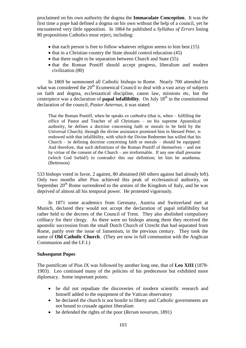proclaimed on his own authority the dogma the **Immaculate Conception**. It was the first time a pope had defined a dogma on his own without the help of a council, yet he encountered very little opposition. In 1864 he published a *Syllabus of Errors* listing 80 propositions Catholics must reject, including:

- $\bullet$  that each person is free to follow whatever religion seems to him best (15)
- $\bullet$  that in a Christian country the State should control education (45)
- that there ought to be separation between Church and State (55)
- that the Roman Pontiff should accept progress, liberalism and modern civilization (80)

In 1869 he summoned all Catholic bishops to Rome. Nearly 700 attended for what was considered the  $20<sup>th</sup>$  Ecumenical Council to deal with a vast array of subjects on faith and dogma, ecclesiastical discipline, canon law, missions etc, but the centerpiece was a declaration of **papal infallibility**. On July  $18<sup>th</sup>$  in the constitutional declaration of the council, *Pastor Aeternus,* it was stated:

That the Roman Pontiff, when he speaks *ex cathedra* (that is, when – fulfilling the office of Pastor and Teacher of all Christians – on his supreme Apostolical authority, he defines a doctrine concerning faith or morals to be held by the Universal Church), through the divine assistance promised him in blessed Peter, is endowed with that infallibility, with which the Divine Redeemer has willed that his Church – in defining doctrine concerning faith or morals – should be equipped: And therefore, that such definitions of the Roman Pontiff of themselves – and not by virtue of the consent of the Church – are irreformable. If any one shall presume (which God forbid!) to contradict this our definition; let him be anathema. (Bettenson)

533 bishops voted in favor, 2 against, 80 abstained (60 others against had already left). Only two months after Pius achieved this peak of ecclesiastical authority, on September  $20<sup>th</sup>$  Rome surrendered to the armies of the Kingdom of Italy, and he was deprived of almost all his temporal power. He protested vigorously.

In 1871 some academics from Germany, Austria and Switzerland met at Munich, declared they would not accept the declaration of papal infallibility but rather held to the decrees of the Council of Trent. They also abolished compulsory celibacy for their clergy. As there were no bishops among them they received the apostolic succession from the small Dutch Church of Utrecht that had separated from Rome, partly over the issue of Jansenism, in the previous century. They took the name of **Old Catholic Church**. (They are now in full communion with the Anglican Communion and the I.F.I.)

### **Subsequent Popes**

The pontificate of Pius IX was followed by another long one, that of **Leo XIII** (1878- 1903). Leo continued many of the policies of his predecessor but exhibited more diplomacy. Some important points:

- he did not repudiate the discoveries of modern scientific research and himself added to the equipment of the Vatican observatory
- he declared the church is not hostile to liberty and Catholic governments are not bound to crusade against liberalism
- he defended the rights of the poor *(Rerum novarum,* 1891)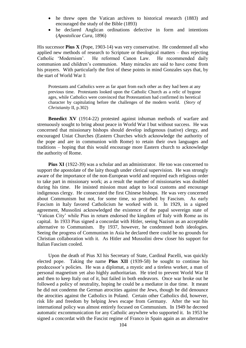- he threw open the Vatican archives to historical research (1883) and encouraged the study of the Bible (1893)
- he declared Anglican ordinations defective in form and intentions (*Apostolicae Cura,* 1896)

His successor **Pius X** (Pope, 1903-14) was very conservative. He condemned all who applied new methods of research to Scripture or theological matters – thus rejecting Catholic 'Modernism'. He reformed Canon Law. He recommended daily communion and children's communion. Many miracles are said to have come from his prayers. With particularly the first of these points in mind Gonzales says that, by the start of World War I:

Protestants and Catholics were as far apart from each other as they had been at any previous time. Protestants looked upon the Catholic Church as a relic of bygone ages, while Catholics were convinced that Protestantism had confirmed its heretical character by capitulating before the challenges of the modern world. (*Story of Christianity* II, p.302)

**Benedict XV** (1914-22) protested against inhuman methods of warfare and strenuously sought to bring about peace in World War I but without success. He was concerned that missionary bishops should develop indigenous (native) clergy, and encouraged Uniat Churches (Eastern Churches which acknowledge the authority of the pope and are in communion with Rome) to retain their own languages and traditions – hoping that this would encourage more Eastern church to acknowledge the authority of Rome.

**Pius XI** (1922-39) was a scholar and an administrator. He too was concerned to support the apostolate of the laity though under clerical supervision. He was strongly aware of the importance of the non-European world and required each religious order to take part in missionary work; as a result the number of missionaries was doubled during his time. He insisted mission must adapt to local customs and encourage indigenous clergy. He consecrated the first Chinese bishops. He was very concerned about Communism but not, for some time, so perturbed by Fascism. As early Fascism in Italy favored Catholicism he worked with it. In 1929, in a signed agreement, Mussolini acknowledged the existence of the papal sovereign state of 'Vatican City' while Pius in return endorsed the kingdom of Italy with Rome as its capital. In 1933 Pius signed a concordat with Hitler, seeing Nazism as an acceptable alternative to Communism. By 1937, however, he condemned both ideologies. Seeing the progress of Communism in Asia he declared there could be no grounds for Christian collaboration with it. As Hitler and Mussolini drew closer his support for Italian Fascism cooled.

Upon the death of Pius XI his Secretary of State, Cardinal Pacelli, was quickly elected pope. Taking the name **Pius XII** (1939-58) he sought to continue his predecessor's policies. He was a diplomat, a mystic and a tireless worker, a man of personal magnetism yet also highly authoritarian. He tried to prevent World War II and then to keep Italy out of it, but failed in both endeavors. Once war broke out he followed a policy of neutrality, hoping he could be a mediator in due time. It meant he did not condemn the German atrocities against the Jews, though he did denounce the atrocities against the Catholics in Poland. Certain other Catholics did, however, risk life and freedom by helping Jews escape from Germany. After the war his international policy was almost entirely focused on Communism. In 1949 he decreed automatic excommunication for any Catholic anywhere who supported it. In 1953 he signed a concordat with the Fascist regime of Franco in Spain again as an alternative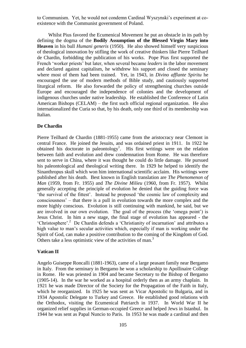to Communism. Yet, he would not condemn Cardinal Wyszynski's experiment at coexistence with the Communist government of Poland.

Whilst Pius favored the Ecumenical Movement he put an obstacle in its path by defining the dogma of the **Bodily Assumption of the Blessed Virgin Mary into Heaven** in his bull *Humani generis* (1950). He also showed himself very suspicious of theological innovation by stifling the work of creative thinkers like Pierre Teilhard de Chardin, forbidding the publication of his works. Pope Pius first supported the French 'worker priests' but later, when several became *leaders* in the labor movement and declared against capitalism, he withdrew his support and closed the seminary where most of them had been trained. Yet, in 1943, in *Divino afflante Spiritu* he encouraged the use of modern methods of Bible study, and cautiously supported liturgical reform. He also forwarded the policy of strengthening churches outside Europe and encouraged the independence of colonies and the development of indigenous churches under native leadership. He established the Conference of Latin American Bishops (CELAM) – the first such official regional organization. He also internationalized the Curia so that, by his death, only one third of its membership was Italian.

### **De Chardin**

Pierre Teilhard de Chardin (1881-1955) came from the aristocracy near Clemont in central France. He joined the Jesuits, and was ordained priest in 1911. In 1922 he obtained his doctorate in paleontology<sup>1</sup>. His first writings were on the relation between faith and evolution and drew condemnation from Rome. He was therefore sent to serve in China, where it was thought he could do little damage. He pursued his paleontological and theological writing there. In 1929 he helped to identify the Sinanthropus skull which won him international scientific acclaim. His writings were published after his death. Best known in English translation are *The Phenomenon of Man* (1959, from Fr. 1955) and *The Divine Milieu* (1960, from Fr. 1957). Whilst generally accepting the principle of evolution he denied that the guiding force was 'the survival of the fittest'. Instead he proposed 'the cosmic law of complexity and consciousness' – that there is a pull in evolution towards the more complex and the more highly conscious. Evolution is still continuing with mankind, he said, but we are involved in our own evolution. The goal of the process (the 'omega point') is Jesus Christ. In him a new stage, the final stage of evolution has appeared - the 'Christosphere'.<sup>2</sup> De Chardin defends a 'Christianity of incarnation' and attributes a high value to man's secular activities which, especially if man is working under the Spirit of God, can make a positive contribution to the coming of the Kingdom of God. Others take a less optimistic view of the activities of man.<sup>3</sup>

### **Vatican II**

Angelo Guiseppe Roncalli (1881-1963), came of a large peasant family near Bergamo in Italy. From the seminary in Bergamo he won a scholarship to Apollinaire College in Rome. He was priested in 1904 and became Secretary to the Bishop of Bergamo (1905-14). In the war he worked as a hospital orderly then as an army chaplain. In 1921 he was made Director of the Society for the Propagation of the Faith in Italy, which he reorganized. In 1925 he was sent as Vicar Apostolic to Bulgaria, and in 1934 Apostolic Delegate to Turkey and Greece. He established good relations with the Orthodox, visiting the Ecumenical Patriarch in 1937. In World War II he organized relief supplies in German-occupied Greece and helped Jews in Istanbul. In 1944 he was sent as Papal Nuncio to Paris. In 1953 he was made a cardinal and then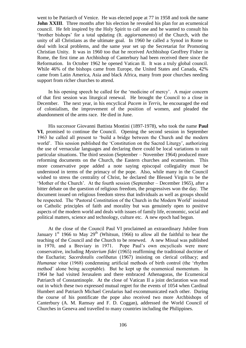went to be Patriarch of Venice. He was elected pope at 77 in 1958 and took the name **John XXIII**. Three months after his election he revealed his plan for an ecumenical council. He felt inspired by the Holy Spirit to call one and he wanted to consult his 'brother bishops' for a total updating (It. *aggiornamento*) of the Church, with the unity of all Christians as the ultimate goal. In 1960 he called a Synod in Rome to deal with local problems, and the same year set up the Secretariat for Promoting Christian Unity. It was in 1960 too that he received Archbishop Geoffrey Fisher in Rome, the first time an Archbishop of Canterbury had been received there since the Reformation. In October 1962 he opened Vatican II. It was a truly global council. While 46% of the bishops came from Europe, the United States and Canada, 42% came from Latin America, Asia and black Africa, many from poor churches needing support from richer churches to attend.

In his opening speech he called for the 'medicine of mercy'. A major concern of that first session was liturgical renewal. He brought the Council to a close in December. The next year, in his encyclical *Pacem in Terris,* he encouraged the end of colonialism, the improvement of the position of women, and pleaded the abandonment of the arms race. He died in June.

His successor Giovanni Battista Montini (1897-1978), who took the name **Paul VI**, promised to continue the Council. Opening the second session in September 1963 he called all present to 'build a bridge between the Church and the modern world'. This session published the 'Constitution on the Sacred Liturgy', authorizing the use of vernacular languages and declaring there could be local variations to suit particular situations. The third session (September – November 1964) produced more reforming documents on the Church, the Eastern churches and ecumenism. This more conservative pope added a note saying episcopal collegiality must be understood in terms of the primacy of the pope. Also, while many in the Council wished to stress the centrality of Christ, he declared the Blessed Virgin to be the 'Mother of the Church'. At the fourth session (September – December 1965), after a bitter debate on the question of religious freedom, the progressives won the day. The document issued on religious freedom stress that individuals as well as groups should be respected. The 'Pastoral Constitution of the Church in the Modern World' insisted on Catholic principles of faith and morality but was genuinely open to positive aspects of the modern world and deals with issues of family life, economic, social and political matters, science and technology, culture etc. A new epoch had begun.

At the close of the Council Paul VI proclaimed an extraordinary Jubilee from January  $1<sup>st</sup>$  1966 to May 29<sup>th</sup> (Whitsun, 1966) to allow all the faithful to hear the teaching of the Council and the Church to be renewed. A new Missal was published in 1970, and a Breviary in 1971. Pope Paul's own encyclicals were more conservative, including *Mysterium fidei* (1965) reaffirming the traditional doctrine of the Eucharist; *Sacerdotalis coelibatus* (1967) insisting on clerical celibacy; and *Humanae vitae* (1968) condemning artificial methods of birth control (the 'rhythm method' alone being acceptable). But he kept up the ecumenical momentum. In 1964 he had visited Jerusalem and there embraced Athenagoras, the Ecumenical Patriarch of Constantinople. At the close of Vatican II a joint declaration was read out in which these two expressed mutual regret for the events of 1054 when Cardinal Humbert and Patriarch Michael Cerularius had excommunicated each other. During the course of his pontificate the pope also received two more Archbishops of Canterbury (A. M. Ramsay and F. D. Coggan), addressed the World Council of Churches in Geneva and travelled to many countries including the Philippines.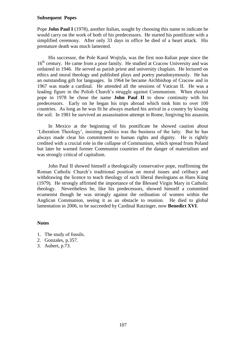### **Subsequent Popes**

Pope **John Paul I** (1978), another Italian, sought by choosing this name to indicate he would carry on the work of both of his predecessors. He started his pontificate with a simplified ceremony. After only 33 days in office he died of a heart attack. His premature death was much lamented.

His successor, the Pole Karol Wojtyla, was the first non-Italian pope since the 16<sup>th</sup> century. He came from a poor family. He studied at Cracow University and was ordained in 1946. He served as parish priest and university chaplain. He lectured on ethics and moral theology and published plays and poetry pseudonymously. He has an outstanding gift for languages. In 1964 he became Archbishop of Cracow and in 1967 was made a cardinal. He attended all the sessions of Vatican II. He was a leading figure in the Polish Church's struggle against Communism. When elected pope in 1978 he chose the name **John Paul II** to show continuity with his predecessors. Early on he began his trips abroad which took him to over 100 countries. As long as he was fit he always marked his arrival in a country by kissing the soil. In 1981 he survived an assassination attempt in Rome, forgiving his assassin.

In Mexico at the beginning of his pontificate he showed caution about 'Liberation Theology', insisting politics was the business of the laity. But he has always made clear his commitment to human rights and dignity. He is rightly credited with a crucial role in the collapse of Communism, which spread from Poland but later he warned former Communist countries of the danger of materialism and was strongly critical of capitalism.

John Paul II showed himself a theologically conservative pope, reaffirming the Roman Catholic Church's traditional position on moral issues and celibacy and withdrawing the licence to teach theology of such liberal theologians as Hans Küng (1979). He strongly affirmed the importance of the Blessed Virgin Mary in Catholic theology. Nevertheless he, like his predecessors, showed himself a committed ecumenist though he was strongly against the ordination of women within the Anglican Communion, seeing it as an obstacle to reunion. He died to global lamentation in 2006, to be succeeded by Cardinal Ratzinger, now **Benedict XVI**.

### **Notes**

- 1. The study of fossils.
- 2. Gonzales, p.357.
- 3. Aubert, p.73.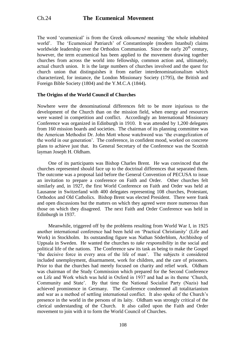The word 'ecumenical' is from the Greek *oikoumenē* meaning 'the whole inhabited world'. The 'Ecumenical Patriarch' of Constantinople (modern Istanbul) claims worldwide leadership over the Orthodox Communion. Since the early  $20<sup>th</sup>$  century, however, the term ecumenical has been applied to the movement drawing together churches from across the world into fellowship, common action and, ultimately, actual church union. It is the large numbers of churches involved and the quest for church union that distinguishes it from earlier interdenominationalism which characterized, for instance, the London Missionary Society (1795), the British and Foreign Bible Society (1804) and the Y.M.C.A (1844).

## **The Origins of the World Council of Churches**

Nowhere were the denominational differences felt to be more injurious to the development of the Church than on the mission field, when energy and resources were wasted in competition and conflict. Accordingly an International Missionary Conference was organized in Edinburgh in 1910. It was attended by 1,200 delegates from 160 mission boards and societies. The chairman of its planning committee was the American Methodist Dr. John Mott whose watchword was 'the evangelization of the world in our generation'. The conference, in confident mood, worked on concrete plans to achieve just that. Its General Secretary of the Conference was the Scottish layman Joseph H. Oldham.

One of its participants was Bishop Charles Brent. He was convinced that the churches represented should face up to the doctrinal differences that separated them. The outcome was a proposal laid before the General Convention of PECUSA to issue an invitation to prepare a conference on Faith and Order. Other churches felt similarly and, in 1927, the first World Conference on Faith and Order was held at Lausanne in Switzerland with 400 delegates representing 108 churches, Protestant, Orthodox and Old Catholics. Bishop Brent was elected President. There were frank and open discussions but the matters on which they agreed were more numerous than those on which they disagreed. The next Faith and Order Conference was held in Edinburgh in 1937.

Meanwhile, triggered off by the problems resulting from World War I, in 1925 another international conference had been held on 'Practical Christianity' (Life and Work) in Stockholm. Its outstanding figure was Nathan Söderblom, Archbishop of Uppsala in Sweden. He wanted the churches to *take responsibility* in the social and political life of the nations. The Conference saw its task as being to make the Gospel 'the decisive force in every area of the life of man'. The subjects it considered included unemployment, disarmament, work for children, and the care of prisoners. Prior to that the churches had merely focused on charity and relief work. Oldham was chairman of the Study Commission which prepared for the Second Conference on Life and Work which was held in Oxford in 1937 and had as its theme 'Church, Community and State'. By that time the National Socialist Party (Nazis) had achieved prominence in Germany. The Conference condemned all totalitarianism and war as a method of settling international conflict. It also spoke of the Church's presence in the world in the persons of its laity. Oldham was strongly critical of the clerical understanding of the Church. It also called upon the Faith and Order movement to join with it to form the World Council of Churches.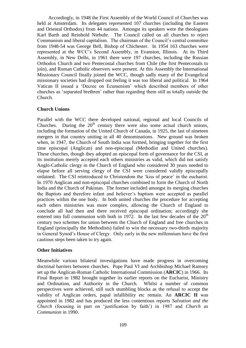Accordingly, in 1948 the First Assembly of the World Council of Churches was held at Amsterdam. Its delegates represented 107 churches (including the Eastern and Oriental Orthodox) from 44 nations. Amongst its speakers were the theologians Karl Barth and Reinhold Niebuhr. The Council called on all churches to reject Communism and liberal capitalism. The chairman of the Council's central committee from 1948-54 was George Bell, Bishop of Chichester. In 1954 163 churches were represented at the WCC's Second Assembly, in Evanston, Illinois. At its Third Assembly, in New Delhi, in 1961 there were 197 churches, including the Russian Orthodox Church and two Pentecostal churches from Chile (the first Pentecostals to join), and Roman Catholic observers were present. At this Assembly the International Missionary Council finally joined the WCC, though sadly many of the Evangelical missionary societies had dropped out feeling it was too liberal and political. In 1964 Vatican II issued a 'Decree on Ecumenism' which described members of other churches as 'separated brethren' rather than regarding them still as totally outside the Church.

## **Church Unions**

Parallel with the WCC there developed national, regional and local Councils of Churches. During the  $20<sup>th</sup>$  century there were also some actual church unions, including the formation of the United Church of Canada, in 1925, the last of nineteen mergers in that country uniting in all 40 denominations. New ground was broken when, in 1947, the Church of South India was formed, bringing together for the first time episcopal (Anglican) and non-episcopal (Methodist and United churches). These churches, though they adopted an episcopal form of governance for the CSI, at its institution merely accepted each others ministries as valid, which did not satisfy Anglo-Catholic clergy in the Church of England who considered 30 years needed to elapse before all serving clergy of the CSI were considered validly episcopally ordained. The CSI reintroduced to Christendom the 'kiss of peace' in the eucharist. In 1970 Anglican and non-episcopal churches combined to form the Church of North India and the Church of Pakistan. The former included amongst its merging churches the Baptists and therefore infant and believer's baptism were accepted as parallel practices within the one body. In both united churches the procedure for accepting each others ministries was more complex, allowing the Church of England to conclude all had then and there received episcopal ordination; accordingly she entered into full communion with both in 1972. In the last few decades of the  $20<sup>th</sup>$ century two schemes for union between the Church of England and free churches in England (principally the Methodists) failed to win the necessary two-thirds majority in General Synod's House of Clergy. Only early in the new millennium have the first cautious steps been taken to try again.

## **Other Initiatives**

Meanwhile various bilateral investigations have made progress in overcoming doctrinal barriers between churches. Pope Paul VI and Archbishop Michael Ramsey set up the Anglican-Roman Catholic International Commission (**ARCIC**) in 1966. Its Final Report in 1982 brought together its earlier reports on the Eucharist, Ministry and Ordination, and Authority in the Church. Whilst a number of common perspectives were achieved, still such stumbling blocks as the refusal to accept the validity of Anglican orders, papal infallibility etc remain. An **ARCIC II** was appointed in 1982 and has produced the less contentious reports *Salvation and the Church* (focusing in part on 'justification by faith') in 1987 and *Church as Communion* in 1990.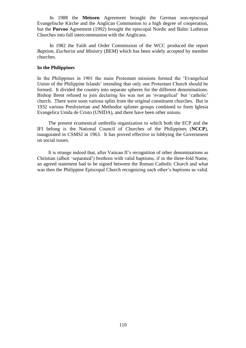In 1988 the **Meissen** Agreement brought the German non-episcopal Evangelische Kirche and the Anglican Communion to a high degree of cooperation, but the **Porvoo** Agreement (1992) brought the episcopal Nordic and Baltic Lutheran Churches into full intercommunion with the Anglicans.

In 1982 the Faith and Order Commission of the WCC produced the report *Baptism, Eucharist and Ministry* (BEM) which has been widely accepted by member churches.

#### **In the Philippines**

In the Philippines in 1901 the main Protestant missions formed the 'Evangelical Union of the Philippine Islands' intending that only one Protestant Church should be formed. It divided the country into separate spheres for the different denominations. Bishop Brent refused to join declaring his was not an 'evangelical' but 'catholic' church. There were soon various splits from the original constituent churches. But in 1932 various Presbyterian and Methodist splinter groups combined to form Iglesia Evangelica Unida de Cristo (UNIDA), and there have been other unions.

The present ecumenical umbrella organization to which both the ECP and the IFI belong is the National Council of Churches of the Philippines (**NCCP**), inaugurated in CSMSJ in 1963. It has proved effective in lobbying the Government on social issues.

It is strange indeed that, after Vatican II's recognition of other denominations as Christian (albeit 'separated') brethren with valid baptisms, if in the three-fold Name, an agreed statement had to be signed between the Roman Catholic Church and what was then the Philippine Episcopal Church recognizing each other's baptisms as valid.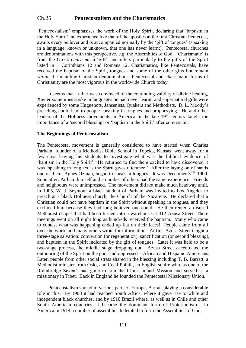# Ch.25 **Pentecostalism and the Charismatics**

'Pentecostalism' emphasises the work of the Holy Spirit, declaring that 'baptism in the Holy Spirit', an experience like that of the apostles at the first Christian Pentecost, awaits every believer and is accompanied normally by the 'gift of tongues' (speaking in a language, known or unknown, that one has never learnt). Pentecostal churches are denominations with this perspective, e.g. the Assemblies of God. 'Charismatic' is from the Greek *charisma,* a 'gift', and refers particularly to the gifts of the Spirit listed in 1 Corinthians 12 and Romans 12. Charismatics, like Pentecostals, have received the baptism of the Spirit, tongues and some of the other gifts but remain *within* the mainline Christian denominations. Pentecostal and charismatic forms of Christianity are the most vigorous in the worldwide Church today.

It seems that Luther was convinced of the continuing validity of divine healing, Xavier sometimes spoke in languages he had never learnt, and supernatural gifts were experienced by some Huguenots, Jansenists, Quakers and Methodists. D. L. Moody's preaching could lead to people speaking in tongues and prophesying. He and other leaders of the Holiness movements in America in the late 19<sup>th</sup> century taught the importance of a 'second blessing' or 'baptism in the Spirit' after conversion.

#### **The Beginnings of Pentecostalism**

The Pentecostal movement is generally considered to have started when Charles Parham, founder of a Methodist Bible School in Topeka, Kansas, went away for a few days leaving his students to investigate what was the biblical evidence of 'baptism in the Holy Spirit'. He returned to find them excited to have discovered it was 'speaking in tongues as the Spirit gives utterance.' After the laying on of hands one of them, Agnes Ozman, began to speak in tongues. It was December  $31<sup>st</sup> 1900$ . Soon after, Parham himself and a number of others had the same experience. Friends and neighbours were unimpressed. The movement did not make much headway until, in 1905, W. J. Seymour a black student of Parham was invited to Los Angeles to preach at a black Holiness church, the Church of the Nazarene. He declared that a Christian could not have baptism in the Spirit without speaking in tongues, and they excluded him because they had long believed one could. He then rented a disused Methodist chapel that had been turned into a warehouse at 312 Azusa Street. There meetings went on all night long as hundreds received the baptism. Many who came to contest what was happening ended up flat on their faces! People came from all over the world and many others wrote for information. At first Azusa Street taught a three-stage salvation: conversion (or regeneration), sanctification (or second blessing), and baptism in the Spirit indicated by the gift of tongues. Later it was held to be a two-stage process, the middle stage dropping out. Azusa Street accentuated the outpouring of the Spirit on the poor and oppressed – African and Hispanic Americans. Later, people from other social strata shared in the blessing including T. B. Barratt, a Methodist minister from Oslo, and Cecil Polhill, an English squire who, as one of the 'Cambridge Seven', had gone to join the China Inland Mission and served as a missionary in Tibet. Back in England he founded the Pentecostal Missionary Union.

Pentecostalism spread to various parts of Europe, Barratt playing a considerable role in this. By 1908 it had reached South Africa, where it gave rise to white and independent black churches, and by 1910 Brazil where, as well as in Chile and other South American countries, it became the dominant form of Protestantism. In America in 1914 a number of assemblies federated to form the Assemblies of God,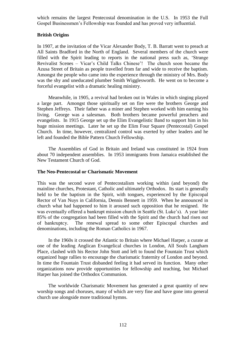which remains the largest Pentecostal denomination in the U.S. In 1953 the Full Gospel Businessmen's Fellowship was founded and has proved very influential.

### **British Origins**

In 1907, at the invitation of the Vicar Alexander Body, T. B. Barratt went to preach at All Saints Bradford in the North of England. Several members of the church were filled with the Spirit leading to reports in the national press such as, 'Strange Revivalist Scenes – Vicar's Child Talks Chinese'! The church soon became the Azusa Street of Britain as people travelled from far and wide to receive the baptism. Amongst the people who came into the experience through the ministry of Mrs. Body was the shy and uneducated plumber Smith Wigglesworth. He went on to become a forceful evangelist with a dramatic healing ministry.

Meanwhile, in 1905, a revival had broken out in Wales in which singing played a large part. Amongst those spiritually set on fire were the brothers George and Stephen Jeffreys. Their father was a miner and Stephen worked with him earning his living. George was a salesman. Both brothers became powerful preachers and evangelists. In 1915 George set up the Elim Evangelistic Band to support him in his huge mission meetings. Later he set up the Elim Four Square (Pentecostal) Gospel Church. In time, however, centralized control was exerted by other leaders and he left and founded the Bible Pattern Church Fellowship.

The Assemblies of God in Britain and Ireland was constituted in 1924 from about 70 independent assemblies. In 1953 immigrants from Jamaica established the New Testament Church of God.

#### **The Neo-Pentecostal or Charismatic Movement**

This was the second wave of Pentecostalism working within (and beyond) the mainline churches, Protestant, Catholic and ultimately Orthodox. Its start is generally held to be the baptism in the Spirit, with tongues, experienced by the Episcopal Rector of Van Nuys in California, Dennis Bennett in 1959. When he announced in church what had happened to him it aroused such opposition that he resigned. He was eventually offered a bankrupt mission church in Seattle (St. Luke's). A year later 85% of the congregation had been filled with the Spirit and the church had risen out of bankruptcy. The renewal spread to some other Episcopal churches and denominations, including the Roman Catholics in 1967.

In the 1960s it crossed the Atlantic to Britain where Michael Harper, a curate at one of the leading Anglican Evangelical churches in London, All Souls Langham Place, clashed with his Rector John Stott and left to found the Fountain Trust which organized huge rallies to encourage the charismatic fraternity of London and beyond. In time the Fountain Trust disbanded feeling it had served its function. Many other organizations now provide opportunities for fellowship and teaching, but Michael Harper has joined the Orthodox Communion.

The worldwide Charismatic Movement has generated a great quantity of new worship songs and choruses, many of which are very fine and have gone into general church use alongside more traditional hymns.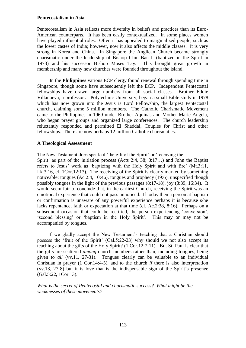#### **Pentecostalism in Asia**

Pentecostalism in Asia reflects more diversity in beliefs and practices than its Euro-American counterparts. It has been easily contextualized. In some places women have played influential roles. Often it has appealed to marginalized people, such as the lower castes of India; however, now it also affects the middle classes. It is very strong in Korea and China. In Singapore the Anglican Church became strongly charismatic under the leadership of Bishop Chiu Ban It (baptized in the Spirit in 1973) and his successor Bishop Moses Tay. This brought great growth in membership and many new churches were founded throughout the island.

In the **Philippines** various ECP clergy found renewal through spending time in Singapore, though some have subsequently left the ECP. Independent Pentecostal fellowships have drawn large numbers from all social classes. Brother Eddie Villanueva, a professor at Polytechnic University, began a small Bible study in 1978 which has now grown into the Jesus is Lord Fellowship, the largest Pentecostal church, claiming some 5 million members. The Catholic Charismatic Movement came to the Philippines in 1969 under Brother Aquinas and Mother Marie Angela, who began prayer groups and organized large conferences. The church leadership reluctantly responded and permitted El Shaddai, Couples for Christ and other fellowships. There are now perhaps 12 million Catholic charismatics.

## **A Theological Assessment**

The New Testament does speak of 'the gift of the Spirit' or 'receiving the Spirit' as part of the initiation process (Acts 2:4, 38; 8:17…) and John the Baptist refers to Jesus' work as 'baptizing with the Holy Spirit and with fire' (Mt.3:11, Lk.3:16, cf. 1Cor.12:13). The receiving of the Spirit is clearly marked by something noticeable: tongues (Ac.2:4, 10:46), tongues and prophecy (19:6), unspecified though possibly tongues in the light of the previous passages (8:17-18), joy (8:39, 16:34). It would seem fair to conclude that, in the earliest Church, receiving the Spirit was an emotional experience that could not pass unnoticed. If today then a person at baptism or confirmation is unaware of any powerful experience perhaps it is because s/he lacks repentance, faith or expectation at that time (cf. Ac.2:38, 8:16). Perhaps on a subsequent occasion that could be rectified, the person experiencing 'conversion', 'second blessing' or 'baptism in the Holy Spirit'. This may or may not be accompanied by tongues.

If we gladly accept the New Testament's teaching that a Christian should possess the 'fruit of the Spirit' (Gal.5:22-23) why should we not also accept its teaching about the gifts of the Holy Spirit? (1 Cor.12:7-11) But St. Paul is clear that the gifts are scattered *among* church members rather than, including tongues, being given to *all* (vv.11, 27-31). Tongues clearly can be valuable to an individual Christian in prayer (1 Cor.14:4-5), and to the church *if* there is also interpretation (vv.13, 27-8) but it is love that is the indispensable sign of the Spirit's presence (Gal.5:22, 1Cor.13).

*What is the secret of Pentecostal and charismatic success? What might be the weaknesses of these movements?*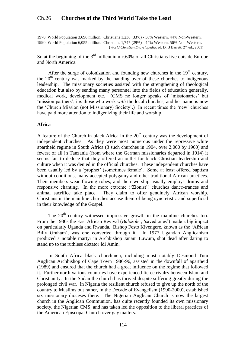# Ch.26 **Churches of the Third World Take the Lead**

1970: World Population 3,696 million. Christians 1,236 (33%) - 56% Western, 44% Non-Western. 1990: World Population 6,055 million. Christians 1,747 (29%) - 44% Western, 56% Non-Western. (*World Christian Encyclopedia*, ed. D. B Barrett, 2nd ed., 2001)

So at the beginning of the  $3<sup>rd</sup>$  millennium c.60% of all Christians live outside Europe and North America.

After the surge of colonization and founding new churches in the  $19<sup>th</sup>$  century, the  $20<sup>th</sup>$  century was marked by the handing over of these churches to indigenous leadership. The missionary societies assisted with the strengthening of theological education but also by sending many personnel into the fields of education generally, medical work, development etc. (CMS no longer speaks of 'missionaries' but 'mission partners', i.e. those who work *with* the local churches, and her name is now the 'Church Mission (not Missionary) Society'.) In recent times the 'new' churches have paid more attention to indigenizing their life and worship.

#### **Africa**

A feature of the Church in black Africa in the  $20<sup>th</sup>$  century was the development of independent churches. As they were most numerous under the repressive white apartheid regime in South Africa (3 such churches in 1904, over 2,000 by 1960) and fewest of all in Tanzania (from where the German missionaries departed in 1914) it seems fair to deduce that they offered an outlet for black Christian leadership and culture when it was denied in the official churches. These independent churches have been usually led by a 'prophet' (sometimes female). Some at least offered baptism without conditions, many accepted polygamy and other traditional African practices. Their members wear flowing robes, and their worship usually employs drums and responsive chanting. In the more extreme ('Zionist') churches dance-trances and animal sacrifice take place. They claim to offer genuinely African worship. Christians in the mainline churches accuse them of being syncretistic and superficial in their knowledge of the Gospel.

The  $20<sup>th</sup>$  century witnessed impressive growth in the mainline churches too. From the 1930s the East African Revival (*Balokole* , 'saved ones') made a big impact on particularly Uganda and Rwanda. Bishop Festo Kivengere, known as the 'African Billy Graham', was one converted through it. In 1977 Ugandan Anglicanism produced a notable martyr in Archbishop Janani Luwum, shot dead after daring to stand up to the ruthless dictator Idi Amin.

In South Africa black churchmen, including most notably Desmond Tutu Anglican Archbishop of Cape Town 1986-96, assisted in the downfall of apartheid (1989) and ensured that the church had a great influence on the regime that followed it. Further north various countries have experienced fierce rivalry between Islam and Christianity. In the Sudan the church has thrived despite suffering greatly during the prolonged civil war. In Nigeria the resilient church refused to give up the north of the country to Muslims but rather, in the Decade of Evangelism (1990-2000), established six missionary dioceses there. The Nigerian Anglican Church is now the largest church in the Anglican Communion, has quite recently founded its own missionary society, the Nigerian CMS, and has taken led the opposition to the liberal practices of the American Episcopal Church over gay matters.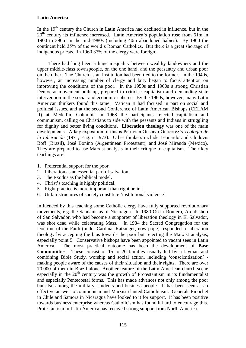## **Latin America**

In the  $19<sup>th</sup>$  century the Church in Latin America had declined in influence, but in the 20<sup>th</sup> century its influence increased. Latin America's population rose from 61m in 1900 to 390m in the mid-1980s (including 40m abandoned babies). By 1960 the continent held 35% of the world's Roman Catholics. But there is a great shortage of indigenous priests. In 1960 37% of the clergy were foreign.

There had long been a huge inequality between wealthy landowners and the upper middle-class townspeople, on the one hand, and the peasantry and urban poor on the other. The Church as an institution had been tied to the former. In the 1940s, however, an increasing number of clergy and laity began to focus attention on improving the conditions of the poor. In the 1950s and 1960s a strong Christian Democrat movement built up, prepared to criticise capitalism and demanding state intervention in the social and economic spheres. By the 1960s, however, many Latin American thinkers found this tame. Vatican II had focused in part on social and political issues, and at the second Conference of Latin American Bishops (CELAM II) at Medellín, Columbia in 1968 the participants rejected capitalism and communism, calling on Christians to side with the peasants and Indians in struggling for dignity and better living conditions. **Liberation theology** was one of the main developments. A key exposition of this is Peruvian Gustavo Gutierrez's *Teología de la Liberación* (1971, Eng.tr. 1973). Other thinkers include Leonardo and Clodovis Boff (Brazil), José Bonino (Argentinean Protestant), and José Miranda (Mexico). They are prepared to use Marxist analysis in their critique of capitalism. Their key teachings are:

- 1. Preferential support for the poor.
- 2. Liberation as an essential part of salvation.
- 3. The Exodus as the biblical model.
- 4. Christ's teaching is highly political.
- 5. Right practice is more important than right belief.
- 6. Unfair structures of society constitute 'institutional violence'.

Influenced by this teaching some Catholic clergy have fully supported revolutionary movements, e.g. the Sandanistas of Nicaragua. In 1980 Oscar Romero, Archbishop of San Salvador, who had become a supporter of liberation theology in El Salvador, was shot dead while celebrating Mass. In 1984 the Sacred Congregation for the Doctrine of the Faith (under Cardinal Ratzinger, now pope) responded to liberation theology by accepting the bias towards the poor but rejecting the Marxist analysis, especially point 5. Conservative bishops have been appointed to vacant sees in Latin America. The most practical outcome has been the development of **Base Communities**. These consist of 15 to 20 families usually led by a layman and combining Bible Study, worship and social action, including 'conscientization' making people aware of the causes of their situation and their rights. There are over 70,000 of them in Brazil alone. Another feature of the Latin American church scene especially in the  $20<sup>th</sup>$  century was the growth of Protestantism in its fundamentalist and especially Pentecostal forms. This has made advances not only among the poor but also among the military, students and business people. It has been seen as an effective answer to communism and Marxist-slanted Catholicism. Generals Pinochet in Chile and Samora in Nicaragua have looked to it for support. It has been positive towards business enterprise whereas Catholicism has found it hard to encourage this. Protestantism in Latin America has received strong support from North America.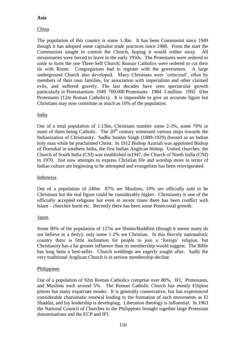## **Asia**

## China

The population of this country is some 1.3bn. It has been Communist since 1949 though it has adopted some capitalist trade practices since 1980. From the start the Communists sought to control the Church, hoping it would wither away. All missionaries were forced to leave in the early 1950s. The Protestants were ordered to unite to form the one Three-Self Church; Roman Catholics were ordered to cut their tie with Rome. Congregations had to register with the government. A large underground Church also developed. Many Christians were 'criticized', often by members of their own families, for association with imperialism and other claimed evils, and suffered gravely. The last decades have seen spectacular growth particularly in Protestantism: 1949 700,000 Protestants 1984 3 million 1992 63m Protestants (12m Roman Catholics). It is impossible to give an accurate figure but Christians may now constitute as much as 10% of the population.

## India

Out of a total population of 1.15bn, Christians number some 2-3%, some 70% or more of them being Catholic. The  $20<sup>th</sup>$  century witnessed various steps towards the Indianization of Christianity. Sadhu Sundar Singh (1889-1929) dressed as an Indian holy man while he proclaimed Christ. In 1912 Bishop Azariah was appointed Bishop of Dornakal in southern India, the first Indian Anglican bishop. United churches: the Church of South India (CSI) was established in1947, the Church of North India (CNI) in 1970. Just now attempts to express Christian life and worship more in terms of Indian culture are beginning to be attempted and evangelism has been reinvigorated.

#### Indonesia

Out of a population of 240m 87% are Muslims, 10% are officially said to be Christians but the real figure could be considerably higher. Christianity is one of the officially accepted religions but even in recent times there has been conflict with Islam – churches burnt etc. Recently there has been some Pentecostal growth.

## **Japan**

Some 90% of the population of 127m are Shinto/Buddhist (though it seems many do not believe in a deity); only some 1-2% are Christian. In this fiercely nationalistic country there is little inclination for people to join a 'foreign' religion, but Christianity has a far greater influence than its membership would suggest. The Bible has long been a best-seller. Church weddings are eagerly sought after. Sadly the very traditional Anglican Church is in serious membership decline.

#### Philippines

Out of a population of 92m Roman Catholics comprise over 80%, IFI, Protestants, and Muslims each around 5%. The Roman Catholic Church has mostly Filipino priests but many expatriate monks. It is generally conservative, but has experienced considerable charismatic renewal leading to the formation of such movements as El Shaddai, and lay leadership is developing. Liberation theology is influential. In 1963 the National Council of Churches in the Philippines brought together large Protestant denominations and the ECP and IFI.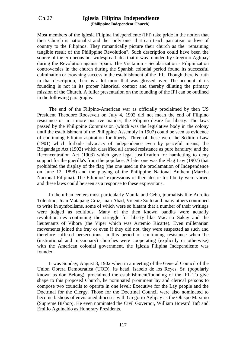#### Ch.27 **Iglesia Filipina Independiente (Philippine Independent Church)**

Most members of the Iglesia Filipina Independiente (IFI) take pride in the notion that their Church is nationalist and the "only one" that can teach patriotism or love of country to the Filipinos. They romantically picture their church as the "remaining tangible result of the Philippine Revolution". Such description could have been the source of the erroneous but widespread idea that it was founded by Gregorio Aglipay during the Revolution against Spain. The Visitation - Secularization - Filipinization controversies in the church during the Spanish colonial period found its successful culmination or crowning success in the establishment of the IFI. Though there is truth in that description, there is a lot more that was glossed over. The account of its founding is not in its proper historical context and thereby diluting the primary mission of the Church. A fuller presentation on the founding of the IFI can be outlined in the following paragraphs.

The end of the Filipino-American war as officially proclaimed by then US President Theodore Roosevelt on July 4, 1902 did not mean the end of Filipino resistance or in a more positive manner, the Filipino desire for liberty. The laws passed by the Philippine Commission (which was the legislative body in the colony until the establishment of the Philippine Assembly in 1907) could be seen as evidence of continuing Filipino aspiration for liberty. Three of these were the Sedition Law (1901) which forbade advocacy of independence even by peaceful means; the Brigandage Act (1902) which classified all armed resistance as pure banditry; and the Reconcentration Act (1903) which gave legal justification for hamletting to deny support for the guerilla's from the populace. A later one was the Flag Law (1907) that prohibited the display of the flag (the one used in the proclamation of Independence on June 12, 1898) and the playing of the Philippine National Anthem (Marcha Nacional Filipina). The Filipinos' expressions of their desire for liberty were varied and these laws could be seen as a response to these expressions.

In the urban centers most particularly Manila and Cebu, journalists like Aurelio Tolentino, Juan Matapang Cruz, Juan Abad, Vicente Sotto and many others continued to write in symbolisms, some of which were so blatant that a number of their writings were judged as seditious. Many of the then known bandits were actually revolutionaries continuing the struggle for liberty like Macario Sakay and the lieutenants of Vibora (the Viper which was Artemio Ricarte). Even millenarian movements joined the fray or even if they did not, they were suspected as such and therefore suffered persecutions. In this period of continuing resistance when the (institutional and missionary) churches were cooperating (explicitly or otherwise) with the American colonial government, the Iglesia Filipina Independiente was founded.

It was Sunday, August 3, 1902 when in a meeting of the General Council of the Union Obrera Democratica (UOD), its head, Isabelo de los Reyes, Sr. (popularly known as don Belong), proclaimed the establishment/founding of the IFI. To give shape to this proposed Church, he nominated prominent lay and clerical persons to compose two councils to operate in one level: Executive for the Lay people and the Doctrinal for the Clergy. Those for the Doctrinal Council were also nominated to become bishops of envisioned dioceses with Gregorio Aglipay as the Obispo Maximo (Supreme Bishop). He even nominated the Civil Governor, William Howard Taft and Emilio Aguinaldo as Honorary Presidents.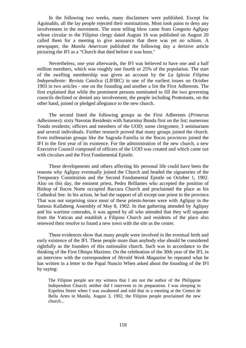In the following two weeks, many disclaimers were published. Except for Aguinaldo, all the lay people rejected their nominations. Most took pains to deny any involvement in the movement. The most telling blow came from Gregorio Aglipay whose circular to the Filipino clergy dated August 16 was published on August 20 called them for a meeting to give assurance that there was yet no schism. A newspaper, the *Manila American* published the following day a derisive article picturing the IFI as a "Church that died before it was born."

Nevertheless, one year afterwards, the IFI was believed to have one and a half million members, which was roughly one fourth or 25% of the population. The start of the swelling membership was given an account by the *La Iglesia Filipina Independiente: Revista Catolica* (LIFIRC) in one of the earliest issues on October 1903 in two articles - one on the founding and another a list the First Adherents. The first explained that while the prominent persons nominated to fill the two governing councils declined or denied any involvement, the people including Protestants, on the other hand, joined or pledged allegiance to the new church.

The second listed the following groups as the First Adherents (*Primeras Adhesiones*): sixty Navotas Residents with Saturnina Bunda first on the list; numerous Tondo residents; officers and members of the UOD; some clergymen; 3 seminarians and several individuals. Further research proved that many groups joined the church. Even millenarian groups like the Sagrada Familia in the Ilocos provinces joined the IFI in the first year of its existence. For the administration of the new church, a new Executive Council composed of officers of the UOD was created and which came out with circulars and the First Fundamental Epistle.

These developments and others affecting his personal life could have been the reasons why Aglipay eventually joined the Church and headed the signatories of the Temporary Constitution and the Second Fundamental Epistle on October 1, 1902. Also on this day, the eminent priest, Pedro Brillantes who accepted the position of Bishop of Ilocos Norte occupied Baccara Church and proclaimed the place as his Cathedral See. In his action, he had the support of all except one priest in the province. That was not surprising since most of these priests-heroes were with Aglipay in the famous Kullabeng Assembly of May 8, 1902. In that gathering attended by Aglipay and his wartime comrades, it was agreed by all who attended that they will separate from the Vatican and establish a Filipino Church and residents of the place also renewed their resolve to found a new town with the site as the center.

These evidences show that many people were involved in the eventual birth and early existence of the IFI. These people more than anybody else should be considered rightfully as the founders of this nationalist church. Such was in accordance to the thinking of the First Obispo Maximo. On the celebration of the 30th year of the IFI, in an interview with the correspondent of *Herald Week Magazine* he repeated what he has written in a letter to the Papal Nuncio When asked about the founding of the IFI by saying:

The Filipino people are my witness that I am not the author of the Philippine Independent Church; neither did I intervene in its preparation. I was sleeping in Ezpeleta Street when I was awakened and told that in a meeting at the Centro de Bella Artes in Manila, August 3, 1902, the Filipino people proclaimed the new church...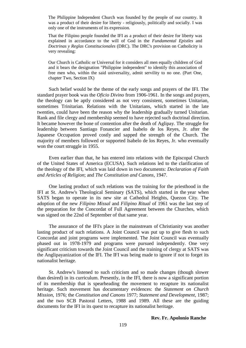The Philippine Independent Church was founded by the people of our country. It was a product of their desire for liberty - religiously, politically and socially. I was only one of the instruments of its expression.

That the Filipino people founded the IFI as a product of their desire for liberty was explained in accordance to the will of God in the *Fundamental Epistles* and *Doctrinas y Reglas Constitucionales* (DRC). The DRC's provision on Catholicity is very revealing:

Our Church is Catholic or Universal for it considers all men equally children of God and it bears the designation "Philippine independent" to identify this association of free men who, within the said universality, admit servility to no one. (Part One, chapter Two, Section IX)

Such belief would be the theme of the early songs and prayers of the IFI. The standard prayer book was the *Oficio Divino* from 1906-1961. In the songs and prayers, the theology can be aptly considered as not very consistent, sometimes Unitarian, sometimes Trinitarian. Relations with the Unitarians, which started in the late twenties, could have been the reason why the leadership gradually turned Unitarian. Rank and file clergy and membership seemed to have rejected such doctrinal direction. It became however the bone of contention after the death of Aglipay. The struggle for leadership between Santiago Fonancier and Isabelo de los Reyes, Jr. after the Japanese Occupation proved costly and sapped the strength of the Church. The majority of members followed or supported Isabelo de los Reyes, Jr. who eventually won the court struggle in 1955.

Even earlier than that, he has entered into relations with the Episcopal Church of the United States of America (ECUSA). Such relations led to the clarification of the theology of the IFI, which was laid down in two documents: *Declaration of Faith and Articles of Religion*; and *The Constitution and Canons*, 1947.

One lasting product of such relations was the training for the priesthood in the IFI at St. Andrew's Theological Seminary (SATS), which started in the year when SATS began to operate in its new site at Cathedral Heights, Quezon City. The adoption of the new *Filipino Missal* and *Filipino Ritual* of 1961 was the last step of the preparation for the Concordat of Full Agreement between the Churches, which was signed on the 22nd of September of that same year.

The assurance of the IFI's place in the mainstream of Christianity was another lasting product of such relations. A Joint Council was put up to give flesh to such Concordat and joint programs were implemented. The Joint Council was eventually phased out in 1978-1979 and programs were pursued independently. One very significant criticism towards the Joint Council and the training of clergy at SATS was the Anglipayanization of the IFI. The IFI was being made to ignore if not to forget its nationalist heritage.

St. Andrew's listened to such criticism and so made changes (though slower than desired) in its curriculum. Presently, in the IFI, there is now a significant portion of its membership that is spearheading the movement to recapture its nationalist heritage. Such movement has documentary evidences: the *Statement on Church Mission*, 1976; the *Constitution and Canons* 1977; *Statement and Development*, 1987; and the two SCB Pastoral Letters, 1988 and 1989. All these are the guiding documents for the IFI in its quest to recapture its nationalist heritage.

#### **Rev. Fr. Apolonio Ranche**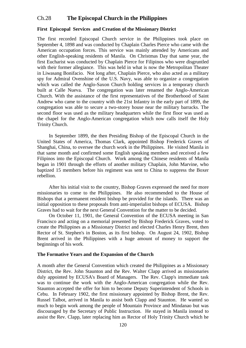## Ch.28 **The Episcopal Church in the Philippines**

#### **First Episcopal Services and Creation of the Missionary District**

The first recorded Episcopal Church service in the Philippines took place on September 4, 1898 and was conducted by Chaplain Charles Pierce who came with the American occupation forces. This service was mainly attended by Americans and other English-speaking residents of Manila. On Christmas Day that same year, the first Eucharist was conducted by Chaplain Pierce for Filipinos who were disgruntled with their former allegiance. This was held in what is now the Metropolitan Theater in Liwasang Bonifacio. Not long after, Chaplain Pierce, who also acted as a military spy for Admiral Ovenshine of the U.S. Navy, was able to organize a congregation which was called the Anglo-Saxon Church holding services in a temporary church built at Calle Nueva. The congregation was later renamed the Anglo-American Church. With the assistance of the first representatives of the Brotherhood of Saint Andrew who came to the country with the 21st Infantry in the early part of 1899, the congregation was able to secure a two-storey house near the military barracks. The second floor was used as the military headquarters while the first floor was used as the chapel for the Anglo-American congregation which now calls itself the Holy Trinity Church.

In September 1899, the then Presiding Bishop of the Episcopal Church in the United States of America, Thomas Clark, appointed Bishop Frederick Graves of Shanghai, China, to oversee the church work in the Philippines. He visited Manila in that same month and confirmed some English speaking members and received a few Filipinos into the Episcopal Church. Work among the Chinese residents of Manila began in 1901 through the efforts of another military Chaplain, John Marvine, who baptized 15 members before his regiment was sent to China to suppress the Boxer rebellion.

After his initial visit to the country, Bishop Graves expressed the need for more missionaries to come to the Philippines. He also recommended to the House of Bishops that a permanent resident bishop be provided for the islands. There was an initial opposition to these proposals from anti-imperialist bishops of ECUSA. Bishop Graves had to wait for the next General Convention for the matter to be decided.

On October 11, 1901, the General Convention of the ECUSA meeting in San Francisco and acting on a memorial presented by Bishop Frederick Graves, voted to create the Philippines as a Missionary District and elected Charles Henry Brent, then Rector of St. Stephen's in Boston, as its first bishop. On August 24, 1902, Bishop Brent arrived in the Philippines with a huge amount of money to support the beginnings of his work.

#### **The Formative Years and the Expansion of the Church**

A month after the General Convention which created the Philippines as a Missionary District, the Rev. John Staunton and the Rev. Walter Clapp arrived as missionaries duly appointed by ECUSA's Board of Managers. The Rev. Clapp's immediate task was to continue the work with the Anglo-American congregation while the Rev. Staunton accepted the offer for him to become Deputy Superintendent of Schools in Cebu. In February 1902, the first missionary appointed by Bishop Brent, the Rev. Russel Talbot, arrived in Manila to assist both Clapp and Staunton. He wanted so much to begin work among the people of Mountain Province and Mindanao but was discouraged by the Secretary of Public Instruction. He stayed in Manila instead to assist the Rev. Clapp, later replacing him as Rector of Holy Trinity Church which he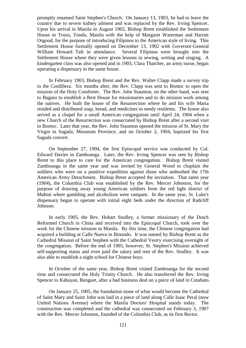promptly renamed Saint Stephen's Church. On January 13, 1903, he had to leave the country due to severe kidney ailment and was replaced by the Rev. Irving Spencer. Upon his arrival in Manila in August 1902, Bishop Brent established the Settlement House in Trozo, Tondo, Manila with the help of Margaret Waterman and Harriet Osgood, for the purpose of introducing Filipinos to the American style of living. This Settlement House formally opened on December 13, 1902 with Governor-General William Howard Taft in attendance. Several Filipinos were brought into the Settlement House where they were given lessons in sewing, writing and singing. A kindergarten class was also opened and in 1903, Clara Thatcher, an army nurse, began operating a dispensary in the same house.

In February 1903, Bishop Brent and the Rev. Walter Clapp made a survey trip to the Cordillera. Six months after, the Rev. Clapp was sent to Bontoc to open the mission of the Holy Comforter. The Rev. John Staunton, on the other hand, was sent to Baguio to establish a Rest House for missionaries and to do mission work among the natives. He built the house of the Resurrection where he and his wife Maria resided and distributed soap, bread, and medicines to needy residents. The house also served as a chapel for a small American congregation until April 24, 1904 when a new Church of the Resurrection was consecrated by Bishop Brent after a second visit to Bontoc. Later that year, the Rev. John Staunton opened the mission of St. Mary the Virgin in Sagada, Mountain Province, and on October 2, 1904, baptized his first Sagada convert.

On September 27, 1904, the first Episcopal service was conducted by Col. Edward Davies in Zamboanga. Later, the Rev. Irving Spencer was sent by Bishop Brent to this place to care for the American congregation. Bishop Brent visited Zamboanga in the same year and was invited by General Wood to chaplain the soldiers who were on a punitive expedition against those who ambushed the 17th American Army Detachment. Bishop Brent accepted the invitation. That same year (1904), the Columbia Club was established by the Rev. Mercer Johnston, for the purpose of drawing away young American soldiers from the red light district of Mabini where gambling and alcoholism were rampant. In the same year, St. Luke's dispensary began to operate with initial eight beds under the direction of Radcliff Johnson.

In early 1905, the Rev. Hobart Studley, a former missionary of the Dutch Reformed Church in China and received into the Episcopal Church, took over the work for the Chinese mission in Manila. By this time, the Chinese congregation had acquired a building at Calle Nueva in Binondo. It was named by Bishop Brent as the Cathedral Mission of Saint Stephen with the Cathedral Vestry exercising oversight of the congregation. Before the end of 1905, however, St. Stephen's Mission achieved self-supporting status and even paid the salary and rent of the Rev. Studley. It was also able to establish a night school for Chinese boys.

In October of the same year, Bishop Brent visited Zamboanga for the second time and consecrated the Holy Trinity Church. He also transferred the Rev. Irving Spencer to Kabayan, Benguet, after a bad business deal on a piece of land in Cotabato.

On January 25, 1905, the foundation stone of what would become the Cathedral of Saint Mary and Saint John was laid in a piece of land along Calle Isaac Peral (now United Nations Avenue) where the Manila Doctors' Hospital stands today. The construction was completed and the cathedral was consecrated on February 3, 1907 with the Rev. Mercer Johnston, founded of the Columbia Club, as its first Rector.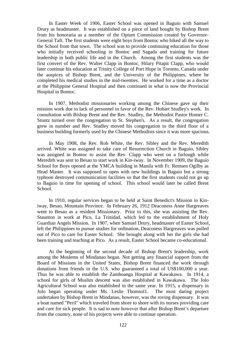In Easter Week of 1906, Easter School was opened in Baguio with Samuel Drury as headmaster. It was established on a piece of land bought by Bishop Brent from his honoraria as a member of the Opium Commission created by Governor-General Taft. The first students were eight boys from Bontoc who hiked all the way to the School from that town. The school was to provide continuing education for those who initially received schooling in Bontoc and Sagada and training for future leadership in both public life and in the Church. Among the first students was the first convert of the Rev. Walter Clapp in Bontoc, Hilary Pitapit Clapp, who would later continue his education at Trinity College of Port Hope in Toronto, Canada under the auspices of Bishop Brent, and the University of the Philippines, where he completed his medical studies in the mid-twenties. He worked for a time as a doctor at the Philippine General Hospital and then continued in what is now the Provincial Hospital in Bontoc.

In 1907, Methodist missionaries working among the Chinese gave up their mission work due to lack of personnel in favor of the Rev. Hobart Studley's work. In consultation with Bishop Brent and the Rev. Studley, the Methodist Pastor Homer C. Stuntz turned over the congregation to St. Stephen's. As a result, the congregation grew in number and Rev. Studley moved his congregation to the third floor of a business building formerly used by the Chinese Methodists since it was more spacious.

In May 1908, the Rev. Rob White, the Rev. Sibley and the Rev. Meredith arrived. White was assigned to take care of Resurrection Church in Baguio, Sibley was assigned in Bontoc to assist the Rev. Clapp who went on a furlough while Meredith was sent to Besao to start work in Kin-iway. In November 1909, the Baguio School for Boys opened at the YMCA building in Manila with Fr. Remsen Ogilby as Head Master. It was supposed to open with new buildings in Baguio but a strong typhoon destroyed communication facilities so that the first students could not go up to Baguio in time for opening of school. This school would later be called Brent School.

In 1910, regular services began to be held at Saint Benedict's Mission in Kiniway, Besao, Mountain Province. In February 26, 1912 Deaconess Anne Hargreaves went to Besao as a resident Missionary. Prior to this, she was assisting the Rev. Staunton in work at Pico, La Trinidad, which led to the establishment of Holy Guardian Angels Mission. In 1907, when Samuel Drury, headmaster of Easter School, left the Philippines to pursue studies for ordination, Deaconess Hargreaves was pulled out of Pico to care for Easter School. She brought along with her the girls she had been training and teaching at Pico. As a result, Easter School became co-educational.

At the beginning of the second decade of Bishop Brent's leadership, work among the Moslems of Mindanao began. Not getting any financial support from the Board of Missions in the United States, Bishop Brent financed the work through donations from friends in the U.S. who guaranteed a total of US\$100,000 a year. Thus he was able to establish the Zamboanga Hospital at Kawakawa. In 1914, a school for girls of Muslim descent was also established in Kawakawa. The Jolo Agricultural School was also established in the same year. In 1915, a dispensary in Jolo began operating under Ms. Leslie Thomsol1. The most daring project undertaken by Bishop Brent in Mindanao, however, was the roving dispensary. It was a boat named "Peril" which traveled from shore to shore with its nurses providing care and cure for sick people. It is sad to note however that after Bishop Brent's departure from the country, none of his projects were able to continue operation.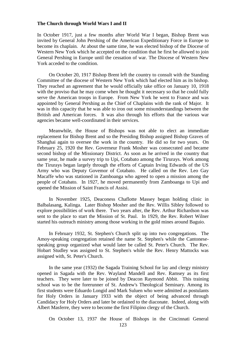#### **The Church through World Wars I and II**

In October 1917, just a few months after World War I began, Bishop Brent was invited by General John Pershing of the American Expeditionary Force in Europe to become its chaplain. At about the same time, he was elected bishop of the Diocese of Western New York which he accepted on the condition that he first be allowed to join General Pershing in Europe until the cessation of war. The Diocese of Western New York acceded to the condition.

On October 20, 1917 Bishop Brent left the country to consult with the Standing Committee of the diocese of Western New York which had elected him as its bishop. They reached an agreement that he would officially take office on January 10, 1918 with the proviso that he may come when he thought it necessary so that he could fully serve the American troops in Europe. From New York he went to France and was appointed by General Pershing as the Chief of Chaplains with the rank of Major. It was in this capacity that he was able to iron out some misunderstandings between the British and American forces. It was also through his efforts that the various war agencies became well-coordinated in their services.

Meanwhile, the House of Bishops was not able to elect an immediate replacement for Bishop Brent and so the Presiding Bishop assigned Bishop Graves of Shanghai again to oversee the work in the country. He did so for two years. On February 25, 1920 the Rev. Governeur Frank Mosher was consecrated and became second bishop of the Missionary District. As soon as he arrived in the country that same year, he made a survey trip to Upi, Cotabato among the Tirurays. Work among the Tirurays began largely through the efforts of Captain Irving Edwards of the US Army who was Deputy Govemor of Cotabato. He called on the Rev. Leo Gay Macaffe who was stationed in Zamboanga who agreed to open a mission among the people of Cotabato. In 1927, he moved permanently from Zamboanga to Upi and opened the Mission of Saint Francis of Assisi.

In November 1925, Deaconess Chaflotte Massey began holding clinic in Balbalasang, Kalinga. Later Bishop Mosher and the Rev. Willis Sibley followed to explore possibilities of work there. Two years after, the Rev. Arthur Richardson was sent to the place to start the Mission of St. Paul. In 1929, the Rev. Robert Wilner started his outreach ministry among those working in the gold mines around Baguio.

In February 1932, St. Stephen's Church split up into two congregations. The Amoy-speaking congregation retained the name St. Stephen's while the Cantonesespeaking group organized what would later be called St. Peter's Church. The Rev. Hobart Studley was assigned to St. Stephen's while the Rev. Henry Mattocks was assigned with, St. Peter's Church.

In the same year (1932) the Sagada Training School for lay and clergy ministry opened in Sagada with the Rev. Wayland Mandell and Rev. Ramsey as its first teachers. They were later to be joined by Deacon Raymond Abbit. This training school was to be the forerunner of St. Andrew's Theological Seminary. Among its first students were Eduardo Longid and Mark Suluen who were admitted as postulants for Holy Orders in January 1933 with the object of being advanced through Candidacy for Holy Orders and later be ordained to the diaconate. Indeed, along with Albert Masferre, they were to become the first Filipino clergy of the Church.

On October 13, 1937 the House of Bishops in the Cincinnati General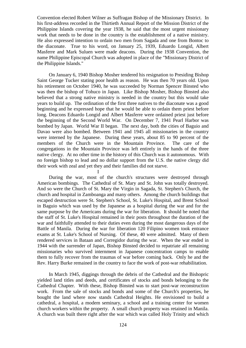Convention elected Robert Wilner as Suffragan Bishop of the Missionary District. In his first-address recorded in the Thirtieth Annual Report of the Mission District of the Philippine Islands covering the year 1938, he said that the most urgent missionary work that needs to be done in the country is the establishment of a native ministry. He also expressed intention to ordain two men from Sagada and one from Bontoc to the diaconate. True to his word, on January 25, 1939, Eduardo Longid, Albert Masferre and Mark Suluen were made deacons. During the 1938 Convention, the name Philippine Episcopal Church was adopted in place of the "Missionary District of the Philippine Islands."

On January 6, 1940 Bishop Mosher tendered his resignation to Presiding Bishop Saint George Tucker stating poor health as reason. He was then 70 years old. Upon his retirement on October 1940, he was succeeded by Norman Spencer Binsted who was then the bishop of Tohuco in Japan. Like Bishop Mosher, Bishop Binsted also believed that a strong native ministry is needed in the country but this would take years to build up. The ordination of the first three natives to the diaconate was a good beginning and he expressed hope that he would be able to ordain them priest before long. Deacons Eduardo Longid and Albert Masferre were ordained priest just before the beginning of the Second World War. On December 7, 1941 Pearl Harbor was bombed by Japan. World War II began. The next day, both the cities of Baguio and Davao were also bombed. Between 1941 and 1945 all missionaries in the country were interned by the Japanese. During these years, about 85 to 90 percent of the members of the Church were in the Mountain Province. The care of the congregations in the Mountain Province was left entirely in the hands of the three native clergy. At no other time in the history of this Church was it autonomous. With no foreign bishop to lead and no dollar support from the U.S. the native clergy did their work with zeal and yet they and their families did not starve.

During the war, most of the church's structures were destroyed through American bombings. The Cathedral of St. Mary and St. John was totally destroyed. And so were the Church of St. Mary the Virgin in Sagada, St. Stephen's Church, the church and hospital in Zamboanga and many others. Among the church buildings that escaped destruction were St. Stephen's School, St. Luke's Hospital, and Brent School in Baguio which was used by the Japanese as a hospital during the war and for the same purpose by the Americans during the war for liberation. It should be noted that the staff of St. Luke's Hospital remained in their posts throughout the duration of the war and faithfully attended to their duties even during the most dangerous days of the Battle of Manila. During the war for liberation 120 Filipino women took entrance exams at St. Luke's School of Nursing. Of these, 40 were admitted. Many of them rendered services in Bataan and Corregidor during the war. When the war ended in 1944 with the surrender of Japan, Bishop Binsted decided to repatriate all remaining missionaries who survived internment in Japanese concentration camps to enable them to fully recover from the traumas of war before coming back. Only he and the Rev. Harry Burke remained in the country to face the work of post-war rehabilitation.

I

In March 1945, diggings through the debris of the Cathedral and the Bishopric yielded land titles and deeds, and certificates of stocks and bonds belonging to the Cathedral Chapter. With these, Bishop Binsted was to start post-war reconstruction work. From the sale of stocks and bonds and some of the Church's properties, he bought the land where now stands Cathedral Heights. He envisioned to build a cathedral, a hospital, a modem seminary, a school and a training center for women church workers within the property. A small church property was retained in Manila. A church was built there right after the war which was called Holy Trinity and which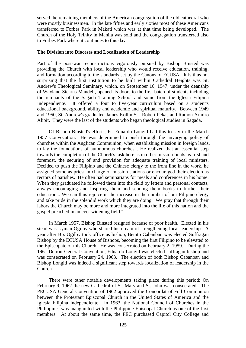served the remaining members of the American congregation of the old cathedral who were mostly businessmen. In the late fifties and early sixties most of these Americans transferred to Forbes Park in Makati which was at that time being developed. The Church of the Holy Trinity in Manila was sold and the congregation transferred also to Forbes Park where it continues to this day.

#### **The Division into Dioceses and Localization of Leadership**

Part of the post-war reconstructions vigorously pursued by Bishop Binsted was providing the Church with local leadership who would receive education, training, and formation according to the standards set by the Canons of ECUSA. It is thus not surprising that the first institution to be built within Cathedral Heights was St. Andrew's Theological Seminary, which, on September 16, 1947, under the deanship of Wayland Stearns Mandell, opened its doors to the first batch of students including the remnants of the Sagada Training School and some from the Iglesia Filipina Independiente. It offered a four to five-year curriculum based on a student's educational background, ability and academic and spiritual maturity. Between 1949 and 1950, St. Andrew's graduated James Kollin Sr., Robert Pekas and Ramon Armiro Alipit. They were the last of the students who began theological studies in Sagada.

Of Bishop Binsted's efforts, Fr. Eduardo Longid had this to say in the March 1957 Convocation: "He was determined to push through the unvarying policy of churches within the Anglican Communion, when establishing mission in foreign lands, to lay the foundations of autonomous churches... He realized that an essential step towards the completion of the Church's task here as in other mission fields, is first and foremost, the securing of and provision for adequate training of local ministers. Decided to push the Filipino and the Chinese clergy to the front line in the work, he assigned some as priest-in-charge of mission stations or encouraged their election as rectors of parishes. He often had seminarians for meals and conferences in his home. When they graduated he followed them into the field by letters and personal contacts, always encouraging and inspiring them and sending them books to further their education... We can thus rejoice in the increase in the number of our Filipino clergy and take pride in the splendid work which they are doing. We pray that through their labors the Church may be more and more integrated into the life of this nation and the gospel preached in an ever widening field."

In March 1957, Bishop Binsted resigned because of poor health. Elected in his stead was Lyman Ogilby who shared his dream of strengthening local leadership. A year after Bp. Ogilby took office as bishop, Benito Cabanban was elected Suffragan Bishop by the ECUSA House of Bishops, becoming the first Filipino to be elevated to the Episcopate of this Church. He was consecrated on February 2, 1959. During the 1961 Detroit General Convention, Eduardo Longid was elected suffragan bishop and was consecrated on February 24, 1963. The election of both Bishop Cabanban and Bishop Longid was indeed a significant step towards localization of leadership in the Church.

There were other notable developments taking place during this period: On February 9, 1962 the new Cathedral of St. Mary and St. John was consecrated. The PECUSA General Convention of 1962 approved the Concordat of Full Communion between the Protestant Episcopal Church in the United States of America and the Iglesia Filipina Independiente. In 1963, the National Council of Churches in the Philippines was inaugurated with the Philippine Episcopal Church as one of the first members. At about the same time, the PEC purchased Capitol City College and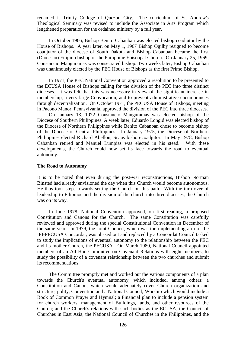renamed it Trinity College of Quezon City. The curriculum of St. Andrew's Theological Seminary was revised to include the Associate in Arts Program which lengthened preparation for the ordained ministry by a full year.

In October 1966, Bishop Benito Cabanban was elected bishop-coadjutor by the House of Bishops. A year later, on May 1, 1967 Bishop Ogilby resigned to become coadjutor of the diocese of South Dakota and Bishop Cabanban became the first (Diocesan) Filipino bishop of the Philippine Episcopal Church. On January 25, 1969, Constancio Manguramas was consecrated bishop. Two weeks later, Bishop Cabanban was unanimously elected by the PEC House of Bishops as the first Prime Bishop.

In 1971, the PEC National Convention approved a resolution to be presented to the ECUSA House of Bishops calling for the division of the PEC into three distinct dioceses. It was felt that this was necessary in view of the significant increase in membership, a very large Convocation, and to prevent administrative encumbrances through decentralization. On October 1971, the PECUSA House of Bishops, meeting in Pacono Manor, Pennsylvania, approved the division of the PEC into three dioceses.

On January 13, 1972 Constancio Manguramas was elected bishop of the Diocese of Southern Philippines. A week later, Eduardo Longid was elected bishop of the Diocese of Northern Philippines while Benito Cabanban chose to become bishop of the Diocese of Central Philippines. In January 1975, the Diocese of Northern Philippines elected Richard Abellon, Sr. as bishop-coadjutor. In May 1978, Bishop Cabanban retired and Manuel Lumpias was elected in his stead. With these developments, the Church could now set its face towards the road to eventual autonomy.

#### **The Road to Autonomy**

It is to be noted that even during the post-war reconstructions, Bishop Norman Binsted had already envisioned the day when this Church would become autonomous. He thus took steps towards setting the Church on this path. With the turn over of leadership to Filipinos and the division of the church into three dioceses, the Church was on its way.

In June 1978, National Convention approved, on first reading, a proposed Constitution and Canons for the Church. The same Constitution was carefully reviewed and approved during the special Constitutional Convention in December of the same year. In 1979, the Joint Council, which was the implementing arm of the IFI-PECUSA Concordat, was phased out and replaced by a Concordat Council tasked to study the implications of eventual autonomy to the relationship between the PEC and its mother Church, the PECUSA. On March 1980, National Council appointed members of an Ad Hoc Committee on Covenant Relations with eight members, to study the possibility of a covenant relationship between the two churches and submit its recommendations.

The Committee promptly met and worked out the various components of a plan towards the Church's eventual autonomy, which included, among others: a Constitution and Canons which would adequately cover Church organization and structure, polity, Convention and a National Council; Worship which would include a Book of Common Prayer and Hymnal; a Financial plan to include a pension system for church workers; management of Buildings, lands, and other resources of the Church; and the Church's relations with such bodies as the ECUSA, the Council of Churches in East Asia, the National Council of Churches in the Philippines, and the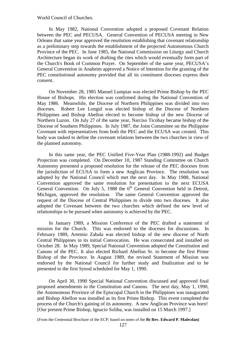World Council of Churches.

In May 1982, National Convention adopted a proposed Covenant Relation between the PEC and PECUSA. General Convention of PECUSA meeting in New Orleans that same year approved the resolution establishing that covenant relationship as a preliminary step towards the establishment of the projected Autonomous Church Province of the PEC. In June 1985, the National Commission on Liturgy and Church Architecture began its work of drafting the rites which would eventually form part of the Church's Book of Common Prayer. On September of the same year, PECUSA's General Convention in Anaheim approved a Notice of Intention for the granting of the PEC constitutional autonomy provided that all its constituent dioceses express their consent.

On November 28, 1985 Manuel Lumpias was elected Prime Bishop by the PEC House of Bishops. His election was confirmed during the National Convention of May 1986. Meanwhile, the Diocese of Northern Philippines was divided into two dioceses. Robert Lee Longid was elected bishop of the Diocese of Northern Philippines and Bishop Abellon elected to become bishop of the new Diocese of Northern Luzon. On July 27 of the same year, Narciso Ticobay became bishop of the Diocese of Southern Philippines. In July 1987, the Joint Committee on the Philippine Covenant with representatives from both the PEC and the ECUSA was created. This body was tasked to define the covenant relations between the two churches in view of the planned autonomy.

In this same year, the PEC Unified Five-Year Plan (1988-1992) and Budget Projection was completed. On December 10, 1987 Standing Committee on Church Autonomy presented a proposed resolution for the release of the PEC dioceses from the jurisdiction of ECUSA to form a new Anglican Province. The resolution was adopted by the National Council which met the next day. In May 1988, National Convention approved the same resolution for presentation to the next ECUSA General Convention. On July 5, 1988 the  $6<sup>th</sup>$  General Convention held in Detroit, Michigan, approved the resolution. The same General Convention approved the request of the Diocese of Central Philippines to divide into two dioceses. It also adopted the Covenant between the two churches which defined the new level of relationships to be pursued when autonomy is achieved by the PEC.

In January 1989, a Mission Conference of the PEC drafted a statement of mission for the Church. This was endorsed to the dioceses for discussions. In February 1989, Artemio Zabala was elected bishop of the new diocese of North Central Philippines in its initial Convocation. He was consecrated and installed on October 28. In May 1989, Special National Convention adopted the Constitution and Canons of the PEC. It also elected Richard Abellon Sr. to become the first Prime Bishop of the Province. In August 1989, the revised Statement of Mission was endorsed by the National Council for further study and finalization and to be presented to the first Synod scheduled for May 1, 1990.

On April 30, 1990 Special National Convention discussed and approved final proposed amendments to the Constitution and Canons. The next day, May 1, 1990, the Autonomous Province of the Episcopal Church in the Philippines was inaugurated and Bishop Abellon was installed as its first Prime Bishop. This event completed the process of the Church's gaining of its autonomy. A new Anglican Province was born! [Our present Prime Bishop, Ignacio Soliba, was installed on 15 March 1997.]

(From the Centennial Brochure of the ECP; based on notes of the **Rt Rev. Edward P. Malecdan)**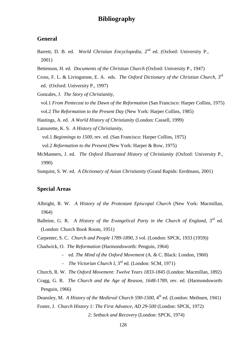# **Bibliography**

## **General**

- Barrett, D. B. ed. *World Christian Encyclopedia*, 2<sup>nd</sup> ed. (Oxford: University P., 2001)
- Bettenson, H. ed. *Documents of the Christian Church* (Oxford: University P., 1947)
- Cross, F. L. & Livingstone, E. A. eds. *The Oxford Dictionary of the Christian Church*, 3rd ed. (Oxford: University P., 1997)
- Gonzales, J. *The Story of Christianity*,
- vol.1 *From Pentecost to the Dawn of the Reformation* (San Francisco: Harper Collins, 1975) vol.2 *The Reformation to the Present Day* (New York: Harper Collins, 1985)

Hastings, A. ed. *A World History of Christianity* (London: Cassell, 1999)

Latourette, K. S. *A History of Christianity*,

 vol.1 *Beginnings to 1500*, rev. ed. (San Francisco: Harper Collins, 1975) vol.2 *Reformation to the Present* (New York: Harper & Row, 1975)

- McManners, J. ed. *The Oxford Illustrated History of Christianity* (Oxford: University P., 1990)
- Sunquist, S. W. ed. *A Dictionary of Asian Christianity* (Grand Rapids: Eerdmans, 2001)

## **Special Areas**

- Albright, R. W. *A History of the Protestant Episcopal Church* (New York: Macmillan, 1964)
- Balleine, G. R. *A History of the Evangelical Party in the Church of England*, 3<sup>rd</sup> ed. (London: Church Book Room, 1951)
- Carpenter, S. C. *Church and People 1789-1890*, 3 vol. (London: SPCK, 1933 (1959))
- Chadwick, O. *The Reformation* (Harmondsworth: Penguin, 1964)
	- ed. *The Mind of the Oxford Movement* (A. & C. Black: London, 1960)
	- *The Victorian Church I*, 3rd ed. (London: SCM, 1971)

Church, R. W. *The Oxford Movement: Twelve Years 1833-1845* (London: Macmillan, 1892) Cragg, G. R. *The Church and the Age of Reason, 1648-1789*, rev. ed. (Harmondsworth: Penguin, 1966)

Deansley, M. *A History of the Medieval Church 590-1500*, 4<sup>th</sup> ed. (London: Methuen, 1941) Foster, J. *Church History 1: The First Advance, AD 29-500* (London: SPCK, 1972) *2: Setback and Recovery* (London: SPCK, 1974)